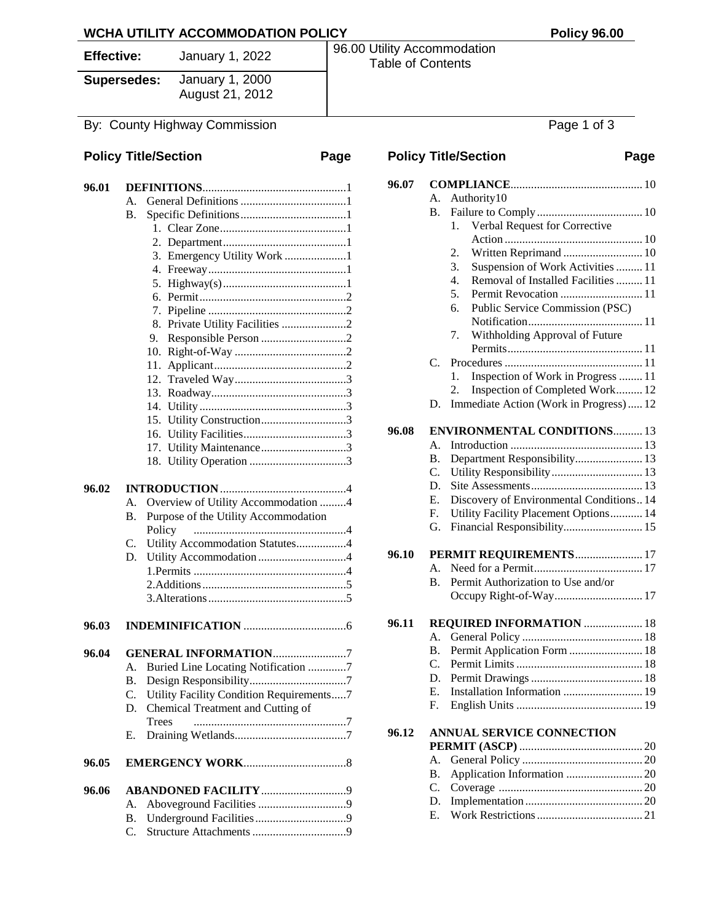**Supersedes:** January 1, 2000 August 21, 2012

#### **Policy Title/Section Page**

| 96.01 |                                           |  |  |
|-------|-------------------------------------------|--|--|
|       | $\mathsf{A}$ .                            |  |  |
|       | $\bf{B}$ .                                |  |  |
|       |                                           |  |  |
|       |                                           |  |  |
|       | 3. Emergency Utility Work 1               |  |  |
|       |                                           |  |  |
|       | 4.                                        |  |  |
|       | 5.                                        |  |  |
|       | б.                                        |  |  |
|       |                                           |  |  |
|       | Private Utility Facilities 2<br>8.        |  |  |
|       | 9.                                        |  |  |
|       | 10.                                       |  |  |
|       | 11.                                       |  |  |
|       |                                           |  |  |
|       | 13.                                       |  |  |
|       | $14_{\cdot}$                              |  |  |
|       | Utility Construction3<br>15.              |  |  |
|       | 16.                                       |  |  |
|       | Utility Maintenance3<br>17.               |  |  |
|       |                                           |  |  |
|       | 18.                                       |  |  |
| 96.02 |                                           |  |  |
|       | Overview of Utility Accommodation 4<br>А. |  |  |
|       | В.                                        |  |  |
|       | Purpose of the Utility Accommodation      |  |  |
|       | Policy                                    |  |  |
|       | Utility Accommodation Statutes4<br>C.     |  |  |
|       | Utility Accommodation4<br>D.              |  |  |
|       |                                           |  |  |
|       |                                           |  |  |
|       |                                           |  |  |
|       |                                           |  |  |
| 96.03 |                                           |  |  |
|       |                                           |  |  |
| 96.04 | <b>GENERAL INFORMATION7</b>               |  |  |
|       | Buried Line Locating Notification 7<br>A. |  |  |
|       | В.                                        |  |  |
|       | Utility Facility Condition Requirements7  |  |  |
|       | Chemical Treatment and Cutting of<br>D.   |  |  |
|       | <b>Trees</b>                              |  |  |
|       | Е.                                        |  |  |
| 96.05 |                                           |  |  |
|       |                                           |  |  |
| 96.06 | <b>ABANDONED FACILITY 9</b>               |  |  |
|       | A.                                        |  |  |

B. Underground Facilities...............................9 C. Structure Attachments................................9

**Effective:** January 1, 2022 96.00 Utility Accommodation Table of Contents

By: County Highway Commission **Page 1 of 3 Policy Title/Section Page 96.07 COMPLIANCE**............................................. 10 A. Authority10 B. Failure to Comply.................................... 10 1. Verbal Request for Corrective Action ............................................... 10 2. Written Reprimand ........................... 10 3. Suspension of Work Activities......... 11 4. Removal of Installed Facilities......... 11 5. Permit Revocation ............................ 11 6. Public Service Commission (PSC) Notification....................................... 11 7. Withholding Approval of Future Permits.............................................. 11 C. Procedures ............................................... 11 1. Inspection of Work in Progress ........ 11

## **96.08 ENVIRONMENTAL CONDITIONS**.......... 13

|  | E. Discovery of Environmental Conditions14 |  |
|--|--------------------------------------------|--|
|  | F. Utility Facility Placement Options 14   |  |
|  |                                            |  |

2. Inspection of Completed Work......... 12 D. Immediate Action (Work in Progress)..... 12

# G. Financial Responsibility........................... 15

|  | 96.10 PERMIT REQUIREMENTS 17          |
|--|---------------------------------------|
|  |                                       |
|  | B. Permit Authorization to Use and/or |
|  |                                       |

#### **96.11 REQUIRED INFORMATION** .................... 18 A. General Policy ......................................... 18 B. Permit Application Form ......................... 18 C. Permit Limits........................................... 18 D. Permit Drawings...................................... 18

E. Installation Information ........................... 19

# F. English Units ........................................... 19

#### **96.12 ANNUAL SERVICE CONNECTION PERMIT (ASCP)** .......................................... 20

| $E$ Work Destrictions | $^{\circ}$ 1 |
|-----------------------|--------------|

E. Work Restrictions.................................... 21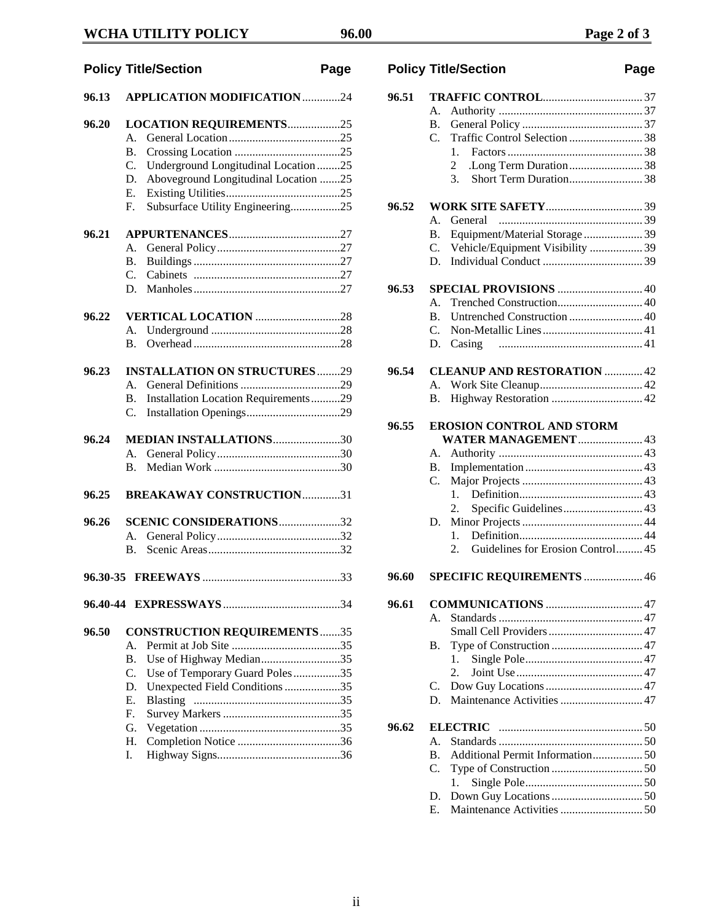## **WCHA UTILITY POLICY 96.00 Page 2 of 3**

# **Policy Title/Section Page 96.13 APPLICATION MODIFICATION**.............24 **96.20 LOCATION REQUIREMENTS**..................25 A. General Location......................................25 B. Crossing Location ....................................25 C. Underground Longitudinal Location ........25 D. Aboveground Longitudinal Location .......2 E. Existing Utilities.......................................25 F. Subsurface Utility Engineering.................25 **96.21 APPURTENANCES**......................................27 A. General Policy..........................................27 B. Buildings..................................................27 C. Cabinets ..................................................27 D. Manholes..................................................27 **96.22 VERTICAL LOCATION** .............................28 A. Underground ............................................28 B. Overhead ..................................................28 **96.23 INSTALLATION ON STRUCTURES**........29 A. General Definitions ..................................29 B. Installation Location Requirements..........29 C. Installation Openings................................29 **96.24 MEDIAN INSTALLATIONS**.......................30 A. General Policy..........................................30 B. Median Work ...........................................30 **96.25 BREAKAWAY CONSTRUCTION**.............31 **96.26 SCENIC CONSIDERATIONS**.....................32 A. General Policy..........................................32 B. Scenic Areas.............................................32 **96.30-35 FREEWAYS** ...............................................33 **96.40-44 EXPRESSWAYS**........................................34 **96.50 CONSTRUCTION REQUIREMENTS**.......35 A. Permit at Job Site .....................................35 B. Use of Highway Median...........................35 C. Use of Temporary Guard Poles................35 D. Unexpected Field Conditions...................35 E. Blasting ..................................................35 F. Survey Markers........................................35 G. Vegetation ................................................35

H. Completion Notice ...................................36 I. Highway Signs..........................................36

| .25 |       |                                     |  |
|-----|-------|-------------------------------------|--|
| .25 |       |                                     |  |
| 25  | 96.52 |                                     |  |
|     |       |                                     |  |
| .27 |       |                                     |  |
| .27 |       | C. Vehicle/Equipment Visibility  39 |  |
| .27 |       |                                     |  |
| .27 |       |                                     |  |
| .27 |       | 96.53 SPECIAL PROVISIONS 40         |  |

## **96.53 SPECIAL PROVISIONS** ............................. 40

1. Factors.............................................. 38 2 .Long Term Duration......................... 38

**96.54 CLEANUP AND RESTORATION** ............. 42 A. Work Site Cleanup................................... 42 B. Highway Restoration ............................... 42

# **96.55 EROSION CONTROL AND STORM**

|       |             | <b>WATER MANAGEMENT</b> 43                                                       |  |
|-------|-------------|----------------------------------------------------------------------------------|--|
|       | A.          |                                                                                  |  |
|       | В.          |                                                                                  |  |
|       | C.          |                                                                                  |  |
|       |             | 1                                                                                |  |
|       |             | $2_{1}$                                                                          |  |
|       |             |                                                                                  |  |
|       |             | $1_{-}$                                                                          |  |
|       |             | Guidelines for Erosion Control 45<br>$2^{\circ}$                                 |  |
| 96.60 |             | SPECIFIC REQUIREMENTS  46                                                        |  |
| 96.61 |             |                                                                                  |  |
|       |             |                                                                                  |  |
|       |             | Small Cell Providers  47                                                         |  |
|       |             |                                                                                  |  |
|       |             | 1.                                                                               |  |
|       |             |                                                                                  |  |
|       |             |                                                                                  |  |
|       | D.          |                                                                                  |  |
| 96.62 |             |                                                                                  |  |
|       | $A_{\cdot}$ |                                                                                  |  |
|       |             | B. Additional Permit Information 50                                              |  |
|       |             | $\mathbf{T}$ and $\mathbf{C}$ and $\mathbf{C}$ and $\mathbf{C}$ and $\mathbf{C}$ |  |

- C. Type of Construction ............................... 50 1. Single Pole........................................ 50 D. Down Guy Locations............................... 50
- E. Maintenance Activities............................ 50

## **Policy Title/Section Page**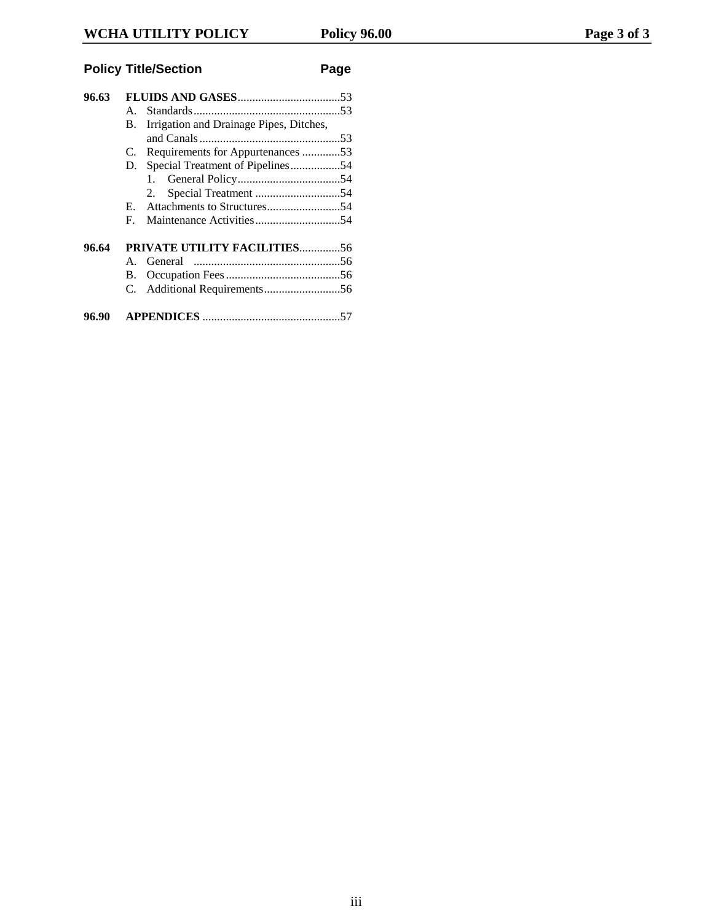# **Policy Title/Section Page**

| 96.63 | $A_{\cdot}$<br>Irrigation and Drainage Pipes, Ditches,<br>В.<br>C. Requirements for Appurtenances 53<br>Special Treatment of Pipelines54<br>D.<br>2. |  |
|-------|------------------------------------------------------------------------------------------------------------------------------------------------------|--|
| 96.64 | F.<br><b>PRIVATE UTILITY FACILITIES56</b><br>$A_{-}$<br><b>B.</b>                                                                                    |  |
| 96.90 |                                                                                                                                                      |  |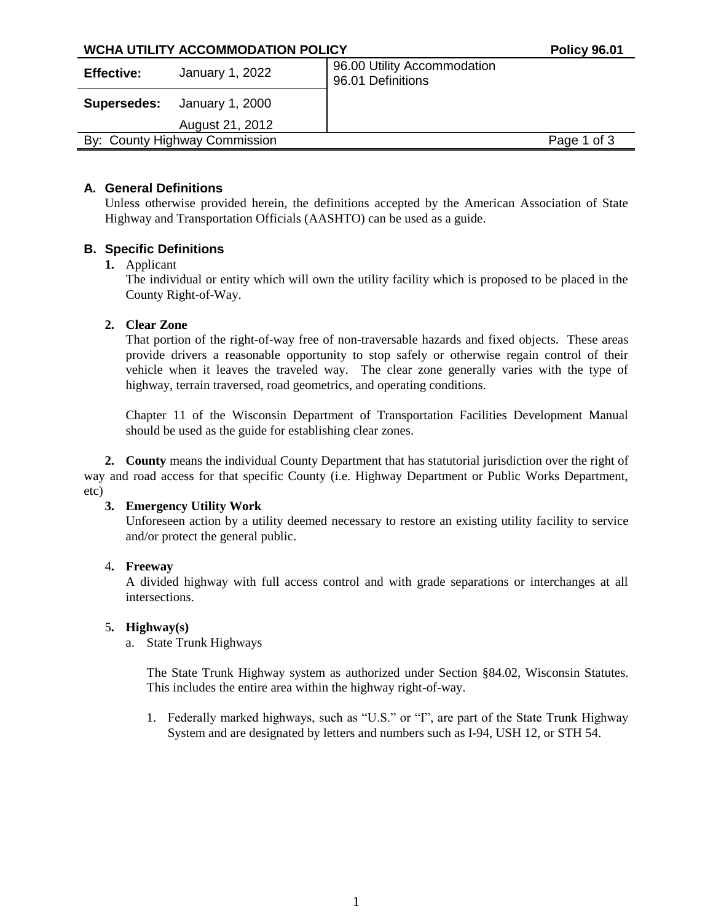| WCHA UTILITY ACCOMMODATION POLICY |                               |                                                  | <b>Policy 96.01</b> |
|-----------------------------------|-------------------------------|--------------------------------------------------|---------------------|
| <b>Effective:</b>                 | January 1, 2022               | 96.00 Utility Accommodation<br>96.01 Definitions |                     |
| Supersedes:                       | January 1, 2000               |                                                  |                     |
|                                   | August 21, 2012               |                                                  |                     |
|                                   | By: County Highway Commission |                                                  | Page 1 of 3         |
|                                   |                               |                                                  |                     |

## **A. General Definitions**

Unless otherwise provided herein, the definitions accepted by the American Association of State Highway and Transportation Officials (AASHTO) can be used as a guide.

## **B. Specific Definitions**

#### **1.** Applicant

The individual or entity which will own the utility facility which is proposed to be placed in the County Right-of-Way.

## **2. Clear Zone**

That portion of the right-of-way free of non-traversable hazards and fixed objects. These areas provide drivers a reasonable opportunity to stop safely or otherwise regain control of their vehicle when it leaves the traveled way. The clear zone generally varies with the type of highway, terrain traversed, road geometrics, and operating conditions.

Chapter 11 of the Wisconsin Department of Transportation Facilities Development Manual should be used as the guide for establishing clear zones.

**2. County** means the individual County Department that has statutorial jurisdiction over the right of way and road access for that specific County (i.e. Highway Department or Public Works Department, etc)

#### **3. Emergency Utility Work**

Unforeseen action by a utility deemed necessary to restore an existing utility facility to service and/or protect the general public.

#### 4**. Freeway**

A divided highway with full access control and with grade separations or interchanges at all intersections.

#### 5**. Highway(s)**

## a. State Trunk Highways

The State Trunk Highway system as authorized under Section §84.02, Wisconsin Statutes. This includes the entire area within the highway right-of-way.

1. Federally marked highways, such as "U.S." or "I", are part of the State Trunk Highway System and are designated by letters and numbers such as I-94, USH 12, or STH 54.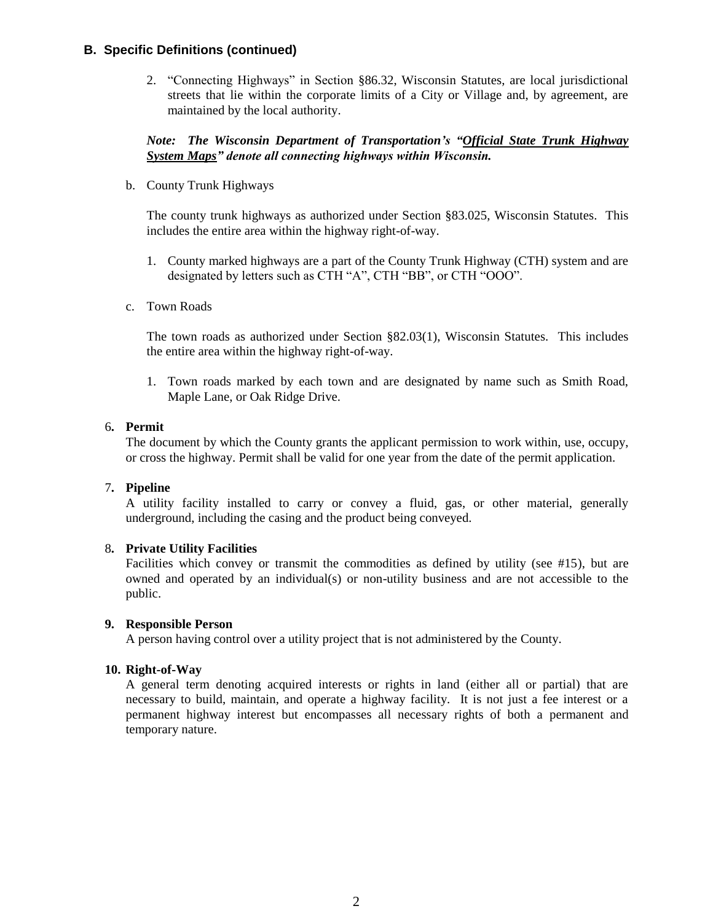## **B. Specific Definitions (continued)**

2. "Connecting Highways" in Section §86.32, Wisconsin Statutes, are local jurisdictional streets that lie within the corporate limits of a City or Village and, by agreement, are maintained by the local authority.

## *Note: The Wisconsin Department of Transportation's "Official State Trunk Highway System Maps" denote all connecting highways within Wisconsin.*

b. County Trunk Highways

The county trunk highways as authorized under Section §83.025, Wisconsin Statutes. This includes the entire area within the highway right-of-way.

- 1. County marked highways are a part of the County Trunk Highway (CTH) system and are designated by letters such as CTH "A", CTH "BB", or CTH "OOO".
- c. Town Roads

The town roads as authorized under Section §82.03(1), Wisconsin Statutes. This includes the entire area within the highway right-of-way.

1. Town roads marked by each town and are designated by name such as Smith Road, Maple Lane, or Oak Ridge Drive.

#### 6**. Permit**

The document by which the County grants the applicant permission to work within, use, occupy, or cross the highway. Permit shall be valid for one year from the date of the permit application.

#### 7**. Pipeline**

A utility facility installed to carry or convey a fluid, gas, or other material, generally underground, including the casing and the product being conveyed.

#### 8**. Private Utility Facilities**

Facilities which convey or transmit the commodities as defined by utility (see #15), but are owned and operated by an individual(s) or non-utility business and are not accessible to the public.

#### **9. Responsible Person**

A person having control over a utility project that is not administered by the County.

#### **10. Right-of-Way**

A general term denoting acquired interests or rights in land (either all or partial) that are necessary to build, maintain, and operate a highway facility. It is not just a fee interest or a permanent highway interest but encompasses all necessary rights of both a permanent and temporary nature.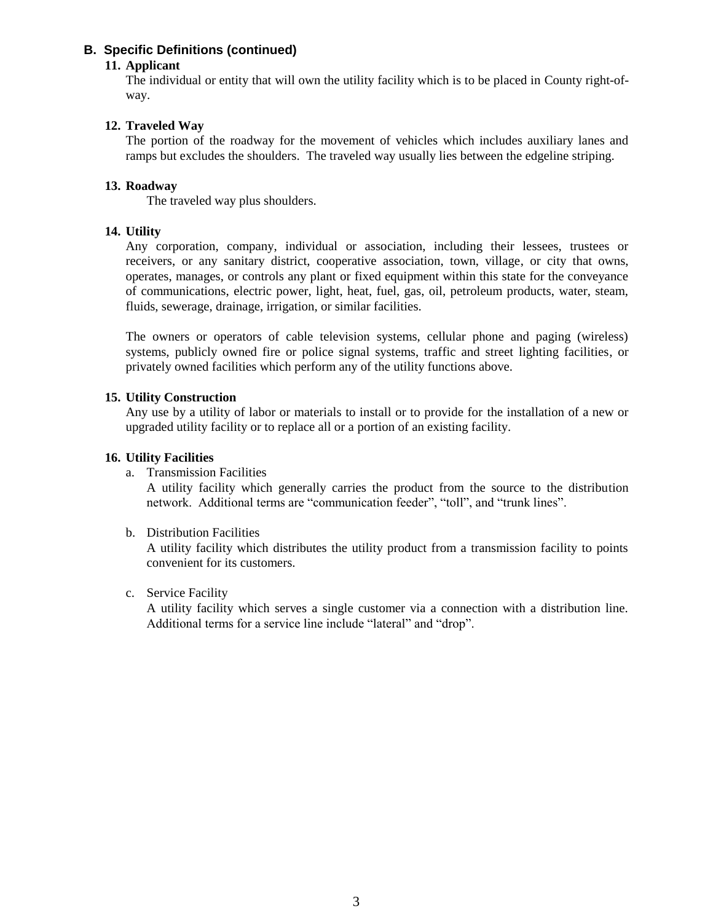## **B. Specific Definitions (continued)**

## **11. Applicant**

The individual or entity that will own the utility facility which is to be placed in County right-ofway.

## **12. Traveled Way**

The portion of the roadway for the movement of vehicles which includes auxiliary lanes and ramps but excludes the shoulders. The traveled way usually lies between the edgeline striping.

#### **13. Roadway**

The traveled way plus shoulders.

#### **14. Utility**

Any corporation, company, individual or association, including their lessees, trustees or receivers, or any sanitary district, cooperative association, town, village, or city that owns, operates, manages, or controls any plant or fixed equipment within this state for the conveyance of communications, electric power, light, heat, fuel, gas, oil, petroleum products, water, steam, fluids, sewerage, drainage, irrigation, or similar facilities.

The owners or operators of cable television systems, cellular phone and paging (wireless) systems, publicly owned fire or police signal systems, traffic and street lighting facilities, or privately owned facilities which perform any of the utility functions above.

#### **15. Utility Construction**

Any use by a utility of labor or materials to install or to provide for the installation of a new or upgraded utility facility or to replace all or a portion of an existing facility.

#### **16. Utility Facilities**

a. Transmission Facilities

A utility facility which generally carries the product from the source to the distribution network. Additional terms are "communication feeder", "toll", and "trunk lines".

b. Distribution Facilities

A utility facility which distributes the utility product from a transmission facility to points convenient for its customers.

c. Service Facility

A utility facility which serves a single customer via a connection with a distribution line. Additional terms for a service line include "lateral" and "drop".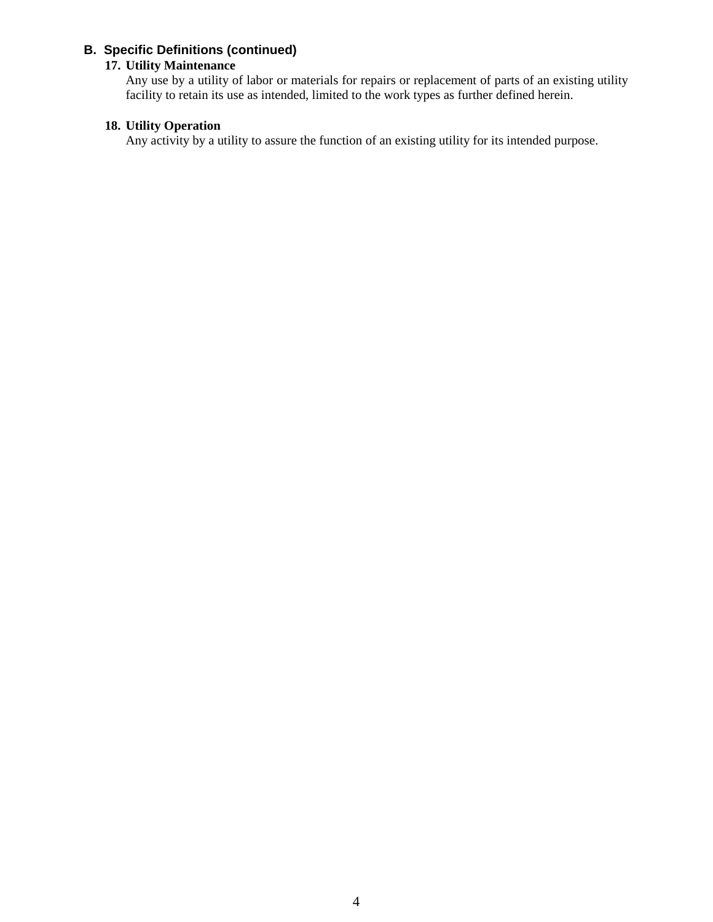## **B. Specific Definitions (continued)**

### **17. Utility Maintenance**

Any use by a utility of labor or materials for repairs or replacement of parts of an existing utility facility to retain its use as intended, limited to the work types as further defined herein.

## **18. Utility Operation**

Any activity by a utility to assure the function of an existing utility for its intended purpose.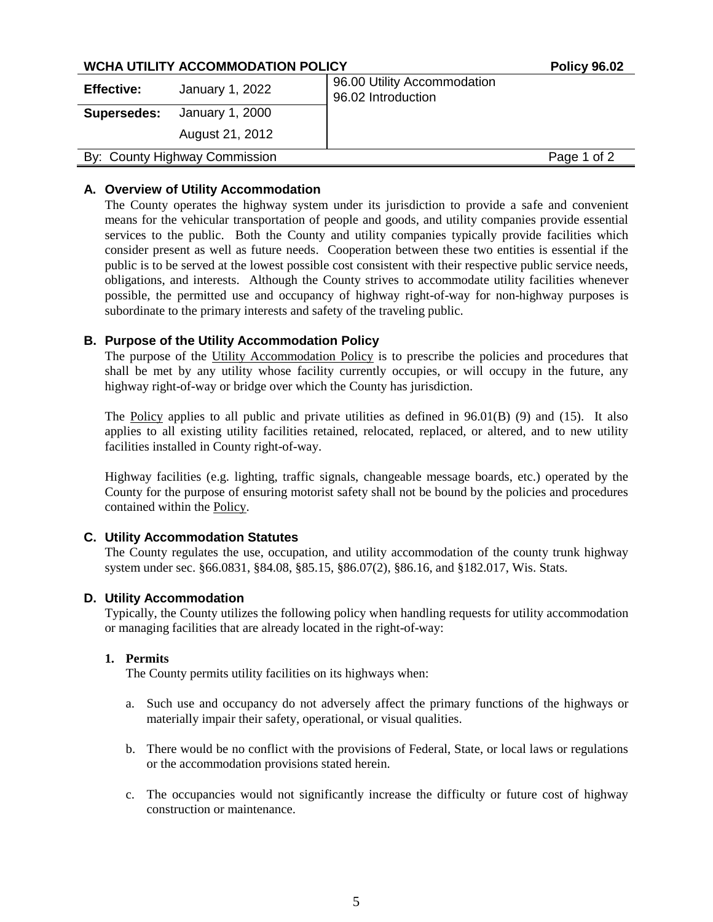## WCHA UTILITY ACCOMMODATION POLICY

| <b>Effective:</b>  | January 1, 2022               | 96.00 Utility Accommodation<br>96.02 Introduction |
|--------------------|-------------------------------|---------------------------------------------------|
| <b>Supersedes:</b> | January 1, 2000               |                                                   |
|                    | August 21, 2012               |                                                   |
|                    | By: County Highway Commission | Page 1 of 2                                       |

## **A. Overview of Utility Accommodation**

The County operates the highway system under its jurisdiction to provide a safe and convenient means for the vehicular transportation of people and goods, and utility companies provide essential services to the public. Both the County and utility companies typically provide facilities which consider present as well as future needs. Cooperation between these two entities is essential if the public is to be served at the lowest possible cost consistent with their respective public service needs, obligations, and interests. Although the County strives to accommodate utility facilities whenever possible, the permitted use and occupancy of highway right-of-way for non-highway purposes is subordinate to the primary interests and safety of the traveling public.

## **B. Purpose of the Utility Accommodation Policy**

The purpose of the Utility Accommodation Policy is to prescribe the policies and procedures that shall be met by any utility whose facility currently occupies, or will occupy in the future, any highway right-of-way or bridge over which the County has jurisdiction.

The Policy applies to all public and private utilities as defined in  $96.01(B)$  (9) and (15). It also applies to all existing utility facilities retained, relocated, replaced, or altered, and to new utility facilities installed in County right-of-way.

Highway facilities (e.g. lighting, traffic signals, changeable message boards, etc.) operated by the County for the purpose of ensuring motorist safety shall not be bound by the policies and procedures contained within the Policy.

#### **C. Utility Accommodation Statutes**

The County regulates the use, occupation, and utility accommodation of the county trunk highway system under sec. §66.0831, §84.08, §85.15, §86.07(2), §86.16, and §182.017, Wis. Stats.

#### **D. Utility Accommodation**

Typically, the County utilizes the following policy when handling requests for utility accommodation or managing facilities that are already located in the right-of-way:

#### **1. Permits**

The County permits utility facilities on its highways when:

- a. Such use and occupancy do not adversely affect the primary functions of the highways or materially impair their safety, operational, or visual qualities.
- b. There would be no conflict with the provisions of Federal, State, or local laws or regulations or the accommodation provisions stated herein.
- c. The occupancies would not significantly increase the difficulty or future cost of highway construction or maintenance.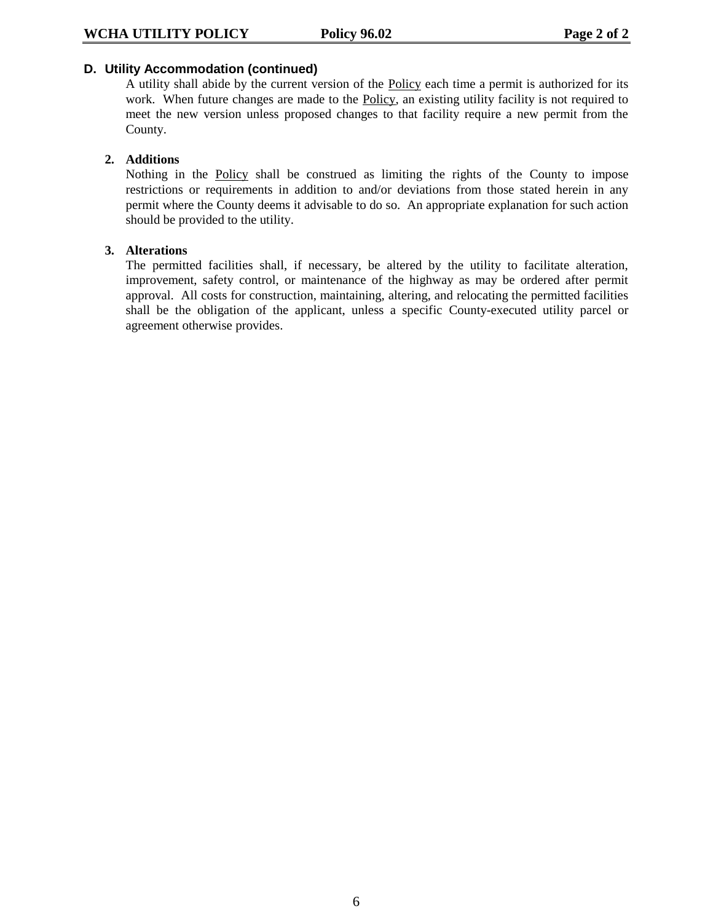#### **D. Utility Accommodation (continued)**

A utility shall abide by the current version of the Policy each time a permit is authorized for its work. When future changes are made to the Policy, an existing utility facility is not required to meet the new version unless proposed changes to that facility require a new permit from the County.

## **2. Additions**

Nothing in the Policy shall be construed as limiting the rights of the County to impose restrictions or requirements in addition to and/or deviations from those stated herein in any permit where the County deems it advisable to do so. An appropriate explanation for such action should be provided to the utility.

#### **3. Alterations**

The permitted facilities shall, if necessary, be altered by the utility to facilitate alteration, improvement, safety control, or maintenance of the highway as may be ordered after permit approval. All costs for construction, maintaining, altering, and relocating the permitted facilities shall be the obligation of the applicant, unless a specific County-executed utility parcel or agreement otherwise provides.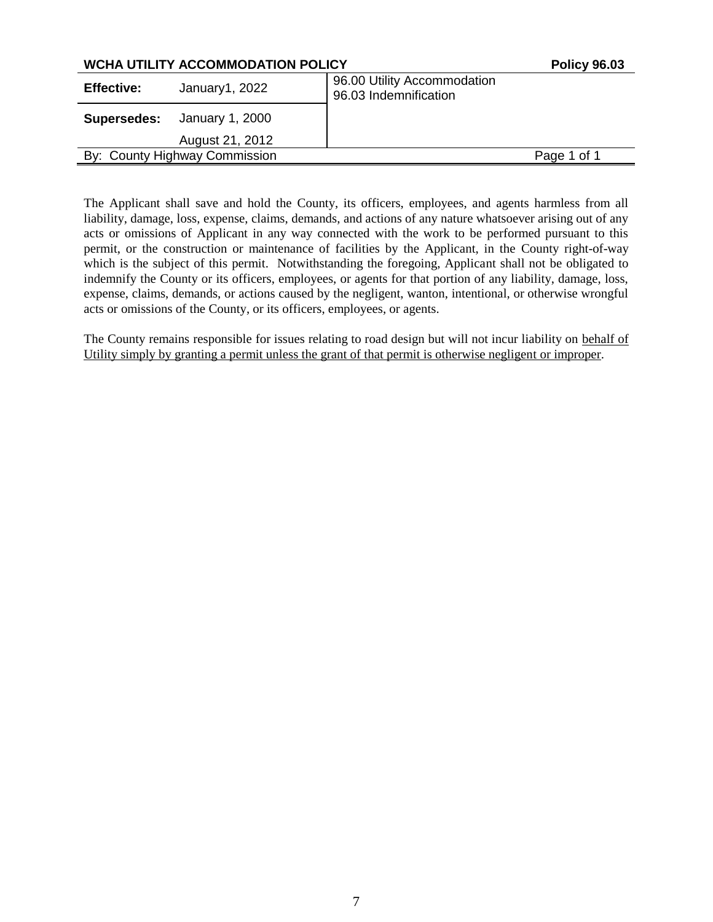| <b>WCHA UTILITY ACCOMMODATION POLICY</b> |                               |                                                      | <b>Policy 96.03</b> |
|------------------------------------------|-------------------------------|------------------------------------------------------|---------------------|
| <b>Effective:</b>                        | January1, 2022                | 96.00 Utility Accommodation<br>96.03 Indemnification |                     |
| January 1, 2000<br>Supersedes:           |                               |                                                      |                     |
|                                          | August 21, 2012               |                                                      |                     |
|                                          | By: County Highway Commission |                                                      | Page 1 of 1         |

The Applicant shall save and hold the County, its officers, employees, and agents harmless from all liability, damage, loss, expense, claims, demands, and actions of any nature whatsoever arising out of any acts or omissions of Applicant in any way connected with the work to be performed pursuant to this permit, or the construction or maintenance of facilities by the Applicant, in the County right-of-way which is the subject of this permit. Notwithstanding the foregoing, Applicant shall not be obligated to indemnify the County or its officers, employees, or agents for that portion of any liability, damage, loss, expense, claims, demands, or actions caused by the negligent, wanton, intentional, or otherwise wrongful acts or omissions of the County, or its officers, employees, or agents.

The County remains responsible for issues relating to road design but will not incur liability on behalf of Utility simply by granting a permit unless the grant of that permit is otherwise negligent or improper.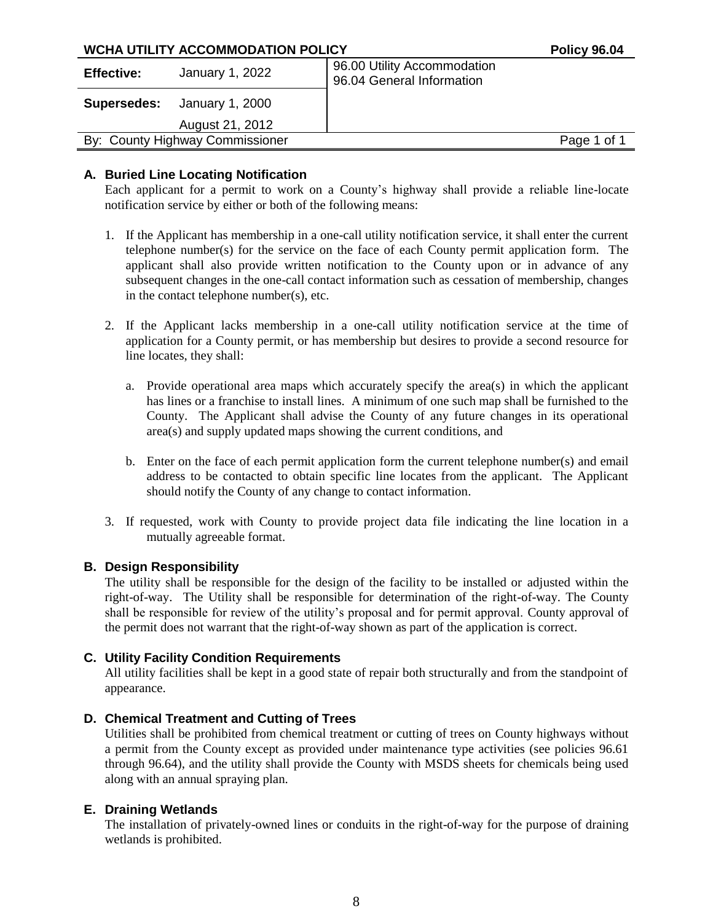|                                                                          | <b>WCHA UTILITY ACCOMMODATION POLICY</b><br>96.00 Utility Accommodation<br>January 1, 2022 |                           | <b>Policy 96.04</b> |
|--------------------------------------------------------------------------|--------------------------------------------------------------------------------------------|---------------------------|---------------------|
| <b>Effective:</b>                                                        |                                                                                            | 96.04 General Information |                     |
|                                                                          |                                                                                            |                           |                     |
|                                                                          | August 21, 2012                                                                            |                           |                     |
| January 1, 2000<br><b>Supersedes:</b><br>By: County Highway Commissioner |                                                                                            | Page 1 of 1               |                     |
|                                                                          |                                                                                            |                           |                     |

## **A. Buried Line Locating Notification**

Each applicant for a permit to work on a County's highway shall provide a reliable line-locate notification service by either or both of the following means:

- 1. If the Applicant has membership in a one-call utility notification service, it shall enter the current telephone number(s) for the service on the face of each County permit application form. The applicant shall also provide written notification to the County upon or in advance of any subsequent changes in the one-call contact information such as cessation of membership, changes in the contact telephone number(s), etc.
- 2. If the Applicant lacks membership in a one-call utility notification service at the time of application for a County permit, or has membership but desires to provide a second resource for line locates, they shall:
	- a. Provide operational area maps which accurately specify the area(s) in which the applicant has lines or a franchise to install lines. A minimum of one such map shall be furnished to the County. The Applicant shall advise the County of any future changes in its operational area(s) and supply updated maps showing the current conditions, and
	- b. Enter on the face of each permit application form the current telephone number(s) and email address to be contacted to obtain specific line locates from the applicant. The Applicant should notify the County of any change to contact information.
- 3. If requested, work with County to provide project data file indicating the line location in a mutually agreeable format.

#### **B. Design Responsibility**

The utility shall be responsible for the design of the facility to be installed or adjusted within the right-of-way. The Utility shall be responsible for determination of the right-of-way. The County shall be responsible for review of the utility's proposal and for permit approval. County approval of the permit does not warrant that the right-of-way shown as part of the application is correct.

## **C. Utility Facility Condition Requirements**

All utility facilities shall be kept in a good state of repair both structurally and from the standpoint of appearance.

## **D. Chemical Treatment and Cutting of Trees**

Utilities shall be prohibited from chemical treatment or cutting of trees on County highways without a permit from the County except as provided under maintenance type activities (see policies 96.61 through 96.64), and the utility shall provide the County with MSDS sheets for chemicals being used along with an annual spraying plan.

#### **E. Draining Wetlands**

The installation of privately-owned lines or conduits in the right-of-way for the purpose of draining wetlands is prohibited.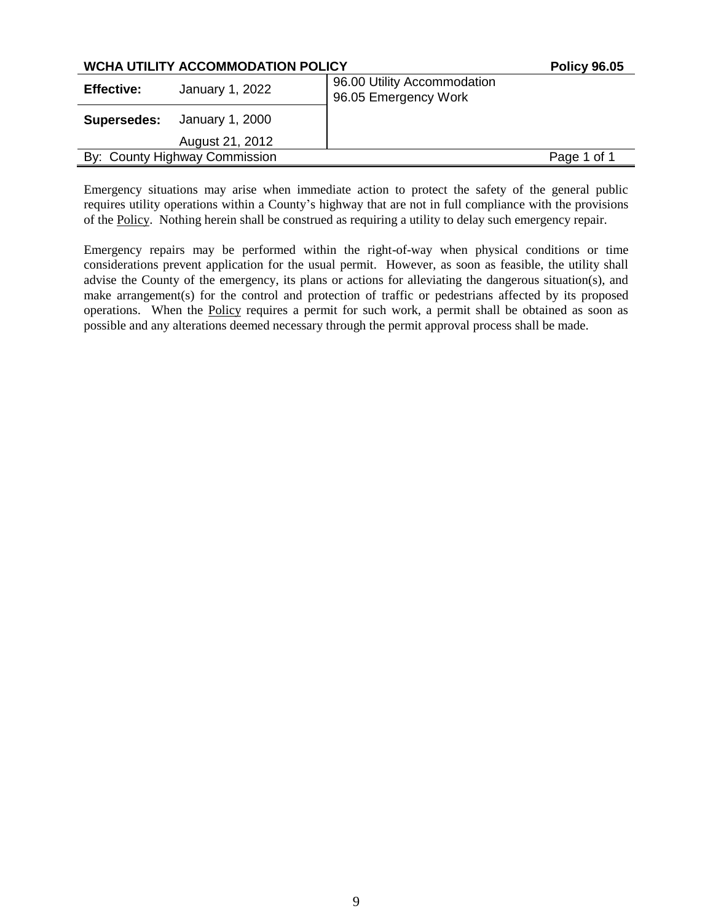|                                                                     | <b>WCHA UTILITY ACCOMMODATION POLICY</b><br><b>Policy 96.05</b><br>96.00 Utility Accommodation<br>January 1, 2022<br>96.05 Emergency Work |  |             |
|---------------------------------------------------------------------|-------------------------------------------------------------------------------------------------------------------------------------------|--|-------------|
| <b>Effective:</b>                                                   |                                                                                                                                           |  |             |
|                                                                     |                                                                                                                                           |  |             |
|                                                                     | August 21, 2012                                                                                                                           |  |             |
| <b>Supersedes:</b> January 1, 2000<br>By: County Highway Commission |                                                                                                                                           |  | Page 1 of 1 |

Emergency situations may arise when immediate action to protect the safety of the general public requires utility operations within a County's highway that are not in full compliance with the provisions of the Policy. Nothing herein shall be construed as requiring a utility to delay such emergency repair.

Emergency repairs may be performed within the right-of-way when physical conditions or time considerations prevent application for the usual permit. However, as soon as feasible, the utility shall advise the County of the emergency, its plans or actions for alleviating the dangerous situation(s), and make arrangement(s) for the control and protection of traffic or pedestrians affected by its proposed operations. When the Policy requires a permit for such work, a permit shall be obtained as soon as possible and any alterations deemed necessary through the permit approval process shall be made.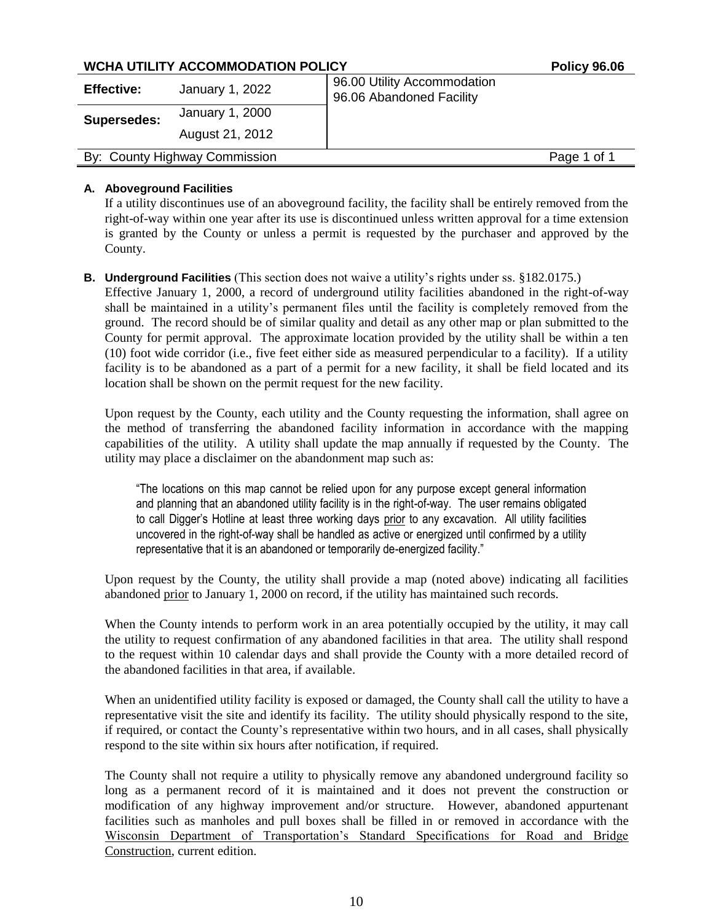## **WCHA UTILITY ACCOMMODATION POLICY POLICY POLICY** POLICY POLICY

| <b>Effective:</b><br><b>Supersedes:</b> | January 1, 2022                                   | 96.00 Utility Accommodation<br>96.06 Abandoned Facility |  |
|-----------------------------------------|---------------------------------------------------|---------------------------------------------------------|--|
|                                         | January 1, 2000<br>August 21, 2012<br>Page 1 of 1 |                                                         |  |
|                                         |                                                   |                                                         |  |
| By: County Highway Commission           |                                                   |                                                         |  |

## **A. Aboveground Facilities**

If a utility discontinues use of an aboveground facility, the facility shall be entirely removed from the right-of-way within one year after its use is discontinued unless written approval for a time extension is granted by the County or unless a permit is requested by the purchaser and approved by the County.

#### **B. Underground Facilities** (This section does not waive a utility's rights under ss. §182.0175.)

Effective January 1, 2000, a record of underground utility facilities abandoned in the right-of-way shall be maintained in a utility's permanent files until the facility is completely removed from the ground. The record should be of similar quality and detail as any other map or plan submitted to the County for permit approval. The approximate location provided by the utility shall be within a ten (10) foot wide corridor (i.e., five feet either side as measured perpendicular to a facility). If a utility facility is to be abandoned as a part of a permit for a new facility, it shall be field located and its location shall be shown on the permit request for the new facility.

Upon request by the County, each utility and the County requesting the information, shall agree on the method of transferring the abandoned facility information in accordance with the mapping capabilities of the utility. A utility shall update the map annually if requested by the County. The utility may place a disclaimer on the abandonment map such as:

"The locations on this map cannot be relied upon for any purpose except general information and planning that an abandoned utility facility is in the right-of-way. The user remains obligated to call Digger's Hotline at least three working days prior to any excavation. All utility facilities uncovered in the right-of-way shall be handled as active or energized until confirmed by a utility representative that it is an abandoned or temporarily de-energized facility."

Upon request by the County, the utility shall provide a map (noted above) indicating all facilities abandoned prior to January 1, 2000 on record, if the utility has maintained such records.

When the County intends to perform work in an area potentially occupied by the utility, it may call the utility to request confirmation of any abandoned facilities in that area. The utility shall respond to the request within 10 calendar days and shall provide the County with a more detailed record of the abandoned facilities in that area, if available.

When an unidentified utility facility is exposed or damaged, the County shall call the utility to have a representative visit the site and identify its facility. The utility should physically respond to the site, if required, or contact the County's representative within two hours, and in all cases, shall physically respond to the site within six hours after notification, if required.

The County shall not require a utility to physically remove any abandoned underground facility so long as a permanent record of it is maintained and it does not prevent the construction or modification of any highway improvement and/or structure. However, abandoned appurtenant facilities such as manholes and pull boxes shall be filled in or removed in accordance with the Wisconsin Department of Transportation's Standard Specifications for Road and Bridge Construction, current edition.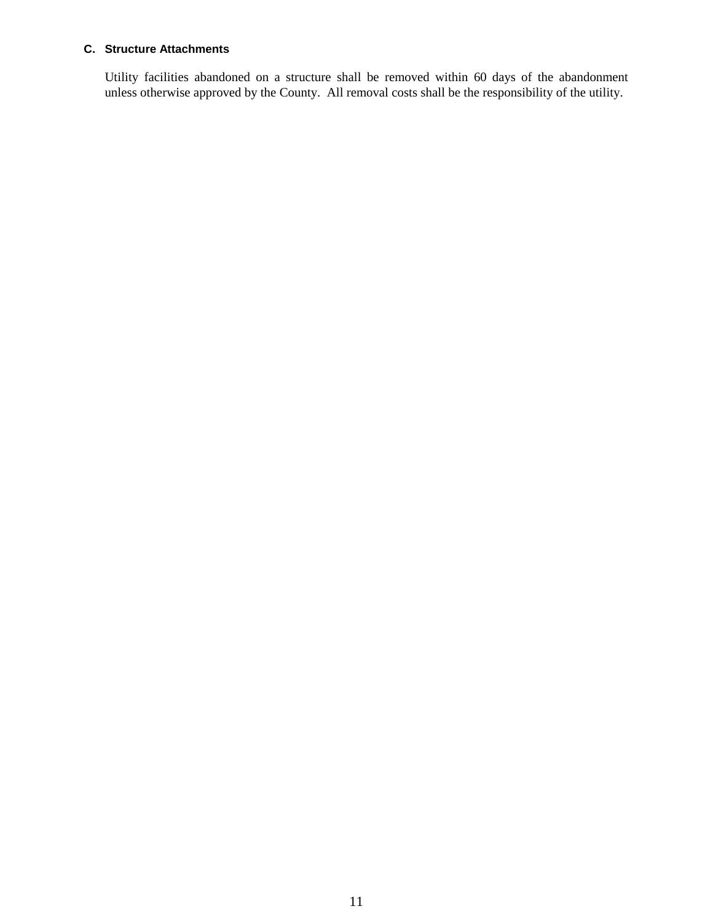## **C. Structure Attachments**

Utility facilities abandoned on a structure shall be removed within 60 days of the abandonment unless otherwise approved by the County. All removal costs shall be the responsibility of the utility.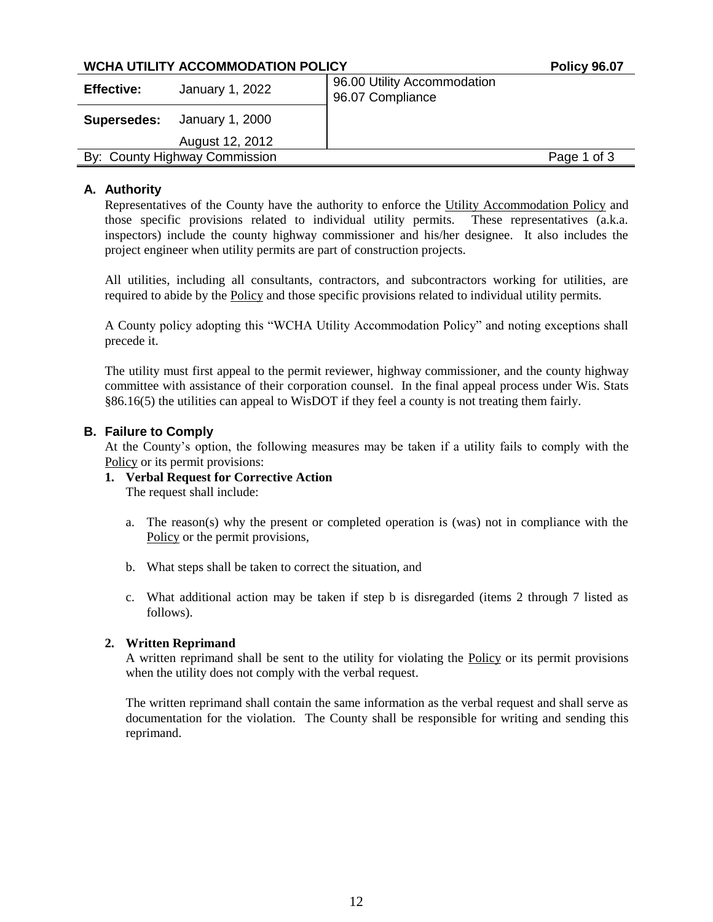## **WCHA UTILITY ACCOMMODATION POLICY POLICY POLICY POLICY**

| <b>Effective:</b>             | January 1, 2022 | 96.00 Utility Accommodation<br>96.07 Compliance |             |
|-------------------------------|-----------------|-------------------------------------------------|-------------|
| Supersedes:                   | January 1, 2000 |                                                 |             |
|                               | August 12, 2012 |                                                 |             |
| By: County Highway Commission |                 |                                                 | Page 1 of 3 |

## **A. Authority**

Representatives of the County have the authority to enforce the Utility Accommodation Policy and those specific provisions related to individual utility permits. These representatives (a.k.a. inspectors) include the county highway commissioner and his/her designee. It also includes the project engineer when utility permits are part of construction projects.

All utilities, including all consultants, contractors, and subcontractors working for utilities, are required to abide by the Policy and those specific provisions related to individual utility permits.

A County policy adopting this "WCHA Utility Accommodation Policy" and noting exceptions shall precede it.

The utility must first appeal to the permit reviewer, highway commissioner, and the county highway committee with assistance of their corporation counsel. In the final appeal process under Wis. Stats §86.16(5) the utilities can appeal to WisDOT if they feel a county is not treating them fairly.

## **B. Failure to Comply**

At the County's option, the following measures may be taken if a utility fails to comply with the Policy or its permit provisions:

# **1. Verbal Request for Corrective Action**

The request shall include:

- a. The reason(s) why the present or completed operation is (was) not in compliance with the Policy or the permit provisions,
- b. What steps shall be taken to correct the situation, and
- c. What additional action may be taken if step b is disregarded (items 2 through 7 listed as follows).

#### **2. Written Reprimand**

A written reprimand shall be sent to the utility for violating the Policy or its permit provisions when the utility does not comply with the verbal request.

The written reprimand shall contain the same information as the verbal request and shall serve as documentation for the violation. The County shall be responsible for writing and sending this reprimand.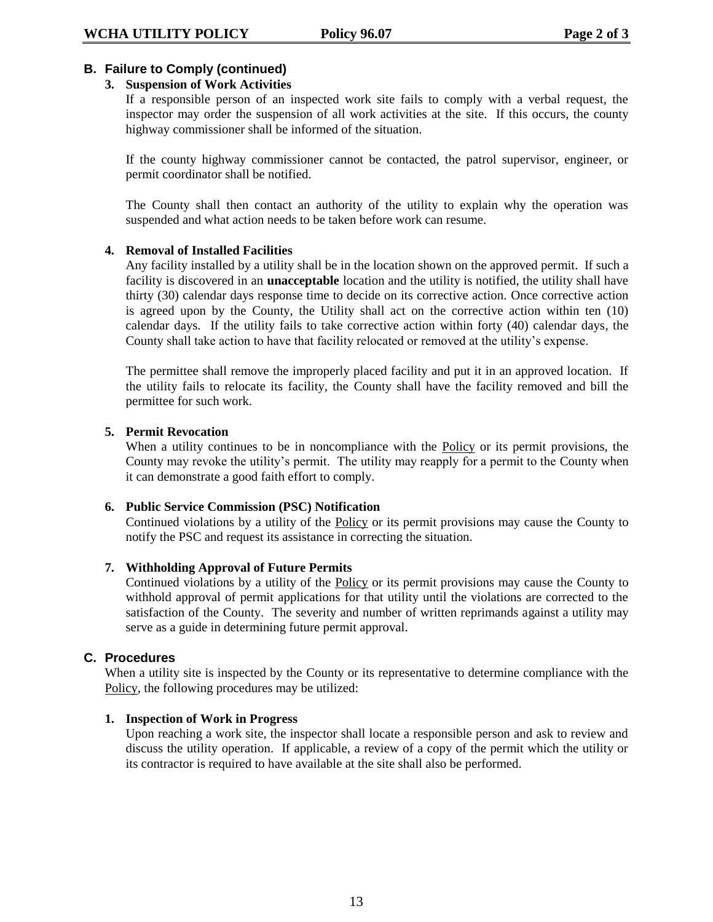## **B. Failure to Comply (continued)**

## **3. Suspension of Work Activities**

If a responsible person of an inspected work site fails to comply with a verbal request, the inspector may order the suspension of all work activities at the site. If this occurs, the county highway commissioner shall be informed of the situation.

If the county highway commissioner cannot be contacted, the patrol supervisor, engineer, or permit coordinator shall be notified.

The County shall then contact an authority of the utility to explain why the operation was suspended and what action needs to be taken before work can resume.

#### **4. Removal of Installed Facilities**

Any facility installed by a utility shall be in the location shown on the approved permit. If such a facility is discovered in an **unacceptable** location and the utility is notified, the utility shall have thirty (30) calendar days response time to decide on its corrective action. Once corrective action is agreed upon by the County, the Utility shall act on the corrective action within ten (10) calendar days. If the utility fails to take corrective action within forty (40) calendar days, the County shall take action to have that facility relocated or removed at the utility's expense.

The permittee shall remove the improperly placed facility and put it in an approved location. If the utility fails to relocate its facility, the County shall have the facility removed and bill the permittee for such work.

#### **5. Permit Revocation**

When a utility continues to be in noncompliance with the **Policy** or its permit provisions, the County may revoke the utility's permit. The utility may reapply for a permit to the County when it can demonstrate a good faith effort to comply.

#### **6. Public Service Commission (PSC) Notification**

Continued violations by a utility of the Policy or its permit provisions may cause the County to notify the PSC and request its assistance in correcting the situation.

#### **7. Withholding Approval of Future Permits**

Continued violations by a utility of the Policy or its permit provisions may cause the County to withhold approval of permit applications for that utility until the violations are corrected to the satisfaction of the County. The severity and number of written reprimands against a utility may serve as a guide in determining future permit approval.

#### **C. Procedures**

When a utility site is inspected by the County or its representative to determine compliance with the Policy, the following procedures may be utilized:

## **1. Inspection of Work in Progress**

Upon reaching a work site, the inspector shall locate a responsible person and ask to review and discuss the utility operation. If applicable, a review of a copy of the permit which the utility or its contractor is required to have available at the site shall also be performed.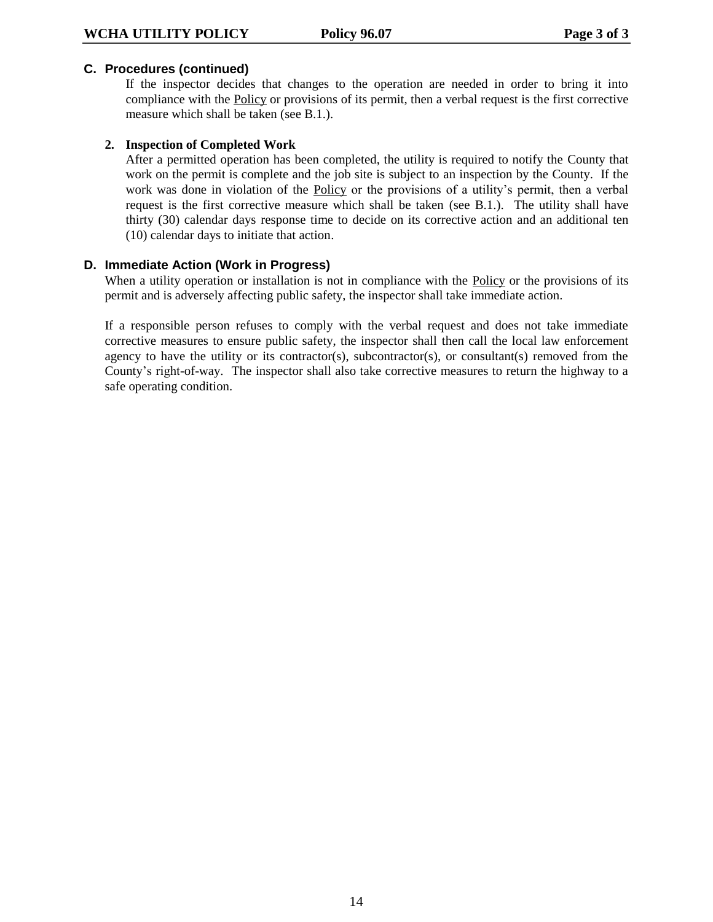#### **C. Procedures (continued)**

If the inspector decides that changes to the operation are needed in order to bring it into compliance with the Policy or provisions of its permit, then a verbal request is the first corrective measure which shall be taken (see B.1.).

#### **2. Inspection of Completed Work**

After a permitted operation has been completed, the utility is required to notify the County that work on the permit is complete and the job site is subject to an inspection by the County. If the work was done in violation of the Policy or the provisions of a utility's permit, then a verbal request is the first corrective measure which shall be taken (see B.1.). The utility shall have thirty (30) calendar days response time to decide on its corrective action and an additional ten (10) calendar days to initiate that action.

#### **D. Immediate Action (Work in Progress)**

When a utility operation or installation is not in compliance with the Policy or the provisions of its permit and is adversely affecting public safety, the inspector shall take immediate action.

If a responsible person refuses to comply with the verbal request and does not take immediate corrective measures to ensure public safety, the inspector shall then call the local law enforcement agency to have the utility or its contractor(s), subcontractor(s), or consultant(s) removed from the County's right-of-way. The inspector shall also take corrective measures to return the highway to a safe operating condition.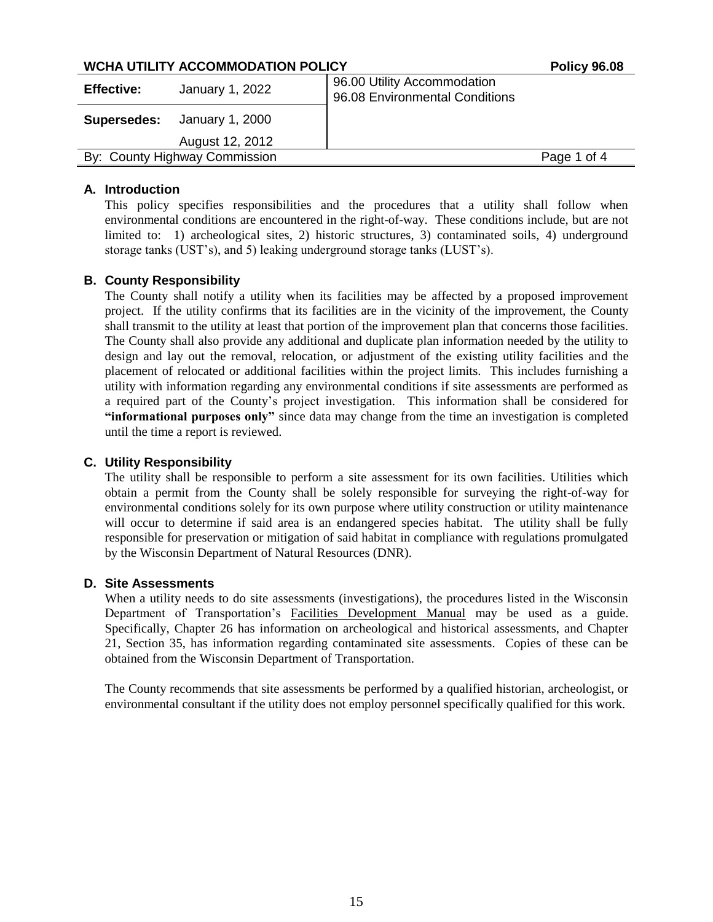## **WCHA UTILITY ACCOMMODATION POLICY POLICY POLICY** POLICY POLICY

| <b>Effective:</b> | January 1, 2022                    | 96.00 Utility Accommodation<br>96.08 Environmental Conditions |             |
|-------------------|------------------------------------|---------------------------------------------------------------|-------------|
|                   | <b>Supersedes:</b> January 1, 2000 |                                                               |             |
|                   | August 12, 2012                    |                                                               |             |
|                   | By: County Highway Commission      |                                                               | Page 1 of 4 |

#### **A. Introduction**

This policy specifies responsibilities and the procedures that a utility shall follow when environmental conditions are encountered in the right-of-way. These conditions include, but are not limited to: 1) archeological sites, 2) historic structures, 3) contaminated soils, 4) underground storage tanks (UST's), and 5) leaking underground storage tanks (LUST's).

## **B. County Responsibility**

The County shall notify a utility when its facilities may be affected by a proposed improvement project. If the utility confirms that its facilities are in the vicinity of the improvement, the County shall transmit to the utility at least that portion of the improvement plan that concerns those facilities. The County shall also provide any additional and duplicate plan information needed by the utility to design and lay out the removal, relocation, or adjustment of the existing utility facilities and the placement of relocated or additional facilities within the project limits. This includes furnishing a utility with information regarding any environmental conditions if site assessments are performed as a required part of the County's project investigation. This information shall be considered for **"informational purposes only"** since data may change from the time an investigation is completed until the time a report is reviewed.

#### **C. Utility Responsibility**

The utility shall be responsible to perform a site assessment for its own facilities. Utilities which obtain a permit from the County shall be solely responsible for surveying the right-of-way for environmental conditions solely for its own purpose where utility construction or utility maintenance will occur to determine if said area is an endangered species habitat. The utility shall be fully responsible for preservation or mitigation of said habitat in compliance with regulations promulgated by the Wisconsin Department of Natural Resources (DNR).

#### **D. Site Assessments**

When a utility needs to do site assessments (investigations), the procedures listed in the Wisconsin Department of Transportation's Facilities Development Manual may be used as a guide. Specifically, Chapter 26 has information on archeological and historical assessments, and Chapter 21, Section 35, has information regarding contaminated site assessments. Copies of these can be obtained from the Wisconsin Department of Transportation.

The County recommends that site assessments be performed by a qualified historian, archeologist, or environmental consultant if the utility does not employ personnel specifically qualified for this work.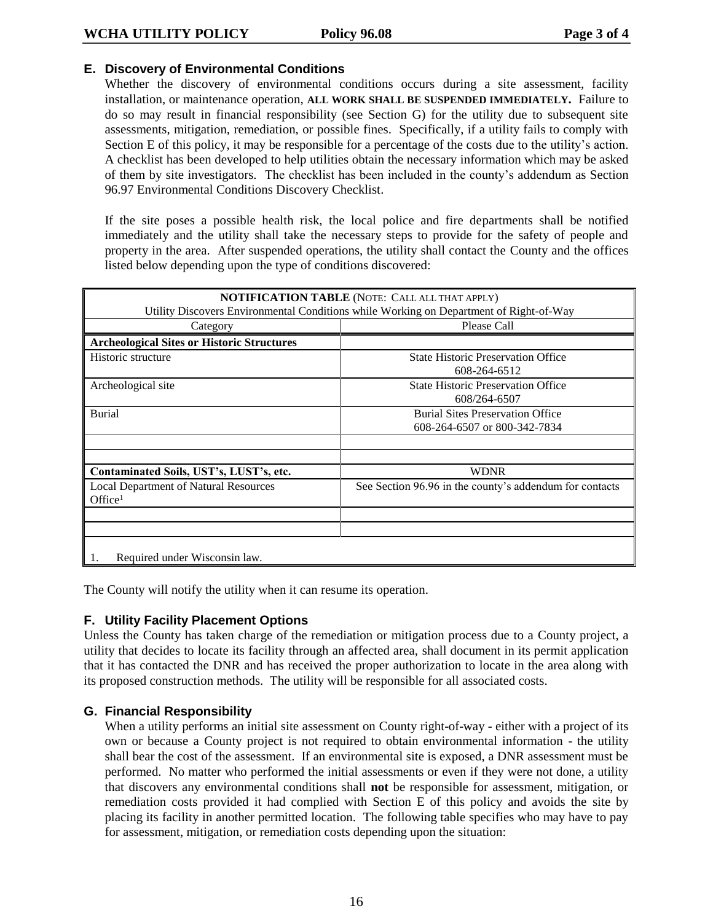## **E. Discovery of Environmental Conditions**

Whether the discovery of environmental conditions occurs during a site assessment, facility installation, or maintenance operation, **ALL WORK SHALL BE SUSPENDED IMMEDIATELY.** Failure to do so may result in financial responsibility (see Section G) for the utility due to subsequent site assessments, mitigation, remediation, or possible fines. Specifically, if a utility fails to comply with Section E of this policy, it may be responsible for a percentage of the costs due to the utility's action. A checklist has been developed to help utilities obtain the necessary information which may be asked of them by site investigators. The checklist has been included in the county's addendum as Section 96.97 Environmental Conditions Discovery Checklist.

If the site poses a possible health risk, the local police and fire departments shall be notified immediately and the utility shall take the necessary steps to provide for the safety of people and property in the area. After suspended operations, the utility shall contact the County and the offices listed below depending upon the type of conditions discovered:

|                                                   | <b>NOTIFICATION TABLE</b> (NOTE: CALL ALL THAT APPLY)                                  |
|---------------------------------------------------|----------------------------------------------------------------------------------------|
|                                                   | Utility Discovers Environmental Conditions while Working on Department of Right-of-Way |
| Category                                          | Please Call                                                                            |
| <b>Archeological Sites or Historic Structures</b> |                                                                                        |
| Historic structure                                | <b>State Historic Preservation Office</b>                                              |
|                                                   | 608-264-6512                                                                           |
| Archeological site                                | <b>State Historic Preservation Office</b>                                              |
|                                                   | 608/264-6507                                                                           |
| <b>Burial</b>                                     | <b>Burial Sites Preservation Office</b>                                                |
|                                                   | 608-264-6507 or 800-342-7834                                                           |
|                                                   |                                                                                        |
|                                                   |                                                                                        |
| Contaminated Soils, UST's, LUST's, etc.           | <b>WDNR</b>                                                                            |
| <b>Local Department of Natural Resources</b>      | See Section 96.96 in the county's addendum for contacts                                |
| Office <sup>1</sup>                               |                                                                                        |
|                                                   |                                                                                        |
|                                                   |                                                                                        |
|                                                   |                                                                                        |
| Required under Wisconsin law.                     |                                                                                        |

The County will notify the utility when it can resume its operation.

## **F. Utility Facility Placement Options**

Unless the County has taken charge of the remediation or mitigation process due to a County project, a utility that decides to locate its facility through an affected area, shall document in its permit application that it has contacted the DNR and has received the proper authorization to locate in the area along with its proposed construction methods. The utility will be responsible for all associated costs.

## **G. Financial Responsibility**

When a utility performs an initial site assessment on County right-of-way - either with a project of its own or because a County project is not required to obtain environmental information - the utility shall bear the cost of the assessment. If an environmental site is exposed, a DNR assessment must be performed. No matter who performed the initial assessments or even if they were not done, a utility that discovers any environmental conditions shall **not** be responsible for assessment, mitigation, or remediation costs provided it had complied with Section E of this policy and avoids the site by placing its facility in another permitted location. The following table specifies who may have to pay for assessment, mitigation, or remediation costs depending upon the situation: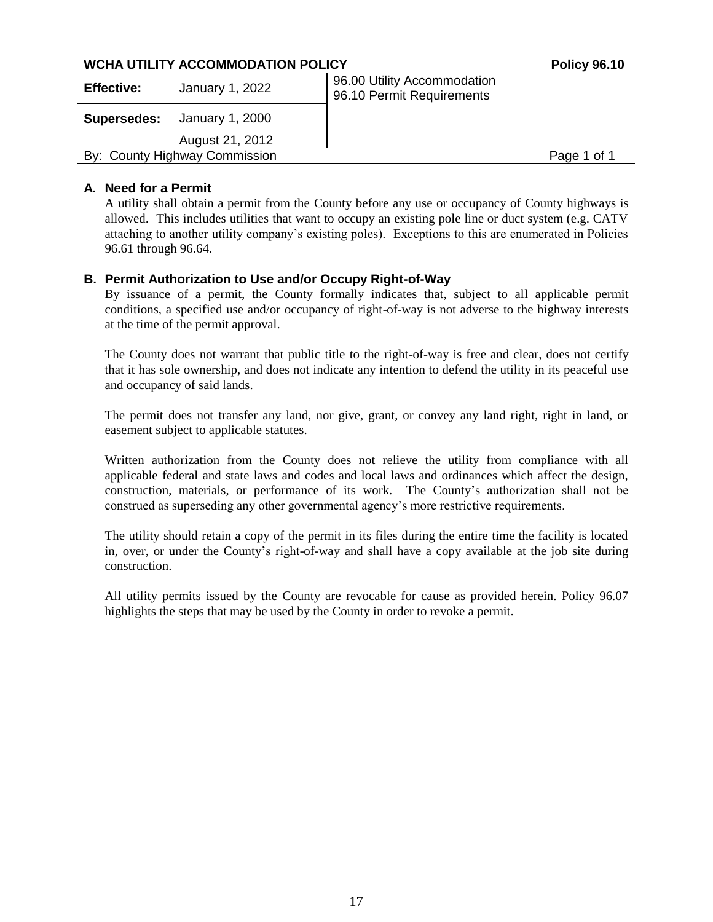## **WCHA UTILITY ACCOMMODATION POLICY POLICY POLICY** Policy 96.10

| <b>Effective:</b> | January 1, 2022               | 96.00 Utility Accommodation<br>96.10 Permit Requirements |             |
|-------------------|-------------------------------|----------------------------------------------------------|-------------|
| Supersedes:       | January 1, 2000               |                                                          |             |
|                   | August 21, 2012               |                                                          |             |
|                   | By: County Highway Commission |                                                          | Page 1 of 1 |

## **A. Need for a Permit**

A utility shall obtain a permit from the County before any use or occupancy of County highways is allowed. This includes utilities that want to occupy an existing pole line or duct system (e.g. CATV attaching to another utility company's existing poles). Exceptions to this are enumerated in Policies 96.61 through 96.64.

## **B. Permit Authorization to Use and/or Occupy Right-of-Way**

By issuance of a permit, the County formally indicates that, subject to all applicable permit conditions, a specified use and/or occupancy of right-of-way is not adverse to the highway interests at the time of the permit approval.

The County does not warrant that public title to the right-of-way is free and clear, does not certify that it has sole ownership, and does not indicate any intention to defend the utility in its peaceful use and occupancy of said lands.

The permit does not transfer any land, nor give, grant, or convey any land right, right in land, or easement subject to applicable statutes.

Written authorization from the County does not relieve the utility from compliance with all applicable federal and state laws and codes and local laws and ordinances which affect the design, construction, materials, or performance of its work. The County's authorization shall not be construed as superseding any other governmental agency's more restrictive requirements.

The utility should retain a copy of the permit in its files during the entire time the facility is located in, over, or under the County's right-of-way and shall have a copy available at the job site during construction.

All utility permits issued by the County are revocable for cause as provided herein. Policy 96.07 highlights the steps that may be used by the County in order to revoke a permit.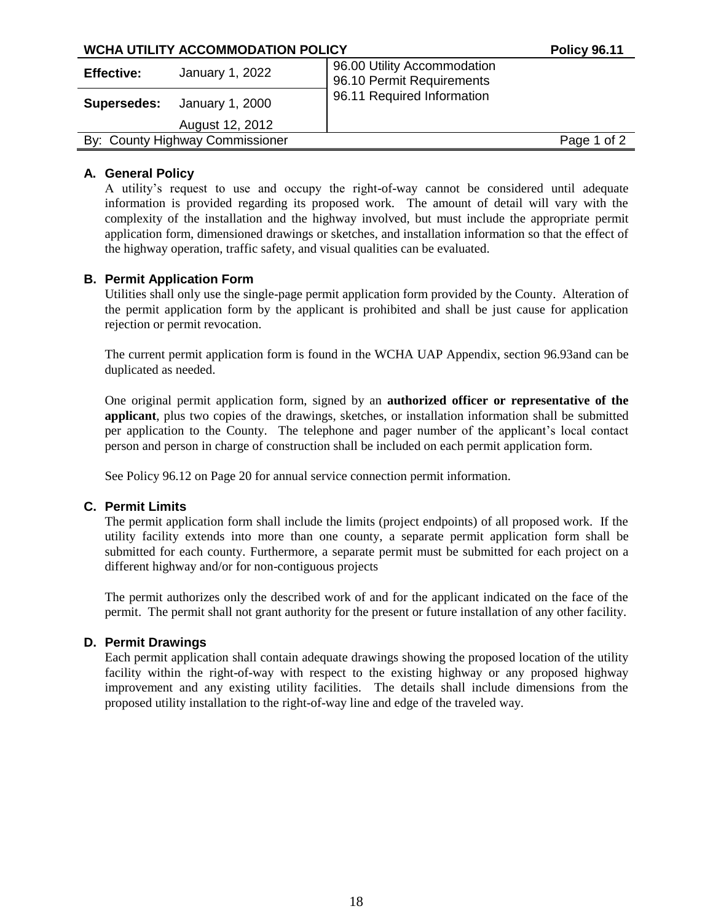|                   | WCHA UTILITY ACCOMMODATION POLICY  |                                                          | <b>Policy 96.11</b> |
|-------------------|------------------------------------|----------------------------------------------------------|---------------------|
| <b>Effective:</b> | January 1, 2022                    | 96.00 Utility Accommodation<br>96.10 Permit Requirements |                     |
|                   | <b>Supersedes:</b> January 1, 2000 | 96.11 Required Information                               |                     |
|                   | August 12, 2012                    |                                                          |                     |
|                   | By: County Highway Commissioner    |                                                          | Page 1 of 2         |
|                   |                                    |                                                          |                     |

## **A. General Policy**

A utility's request to use and occupy the right-of-way cannot be considered until adequate information is provided regarding its proposed work. The amount of detail will vary with the complexity of the installation and the highway involved, but must include the appropriate permit application form, dimensioned drawings or sketches, and installation information so that the effect of the highway operation, traffic safety, and visual qualities can be evaluated.

## **B. Permit Application Form**

Utilities shall only use the single-page permit application form provided by the County. Alteration of the permit application form by the applicant is prohibited and shall be just cause for application rejection or permit revocation.

The current permit application form is found in the WCHA UAP Appendix, section 96.93and can be duplicated as needed.

One original permit application form, signed by an **authorized officer or representative of the applicant**, plus two copies of the drawings, sketches, or installation information shall be submitted per application to the County. The telephone and pager number of the applicant's local contact person and person in charge of construction shall be included on each permit application form.

See Policy 96.12 on Page 20 for annual service connection permit information.

#### **C. Permit Limits**

The permit application form shall include the limits (project endpoints) of all proposed work. If the utility facility extends into more than one county, a separate permit application form shall be submitted for each county. Furthermore, a separate permit must be submitted for each project on a different highway and/or for non-contiguous projects

The permit authorizes only the described work of and for the applicant indicated on the face of the permit. The permit shall not grant authority for the present or future installation of any other facility.

#### **D. Permit Drawings**

Each permit application shall contain adequate drawings showing the proposed location of the utility facility within the right-of-way with respect to the existing highway or any proposed highway improvement and any existing utility facilities. The details shall include dimensions from the proposed utility installation to the right-of-way line and edge of the traveled way.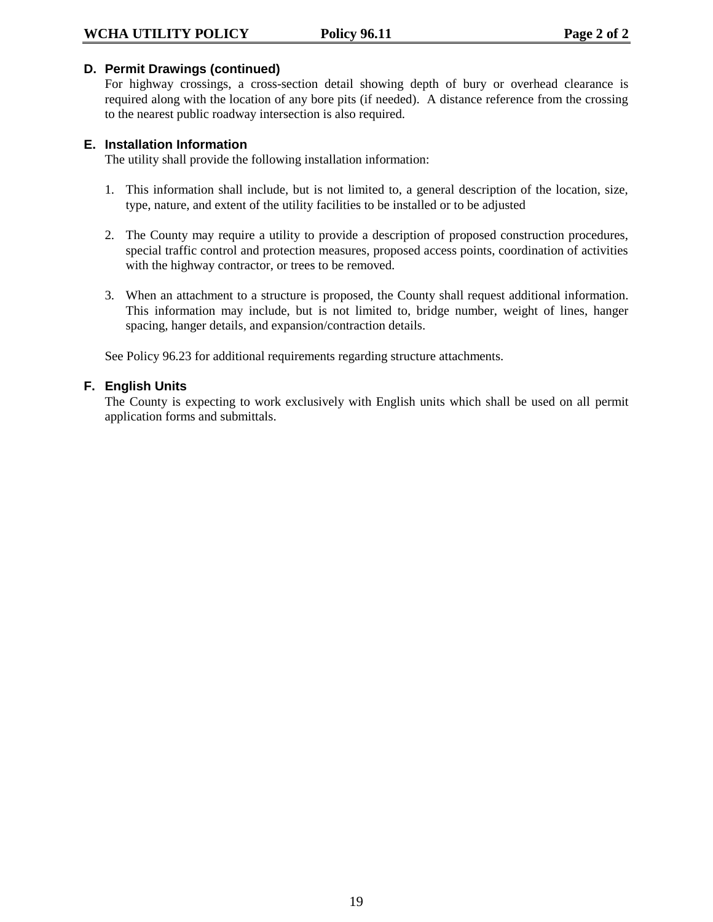## **D. Permit Drawings (continued)**

For highway crossings, a cross-section detail showing depth of bury or overhead clearance is required along with the location of any bore pits (if needed). A distance reference from the crossing to the nearest public roadway intersection is also required.

## **E. Installation Information**

The utility shall provide the following installation information:

- 1. This information shall include, but is not limited to, a general description of the location, size, type, nature, and extent of the utility facilities to be installed or to be adjusted
- 2. The County may require a utility to provide a description of proposed construction procedures, special traffic control and protection measures, proposed access points, coordination of activities with the highway contractor, or trees to be removed.
- 3. When an attachment to a structure is proposed, the County shall request additional information. This information may include, but is not limited to, bridge number, weight of lines, hanger spacing, hanger details, and expansion/contraction details.

See Policy 96.23 for additional requirements regarding structure attachments.

## **F. English Units**

The County is expecting to work exclusively with English units which shall be used on all permit application forms and submittals.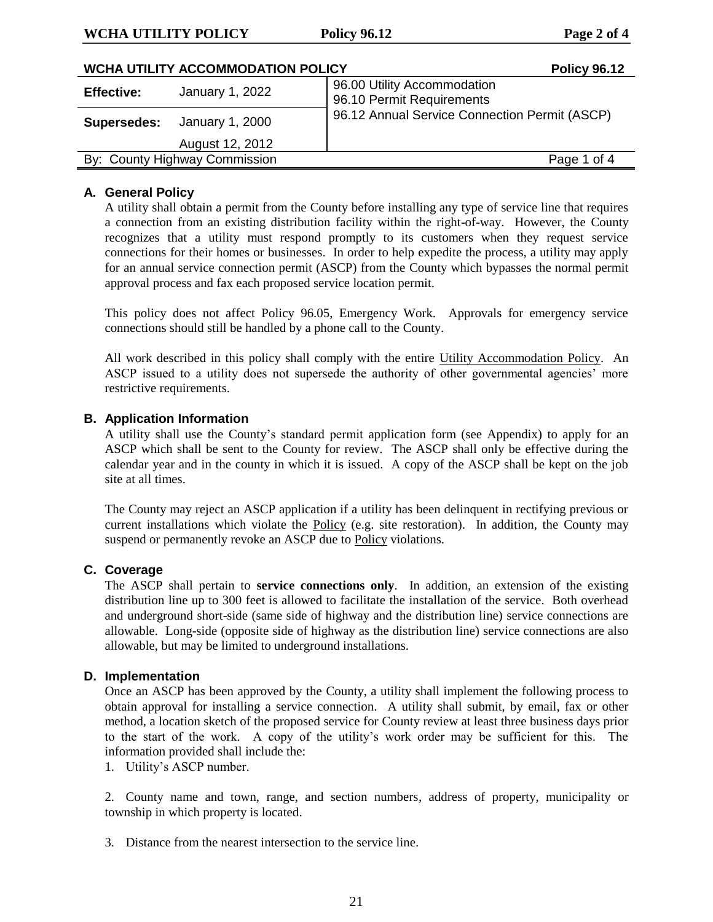## **WCHA UTILITY POLICY Policy 96.12 Page 2 of 4**

|                   | <b>WCHA UTILITY ACCOMMODATION POLICY</b> | <b>Policy 96.12</b>                                      |
|-------------------|------------------------------------------|----------------------------------------------------------|
| <b>Effective:</b> | January 1, 2022                          | 96.00 Utility Accommodation<br>96.10 Permit Requirements |
|                   | <b>Supersedes:</b> January 1, 2000       | 96.12 Annual Service Connection Permit (ASCP)            |
|                   | August 12, 2012                          |                                                          |
|                   | By: County Highway Commission            | Page 1 of 4                                              |

## **A. General Policy**

A utility shall obtain a permit from the County before installing any type of service line that requires a connection from an existing distribution facility within the right-of-way. However, the County recognizes that a utility must respond promptly to its customers when they request service connections for their homes or businesses. In order to help expedite the process, a utility may apply for an annual service connection permit (ASCP) from the County which bypasses the normal permit approval process and fax each proposed service location permit.

This policy does not affect Policy 96.05, Emergency Work. Approvals for emergency service connections should still be handled by a phone call to the County.

All work described in this policy shall comply with the entire Utility Accommodation Policy. An ASCP issued to a utility does not supersede the authority of other governmental agencies' more restrictive requirements.

#### **B. Application Information**

A utility shall use the County's standard permit application form (see Appendix) to apply for an ASCP which shall be sent to the County for review. The ASCP shall only be effective during the calendar year and in the county in which it is issued. A copy of the ASCP shall be kept on the job site at all times.

The County may reject an ASCP application if a utility has been delinquent in rectifying previous or current installations which violate the Policy (e.g. site restoration). In addition, the County may suspend or permanently revoke an ASCP due to Policy violations.

### **C. Coverage**

The ASCP shall pertain to **service connections only**. In addition, an extension of the existing distribution line up to 300 feet is allowed to facilitate the installation of the service. Both overhead and underground short-side (same side of highway and the distribution line) service connections are allowable. Long-side (opposite side of highway as the distribution line) service connections are also allowable, but may be limited to underground installations.

#### **D. Implementation**

Once an ASCP has been approved by the County, a utility shall implement the following process to obtain approval for installing a service connection. A utility shall submit, by email, fax or other method, a location sketch of the proposed service for County review at least three business days prior to the start of the work. A copy of the utility's work order may be sufficient for this. The information provided shall include the:

1. Utility's ASCP number.

2. County name and town, range, and section numbers, address of property, municipality or township in which property is located.

3. Distance from the nearest intersection to the service line.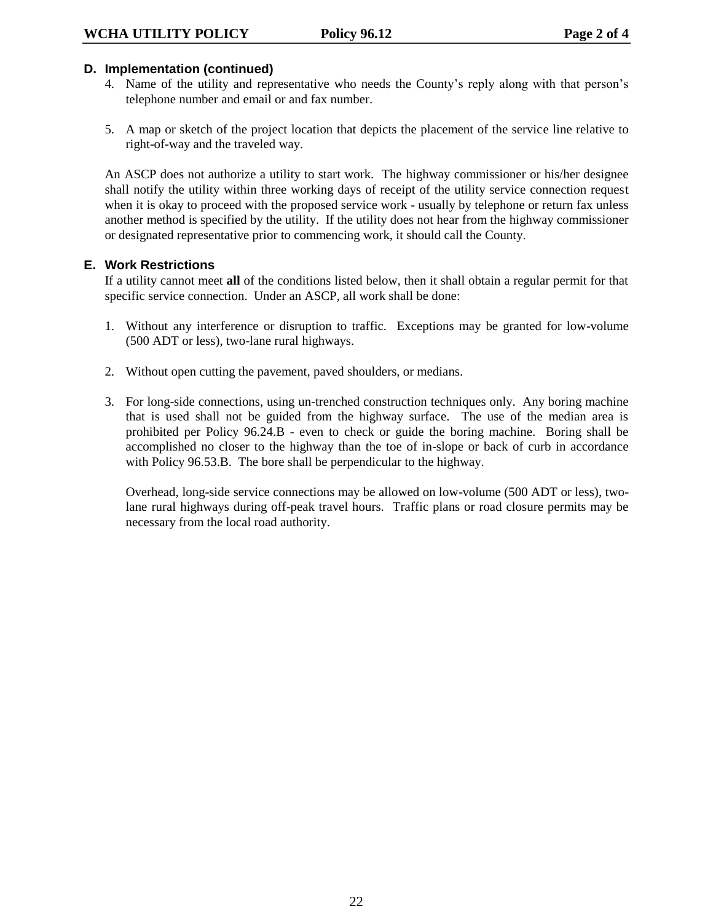## **D. Implementation (continued)**

- 4. Name of the utility and representative who needs the County's reply along with that person's telephone number and email or and fax number.
- 5. A map or sketch of the project location that depicts the placement of the service line relative to right-of-way and the traveled way.

An ASCP does not authorize a utility to start work. The highway commissioner or his/her designee shall notify the utility within three working days of receipt of the utility service connection request when it is okay to proceed with the proposed service work - usually by telephone or return fax unless another method is specified by the utility. If the utility does not hear from the highway commissioner or designated representative prior to commencing work, it should call the County.

## **E. Work Restrictions**

If a utility cannot meet **all** of the conditions listed below, then it shall obtain a regular permit for that specific service connection. Under an ASCP, all work shall be done:

- 1. Without any interference or disruption to traffic. Exceptions may be granted for low-volume (500 ADT or less), two-lane rural highways.
- 2. Without open cutting the pavement, paved shoulders, or medians.
- 3. For long-side connections, using un-trenched construction techniques only. Any boring machine that is used shall not be guided from the highway surface. The use of the median area is prohibited per Policy 96.24.B - even to check or guide the boring machine. Boring shall be accomplished no closer to the highway than the toe of in-slope or back of curb in accordance with Policy 96.53.B. The bore shall be perpendicular to the highway.

Overhead, long-side service connections may be allowed on low-volume (500 ADT or less), twolane rural highways during off-peak travel hours. Traffic plans or road closure permits may be necessary from the local road authority.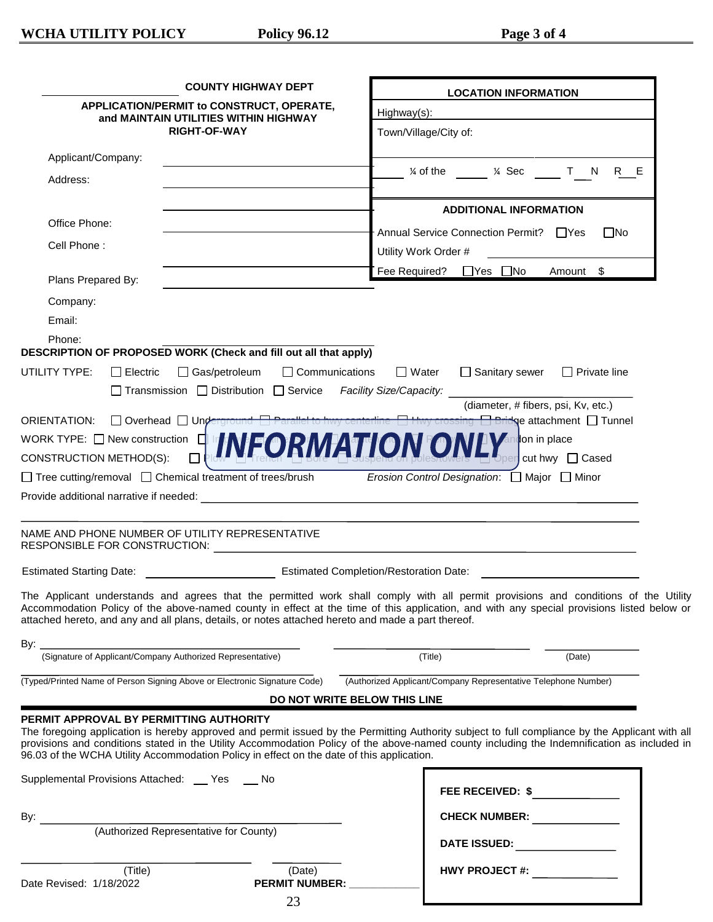|                               |                                           | <b>COUNTY HIGHWAY DEPT</b>                                                                                                           |                              |                       | <b>LOCATION INFORMATION</b>                                                                                                                                                                                                                                                                    |                     |  |
|-------------------------------|-------------------------------------------|--------------------------------------------------------------------------------------------------------------------------------------|------------------------------|-----------------------|------------------------------------------------------------------------------------------------------------------------------------------------------------------------------------------------------------------------------------------------------------------------------------------------|---------------------|--|
|                               | APPLICATION/PERMIT to CONSTRUCT, OPERATE, |                                                                                                                                      | Highway(s):                  |                       |                                                                                                                                                                                                                                                                                                |                     |  |
|                               |                                           | and MAINTAIN UTILITIES WITHIN HIGHWAY<br><b>RIGHT-OF-WAY</b>                                                                         |                              | Town/Village/City of: |                                                                                                                                                                                                                                                                                                |                     |  |
|                               |                                           |                                                                                                                                      |                              |                       |                                                                                                                                                                                                                                                                                                |                     |  |
| Applicant/Company:            |                                           |                                                                                                                                      |                              |                       | % of the % Sec T N R E                                                                                                                                                                                                                                                                         |                     |  |
| Address:                      |                                           |                                                                                                                                      |                              |                       |                                                                                                                                                                                                                                                                                                |                     |  |
|                               |                                           |                                                                                                                                      |                              |                       | <b>ADDITIONAL INFORMATION</b>                                                                                                                                                                                                                                                                  |                     |  |
| Office Phone:                 |                                           |                                                                                                                                      |                              |                       | Annual Service Connection Permit? □ Yes                                                                                                                                                                                                                                                        | $\Box$ No           |  |
| Cell Phone:                   |                                           |                                                                                                                                      |                              | Utility Work Order #  |                                                                                                                                                                                                                                                                                                |                     |  |
| Plans Prepared By:            |                                           |                                                                                                                                      |                              |                       | Fee Required? □ Yes □ No                                                                                                                                                                                                                                                                       | Amount \$           |  |
|                               |                                           |                                                                                                                                      |                              |                       |                                                                                                                                                                                                                                                                                                |                     |  |
| Company:<br>Email:            |                                           |                                                                                                                                      |                              |                       |                                                                                                                                                                                                                                                                                                |                     |  |
| Phone:                        |                                           |                                                                                                                                      |                              |                       |                                                                                                                                                                                                                                                                                                |                     |  |
|                               |                                           | DESCRIPTION OF PROPOSED WORK (Check and fill out all that apply)                                                                     |                              |                       |                                                                                                                                                                                                                                                                                                |                     |  |
| UTILITY TYPE:                 | $\Box$ Electric                           | □ Gas/petroleum                                                                                                                      | $\Box$ Communications        | $\square$ Water       | □ Sanitary sewer                                                                                                                                                                                                                                                                               | $\Box$ Private line |  |
|                               |                                           | □ Transmission □ Distribution □ Service Facility Size/Capacity:                                                                      |                              |                       |                                                                                                                                                                                                                                                                                                |                     |  |
|                               |                                           |                                                                                                                                      |                              |                       | (diameter, # fibers, psi, Kv, etc.)                                                                                                                                                                                                                                                            |                     |  |
| ORIENTATION:                  |                                           | □ Overhead □ Underground □ Parallel to hwy centerline                                                                                |                              |                       | crossing <b>Bridge</b> attachment Tunnel                                                                                                                                                                                                                                                       |                     |  |
| CONSTRUCTION METHOD(S):       |                                           | WORK TYPE: O New CONStruction O INFORMATION ON                                                                                       |                              |                       | <b>TV</b> andon in place                                                                                                                                                                                                                                                                       | percut hwy Cased    |  |
|                               |                                           | □ Tree cutting/removal □ Chemical treatment of trees/brush                                                                           |                              |                       | <i>Erosion Control Designation</i> : □ Major □ Minor                                                                                                                                                                                                                                           |                     |  |
|                               |                                           |                                                                                                                                      |                              |                       |                                                                                                                                                                                                                                                                                                |                     |  |
|                               |                                           |                                                                                                                                      |                              |                       |                                                                                                                                                                                                                                                                                                |                     |  |
| RESPONSIBLE FOR CONSTRUCTION: |                                           | NAME AND PHONE NUMBER OF UTILITY REPRESENTATIVE                                                                                      |                              |                       | <u> 1980 - Jan James James Sandarík (</u> † 1920)                                                                                                                                                                                                                                              |                     |  |
|                               |                                           |                                                                                                                                      |                              |                       |                                                                                                                                                                                                                                                                                                |                     |  |
|                               |                                           | attached hereto, and any and all plans, details, or notes attached hereto and made a part thereof.                                   |                              |                       | The Applicant understands and agrees that the permitted work shall comply with all permit provisions and conditions of the Utility<br>Accommodation Policy of the above-named county in effect at the time of this application, and with any special provisions listed below or                |                     |  |
| By: $\overline{\phantom{0}}$  |                                           | (Signature of Applicant/Company Authorized Representative)                                                                           |                              |                       |                                                                                                                                                                                                                                                                                                |                     |  |
|                               |                                           |                                                                                                                                      |                              | (Title)               |                                                                                                                                                                                                                                                                                                | (Date)              |  |
|                               |                                           | (Typed/Printed Name of Person Signing Above or Electronic Signature Code)                                                            |                              |                       | (Authorized Applicant/Company Representative Telephone Number)                                                                                                                                                                                                                                 |                     |  |
|                               |                                           |                                                                                                                                      | DO NOT WRITE BELOW THIS LINE |                       |                                                                                                                                                                                                                                                                                                |                     |  |
|                               |                                           | PERMIT APPROVAL BY PERMITTING AUTHORITY<br>96.03 of the WCHA Utility Accommodation Policy in effect on the date of this application. |                              |                       | The foregoing application is hereby approved and permit issued by the Permitting Authority subject to full compliance by the Applicant with all<br>provisions and conditions stated in the Utility Accommodation Policy of the above-named county including the Indemnification as included in |                     |  |
|                               |                                           | Supplemental Provisions Attached: ___ Yes ___ No                                                                                     |                              |                       | FEE RECEIVED: \$                                                                                                                                                                                                                                                                               |                     |  |
|                               |                                           |                                                                                                                                      |                              |                       |                                                                                                                                                                                                                                                                                                |                     |  |
| By:                           |                                           | (Authorized Representative for County)                                                                                               |                              |                       | <b>CHECK NUMBER:</b>                                                                                                                                                                                                                                                                           |                     |  |
|                               |                                           |                                                                                                                                      |                              |                       | DATE ISSUED: _______________                                                                                                                                                                                                                                                                   |                     |  |
|                               | (Title)                                   |                                                                                                                                      | (Date)                       |                       | <b>HWY PROJECT #:</b>                                                                                                                                                                                                                                                                          |                     |  |
| Date Revised: 1/18/2022       |                                           |                                                                                                                                      | <b>PERMIT NUMBER:</b>        |                       |                                                                                                                                                                                                                                                                                                |                     |  |

23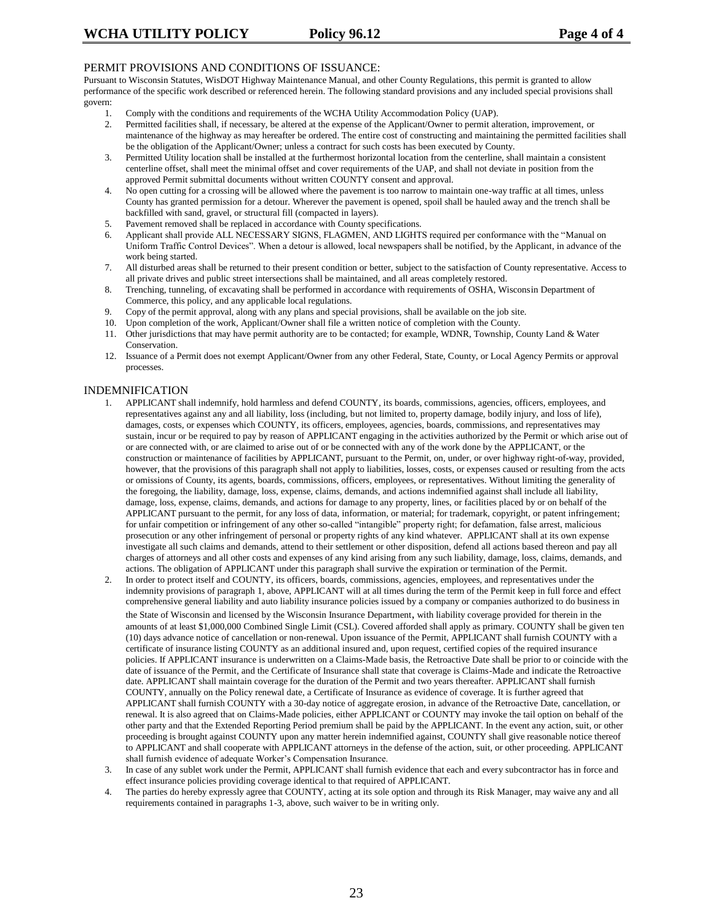#### PERMIT PROVISIONS AND CONDITIONS OF ISSUANCE:

Pursuant to Wisconsin Statutes, WisDOT Highway Maintenance Manual, and other County Regulations, this permit is granted to allow performance of the specific work described or referenced herein. The following standard provisions and any included special provisions shall govern:

- 1. Comply with the conditions and requirements of the WCHA Utility Accommodation Policy (UAP).
- 2. Permitted facilities shall, if necessary, be altered at the expense of the Applicant/Owner to permit alteration, improvement, or maintenance of the highway as may hereafter be ordered. The entire cost of constructing and maintaining the permitted facilities shall be the obligation of the Applicant/Owner; unless a contract for such costs has been executed by County.
- 3. Permitted Utility location shall be installed at the furthermost horizontal location from the centerline, shall maintain a consistent centerline offset, shall meet the minimal offset and cover requirements of the UAP, and shall not deviate in position from the approved Permit submittal documents without written COUNTY consent and approval.
- 4. No open cutting for a crossing will be allowed where the pavement is too narrow to maintain one-way traffic at all times, unless County has granted permission for a detour. Wherever the pavement is opened, spoil shall be hauled away and the trench shall be backfilled with sand, gravel, or structural fill (compacted in layers).
- 5. Pavement removed shall be replaced in accordance with County specifications.
- 6. Applicant shall provide ALL NECESSARY SIGNS, FLAGMEN, AND LIGHTS required per conformance with the "Manual on Uniform Traffic Control Devices". When a detour is allowed, local newspapers shall be notified, by the Applicant, in advance of the work being started.
- 7. All disturbed areas shall be returned to their present condition or better, subject to the satisfaction of County representative. Access to all private drives and public street intersections shall be maintained, and all areas completely restored.
- 8. Trenching, tunneling, of excavating shall be performed in accordance with requirements of OSHA, Wisconsin Department of Commerce, this policy, and any applicable local regulations.
- 9. Copy of the permit approval, along with any plans and special provisions, shall be available on the job site.
- 10. Upon completion of the work, Applicant/Owner shall file a written notice of completion with the County.
- 11. Other jurisdictions that may have permit authority are to be contacted; for example, WDNR, Township, County Land & Water Conservation.
- 12. Issuance of a Permit does not exempt Applicant/Owner from any other Federal, State, County, or Local Agency Permits or approval processes.

#### INDEMNIFICATION

- 1. APPLICANT shall indemnify, hold harmless and defend COUNTY, its boards, commissions, agencies, officers, employees, and representatives against any and all liability, loss (including, but not limited to, property damage, bodily injury, and loss of life), damages, costs, or expenses which COUNTY, its officers, employees, agencies, boards, commissions, and representatives may sustain, incur or be required to pay by reason of APPLICANT engaging in the activities authorized by the Permit or which arise out of or are connected with, or are claimed to arise out of or be connected with any of the work done by the APPLICANT, or the construction or maintenance of facilities by APPLICANT, pursuant to the Permit, on, under, or over highway right-of-way, provided, however, that the provisions of this paragraph shall not apply to liabilities, losses, costs, or expenses caused or resulting from the acts or omissions of County, its agents, boards, commissions, officers, employees, or representatives. Without limiting the generality of the foregoing, the liability, damage, loss, expense, claims, demands, and actions indemnified against shall include all liability, damage, loss, expense, claims, demands, and actions for damage to any property, lines, or facilities placed by or on behalf of the APPLICANT pursuant to the permit, for any loss of data, information, or material; for trademark, copyright, or patent infringement; for unfair competition or infringement of any other so-called "intangible" property right; for defamation, false arrest, malicious prosecution or any other infringement of personal or property rights of any kind whatever. APPLICANT shall at its own expense investigate all such claims and demands, attend to their settlement or other disposition, defend all actions based thereon and pay all charges of attorneys and all other costs and expenses of any kind arising from any such liability, damage, loss, claims, demands, and actions. The obligation of APPLICANT under this paragraph shall survive the expiration or termination of the Permit.
- 2. In order to protect itself and COUNTY, its officers, boards, commissions, agencies, employees, and representatives under the indemnity provisions of paragraph 1, above, APPLICANT will at all times during the term of the Permit keep in full force and effect comprehensive general liability and auto liability insurance policies issued by a company or companies authorized to do business in the State of Wisconsin and licensed by the Wisconsin Insurance Department, with liability coverage provided for therein in the amounts of at least \$1,000,000 Combined Single Limit (CSL). Covered afforded shall apply as primary. COUNTY shall be given ten (10) days advance notice of cancellation or non-renewal. Upon issuance of the Permit, APPLICANT shall furnish COUNTY with a certificate of insurance listing COUNTY as an additional insured and, upon request, certified copies of the required insurance policies. If APPLICANT insurance is underwritten on a Claims-Made basis, the Retroactive Date shall be prior to or coincide with the date of issuance of the Permit, and the Certificate of Insurance shall state that coverage is Claims-Made and indicate the Retroactive date. APPLICANT shall maintain coverage for the duration of the Permit and two years thereafter. APPLICANT shall furnish COUNTY, annually on the Policy renewal date, a Certificate of Insurance as evidence of coverage. It is further agreed that APPLICANT shall furnish COUNTY with a 30-day notice of aggregate erosion, in advance of the Retroactive Date, cancellation, or renewal. It is also agreed that on Claims-Made policies, either APPLICANT or COUNTY may invoke the tail option on behalf of the other party and that the Extended Reporting Period premium shall be paid by the APPLICANT. In the event any action, suit, or other proceeding is brought against COUNTY upon any matter herein indemnified against, COUNTY shall give reasonable notice thereof to APPLICANT and shall cooperate with APPLICANT attorneys in the defense of the action, suit, or other proceeding. APPLICANT shall furnish evidence of adequate Worker's Compensation Insurance.
- 3. In case of any sublet work under the Permit, APPLICANT shall furnish evidence that each and every subcontractor has in force and effect insurance policies providing coverage identical to that required of APPLICANT.
- The parties do hereby expressly agree that COUNTY, acting at its sole option and through its Risk Manager, may waive any and all requirements contained in paragraphs 1-3, above, such waiver to be in writing only.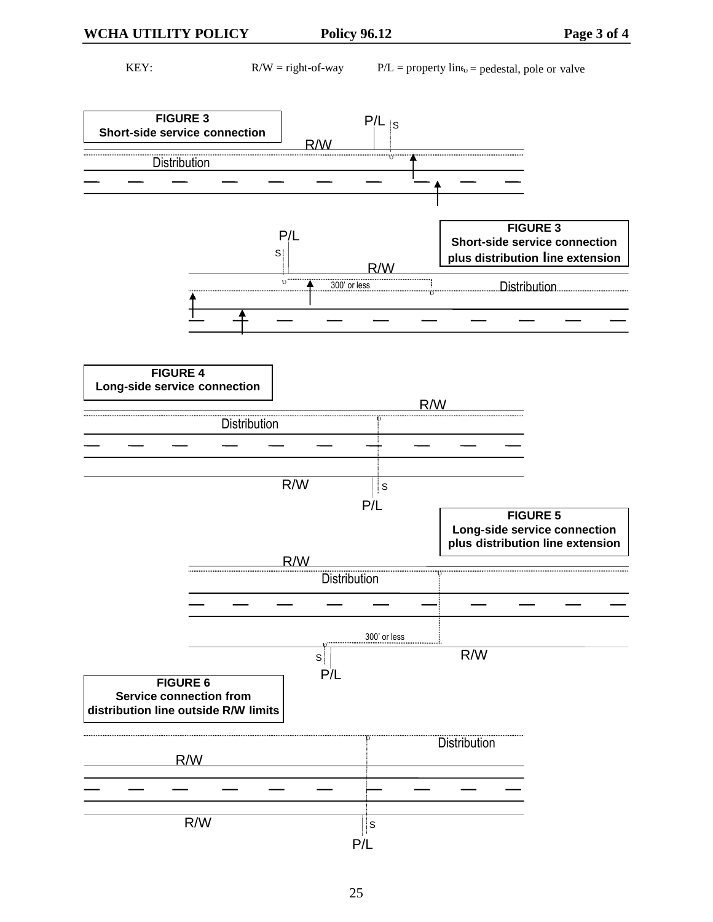KEY: R/W = right-of-way  $P/L$  = property line specifies pedestal, pole or valve

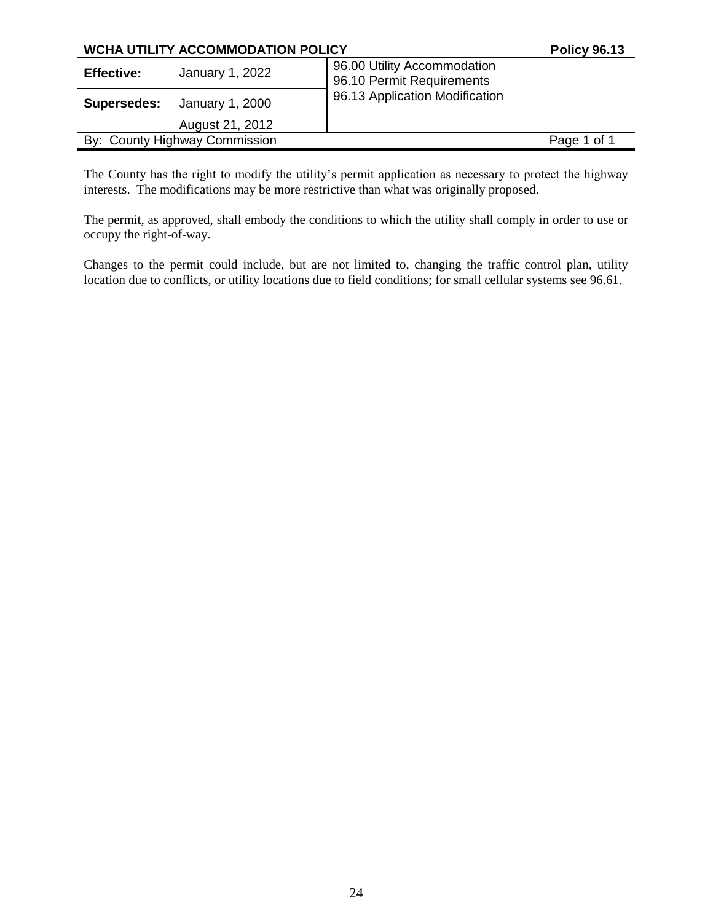| <b>WCHA UTILITY ACCOMMODATION POLICY</b> | <b>Policy 96.13</b>                                      |             |
|------------------------------------------|----------------------------------------------------------|-------------|
| January 1, 2022<br><b>Effective:</b>     | 96.00 Utility Accommodation<br>96.10 Permit Requirements |             |
| January 1, 2000<br>Supersedes:           | 96.13 Application Modification                           |             |
| August 21, 2012                          |                                                          |             |
| By: County Highway Commission            |                                                          | Page 1 of 1 |

The County has the right to modify the utility's permit application as necessary to protect the highway interests. The modifications may be more restrictive than what was originally proposed.

The permit, as approved, shall embody the conditions to which the utility shall comply in order to use or occupy the right-of-way.

Changes to the permit could include, but are not limited to, changing the traffic control plan, utility location due to conflicts, or utility locations due to field conditions; for small cellular systems see 96.61.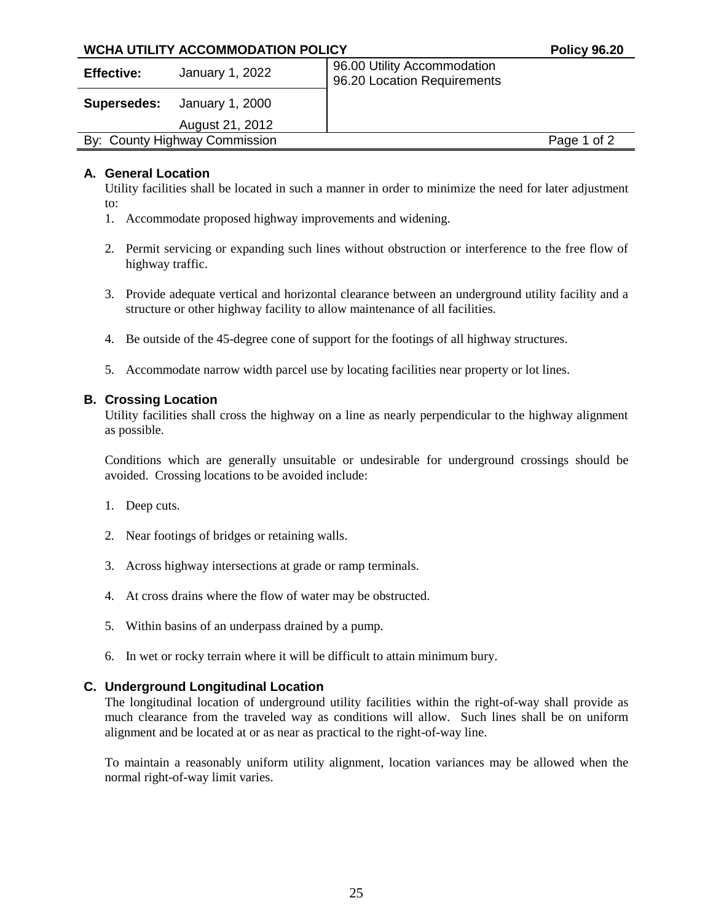## **WCHA UTILITY ACCOMMODATION POLICY POLICY POLICY POLICY POLICY**

| <b>Effective:</b> | January 1, 2022               | 96.00 Utility Accommodation<br>96.20 Location Requirements |             |
|-------------------|-------------------------------|------------------------------------------------------------|-------------|
| Supersedes:       | January 1, 2000               |                                                            |             |
|                   | August 21, 2012               |                                                            |             |
|                   | By: County Highway Commission |                                                            | Page 1 of 2 |
|                   |                               |                                                            |             |

## **A. General Location**

Utility facilities shall be located in such a manner in order to minimize the need for later adjustment to:

- 1. Accommodate proposed highway improvements and widening.
- 2. Permit servicing or expanding such lines without obstruction or interference to the free flow of highway traffic.
- 3. Provide adequate vertical and horizontal clearance between an underground utility facility and a structure or other highway facility to allow maintenance of all facilities.
- 4. Be outside of the 45-degree cone of support for the footings of all highway structures.
- 5. Accommodate narrow width parcel use by locating facilities near property or lot lines.

## **B. Crossing Location**

Utility facilities shall cross the highway on a line as nearly perpendicular to the highway alignment as possible.

Conditions which are generally unsuitable or undesirable for underground crossings should be avoided. Crossing locations to be avoided include:

- 1. Deep cuts.
- 2. Near footings of bridges or retaining walls.
- 3. Across highway intersections at grade or ramp terminals.
- 4. At cross drains where the flow of water may be obstructed.
- 5. Within basins of an underpass drained by a pump.
- 6. In wet or rocky terrain where it will be difficult to attain minimum bury.

## **C. Underground Longitudinal Location**

The longitudinal location of underground utility facilities within the right-of-way shall provide as much clearance from the traveled way as conditions will allow. Such lines shall be on uniform alignment and be located at or as near as practical to the right-of-way line.

To maintain a reasonably uniform utility alignment, location variances may be allowed when the normal right-of-way limit varies.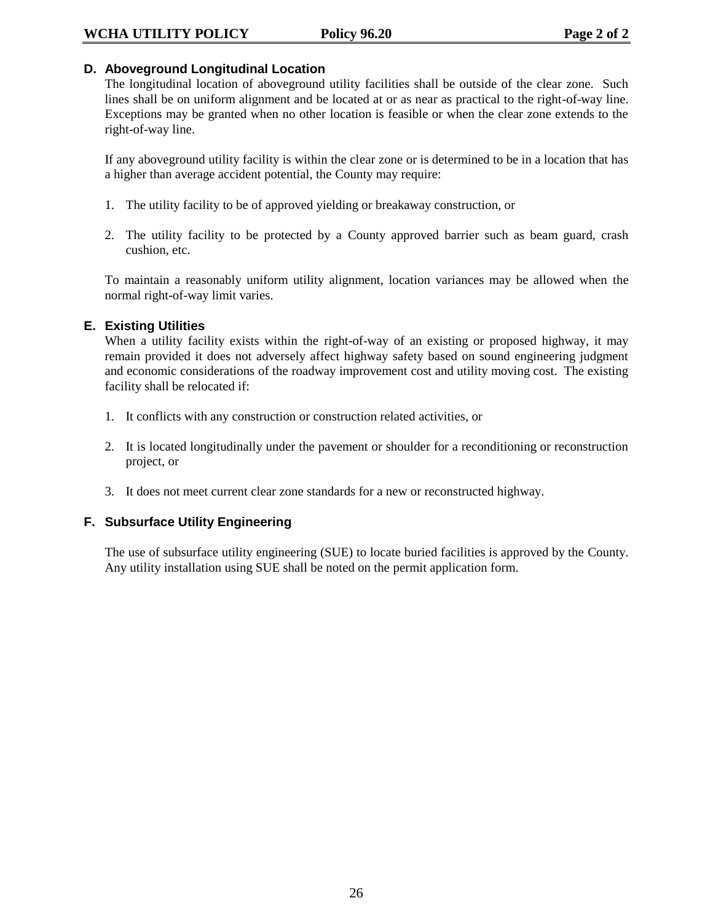## **D. Aboveground Longitudinal Location**

The longitudinal location of aboveground utility facilities shall be outside of the clear zone. Such lines shall be on uniform alignment and be located at or as near as practical to the right-of-way line. Exceptions may be granted when no other location is feasible or when the clear zone extends to the right-of-way line.

If any aboveground utility facility is within the clear zone or is determined to be in a location that has a higher than average accident potential, the County may require:

- 1. The utility facility to be of approved yielding or breakaway construction, or
- 2. The utility facility to be protected by a County approved barrier such as beam guard, crash cushion, etc.

To maintain a reasonably uniform utility alignment, location variances may be allowed when the normal right-of-way limit varies.

## **E. Existing Utilities**

When a utility facility exists within the right-of-way of an existing or proposed highway, it may remain provided it does not adversely affect highway safety based on sound engineering judgment and economic considerations of the roadway improvement cost and utility moving cost. The existing facility shall be relocated if:

- 1. It conflicts with any construction or construction related activities, or
- 2. It is located longitudinally under the pavement or shoulder for a reconditioning or reconstruction project, or
- 3. It does not meet current clear zone standards for a new or reconstructed highway.

## **F. Subsurface Utility Engineering**

The use of subsurface utility engineering (SUE) to locate buried facilities is approved by the County. Any utility installation using SUE shall be noted on the permit application form.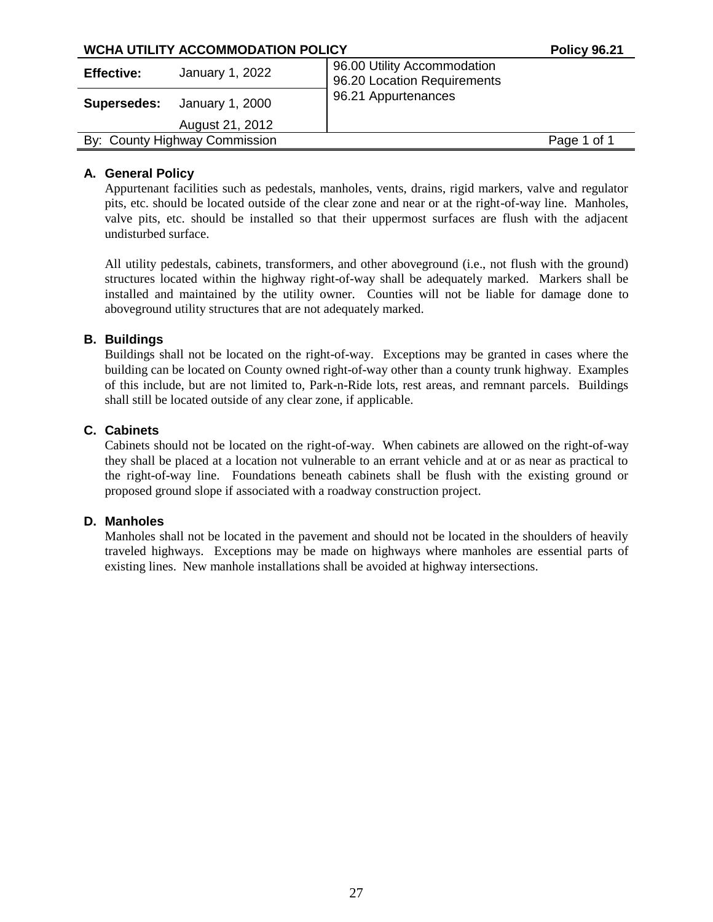| WCHA UTILITY ACCOMMODATION POLICY                                                                  | <b>Policy 96.21</b> |
|----------------------------------------------------------------------------------------------------|---------------------|
| 96.00 Utility Accommodation<br>January 1, 2022<br><b>Effective:</b><br>96.20 Location Requirements |                     |
| 96.21 Appurtenances<br>January 1, 2000<br><b>Supersedes:</b>                                       |                     |
| August 21, 2012                                                                                    |                     |
| By: County Highway Commission                                                                      | Page 1 of 1         |

## **A. General Policy**

Appurtenant facilities such as pedestals, manholes, vents, drains, rigid markers, valve and regulator pits, etc. should be located outside of the clear zone and near or at the right-of-way line. Manholes, valve pits, etc. should be installed so that their uppermost surfaces are flush with the adjacent undisturbed surface.

All utility pedestals, cabinets, transformers, and other aboveground (i.e., not flush with the ground) structures located within the highway right-of-way shall be adequately marked. Markers shall be installed and maintained by the utility owner. Counties will not be liable for damage done to aboveground utility structures that are not adequately marked.

## **B. Buildings**

Buildings shall not be located on the right-of-way. Exceptions may be granted in cases where the building can be located on County owned right-of-way other than a county trunk highway. Examples of this include, but are not limited to, Park-n-Ride lots, rest areas, and remnant parcels. Buildings shall still be located outside of any clear zone, if applicable.

## **C. Cabinets**

Cabinets should not be located on the right-of-way. When cabinets are allowed on the right-of-way they shall be placed at a location not vulnerable to an errant vehicle and at or as near as practical to the right-of-way line. Foundations beneath cabinets shall be flush with the existing ground or proposed ground slope if associated with a roadway construction project.

#### **D. Manholes**

Manholes shall not be located in the pavement and should not be located in the shoulders of heavily traveled highways. Exceptions may be made on highways where manholes are essential parts of existing lines. New manhole installations shall be avoided at highway intersections.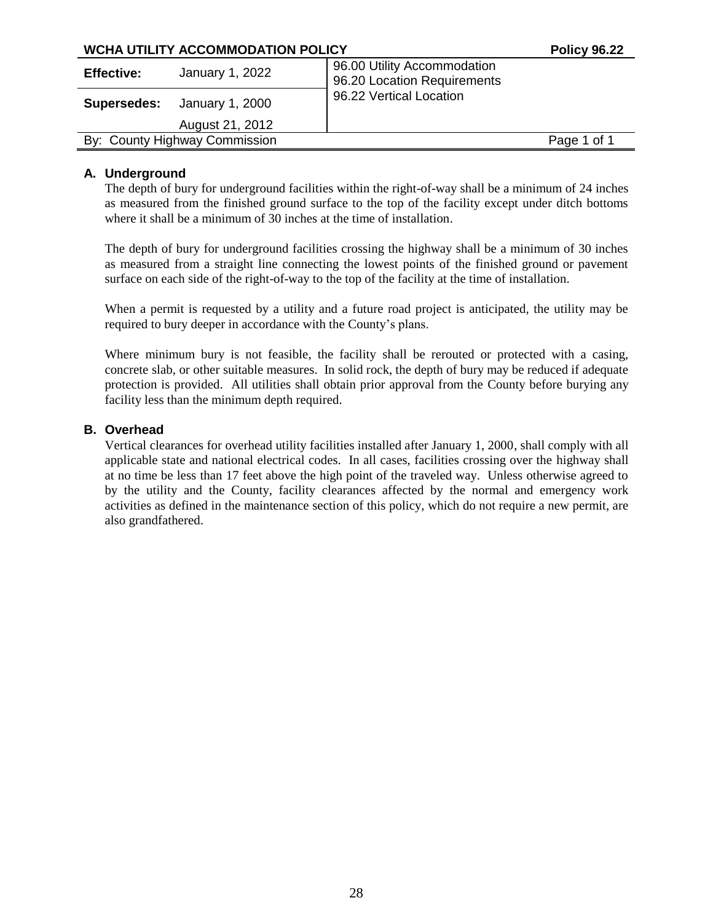| WCHA UTILITY ACCOMMODATION POLICY    | <b>Policy 96.22</b>                                        |             |
|--------------------------------------|------------------------------------------------------------|-------------|
| January 1, 2022<br><b>Effective:</b> | 96.00 Utility Accommodation<br>96.20 Location Requirements |             |
| January 1, 2000<br>Supersedes:       | 96.22 Vertical Location                                    |             |
| August 21, 2012                      |                                                            |             |
| By: County Highway Commission        |                                                            | Page 1 of 1 |

## **A. Underground**

The depth of bury for underground facilities within the right-of-way shall be a minimum of 24 inches as measured from the finished ground surface to the top of the facility except under ditch bottoms where it shall be a minimum of 30 inches at the time of installation.

The depth of bury for underground facilities crossing the highway shall be a minimum of 30 inches as measured from a straight line connecting the lowest points of the finished ground or pavement surface on each side of the right-of-way to the top of the facility at the time of installation.

When a permit is requested by a utility and a future road project is anticipated, the utility may be required to bury deeper in accordance with the County's plans.

Where minimum bury is not feasible, the facility shall be rerouted or protected with a casing, concrete slab, or other suitable measures. In solid rock, the depth of bury may be reduced if adequate protection is provided. All utilities shall obtain prior approval from the County before burying any facility less than the minimum depth required.

## **B. Overhead**

Vertical clearances for overhead utility facilities installed after January 1, 2000, shall comply with all applicable state and national electrical codes. In all cases, facilities crossing over the highway shall at no time be less than 17 feet above the high point of the traveled way. Unless otherwise agreed to by the utility and the County, facility clearances affected by the normal and emergency work activities as defined in the maintenance section of this policy, which do not require a new permit, are also grandfathered.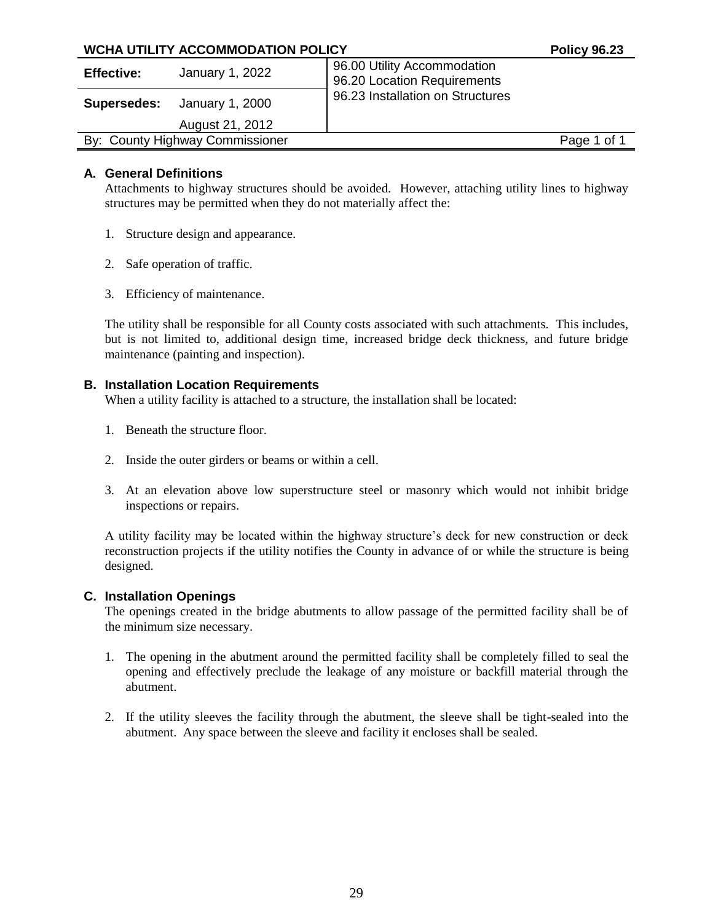| WCHA UTILITY ACCOMMODATION POLICY |                                    |                                                            | <b>Policy 96.23</b> |
|-----------------------------------|------------------------------------|------------------------------------------------------------|---------------------|
| <b>Effective:</b>                 | January 1, 2022                    | 96.00 Utility Accommodation<br>96.20 Location Requirements |                     |
|                                   | <b>Supersedes:</b> January 1, 2000 | 96.23 Installation on Structures                           |                     |
|                                   | August 21, 2012                    |                                                            |                     |
|                                   | By: County Highway Commissioner    |                                                            | Page 1 of 1         |
|                                   |                                    |                                                            |                     |

## **A. General Definitions**

Attachments to highway structures should be avoided. However, attaching utility lines to highway structures may be permitted when they do not materially affect the:

- 1. Structure design and appearance.
- 2. Safe operation of traffic.
- 3. Efficiency of maintenance.

The utility shall be responsible for all County costs associated with such attachments. This includes, but is not limited to, additional design time, increased bridge deck thickness, and future bridge maintenance (painting and inspection).

## **B. Installation Location Requirements**

When a utility facility is attached to a structure, the installation shall be located:

- 1. Beneath the structure floor.
- 2. Inside the outer girders or beams or within a cell.
- 3. At an elevation above low superstructure steel or masonry which would not inhibit bridge inspections or repairs.

A utility facility may be located within the highway structure's deck for new construction or deck reconstruction projects if the utility notifies the County in advance of or while the structure is being designed.

#### **C. Installation Openings**

The openings created in the bridge abutments to allow passage of the permitted facility shall be of the minimum size necessary.

- 1. The opening in the abutment around the permitted facility shall be completely filled to seal the opening and effectively preclude the leakage of any moisture or backfill material through the abutment.
- 2. If the utility sleeves the facility through the abutment, the sleeve shall be tight-sealed into the abutment. Any space between the sleeve and facility it encloses shall be sealed.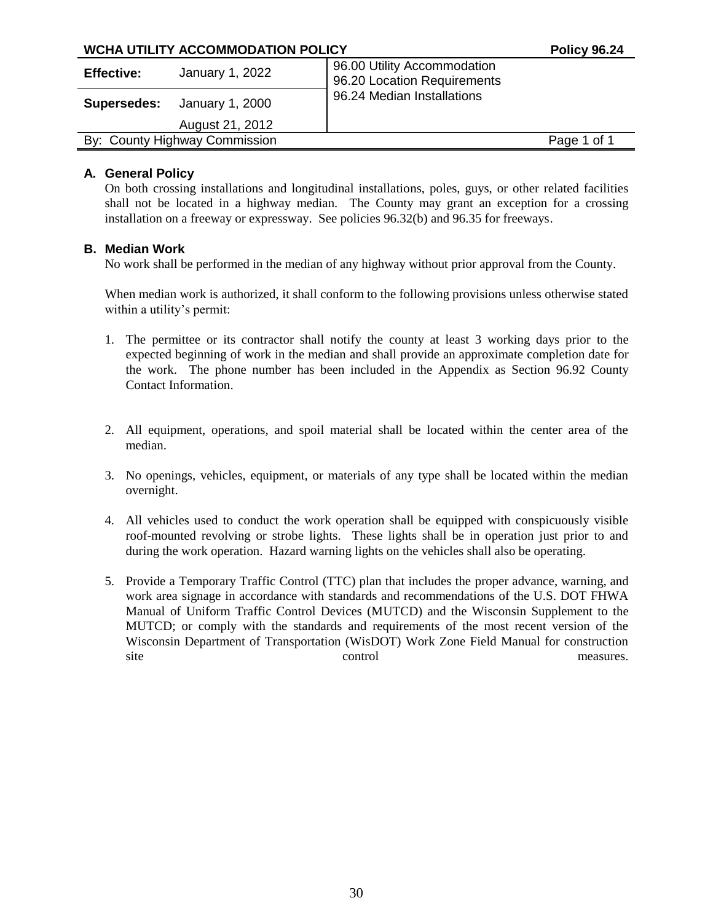## **WCHA UTILITY ACCOMMODATION POLICY POLICY POLICY POLICY POLICY Effective:** January 1, 2022 96.00 Utility Accommodation 96.20 Location Requirements **Supersedes:** January 1, 2000 August 21, 2012 96.24 Median Installations By: County Highway Commission **Page 1 of 1** and 2 and 2 and 2 and 2 and 2 and 2 and 2 and 2 and 2 and 2 and 2 and 2 and 2 and 2 and 2 and 2 and 2 and 2 and 2 and 2 and 2 and 2 and 2 and 2 and 2 and 2 and 2 and 2 and 2 and

## **A. General Policy**

On both crossing installations and longitudinal installations, poles, guys, or other related facilities shall not be located in a highway median. The County may grant an exception for a crossing installation on a freeway or expressway. See policies 96.32(b) and 96.35 for freeways.

## **B. Median Work**

No work shall be performed in the median of any highway without prior approval from the County.

When median work is authorized, it shall conform to the following provisions unless otherwise stated within a utility's permit:

- 1. The permittee or its contractor shall notify the county at least 3 working days prior to the expected beginning of work in the median and shall provide an approximate completion date for the work. The phone number has been included in the Appendix as Section 96.92 County Contact Information.
- 2. All equipment, operations, and spoil material shall be located within the center area of the median.
- 3. No openings, vehicles, equipment, or materials of any type shall be located within the median overnight.
- 4. All vehicles used to conduct the work operation shall be equipped with conspicuously visible roof-mounted revolving or strobe lights. These lights shall be in operation just prior to and during the work operation. Hazard warning lights on the vehicles shall also be operating.
- 5. Provide a Temporary Traffic Control (TTC) plan that includes the proper advance, warning, and work area signage in accordance with standards and recommendations of the U.S. DOT FHWA Manual of Uniform Traffic Control Devices (MUTCD) and the Wisconsin Supplement to the MUTCD; or comply with the standards and requirements of the most recent version of the Wisconsin Department of Transportation (WisDOT) Work Zone Field Manual for construction site control control measures.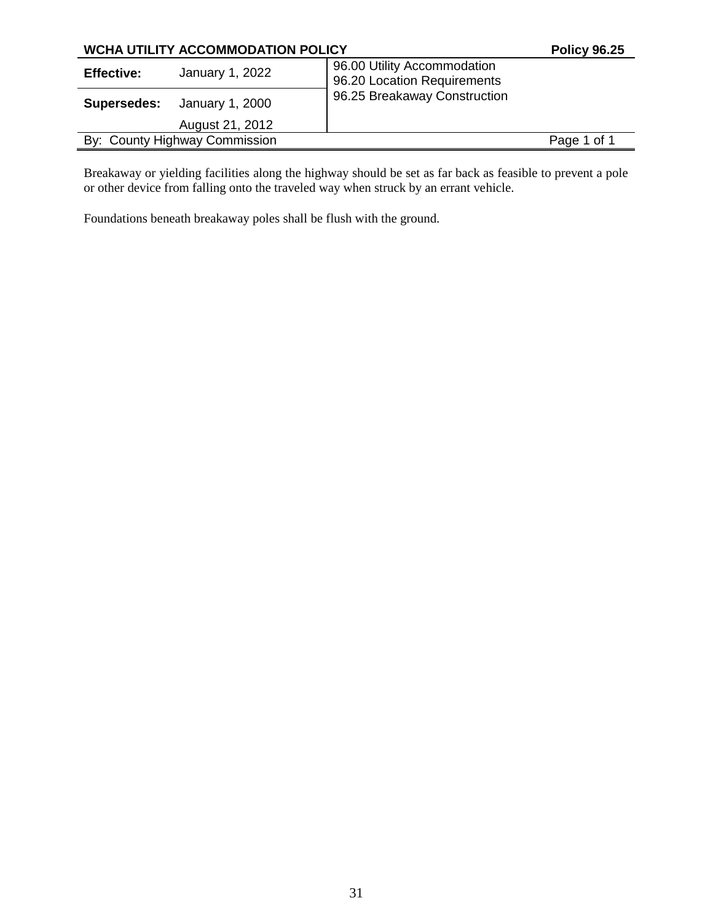| <b>WCHA UTILITY ACCOMMODATION POLICY</b> |                 |                                                            | <b>Policy 96.25</b> |
|------------------------------------------|-----------------|------------------------------------------------------------|---------------------|
| <b>Effective:</b>                        | January 1, 2022 | 96.00 Utility Accommodation<br>96.20 Location Requirements |                     |
| Supersedes:                              | January 1, 2000 | 96.25 Breakaway Construction                               |                     |
|                                          | August 21, 2012 |                                                            |                     |
| By: County Highway Commission            |                 |                                                            | Page 1 of 1         |

Breakaway or yielding facilities along the highway should be set as far back as feasible to prevent a pole or other device from falling onto the traveled way when struck by an errant vehicle.

Foundations beneath breakaway poles shall be flush with the ground.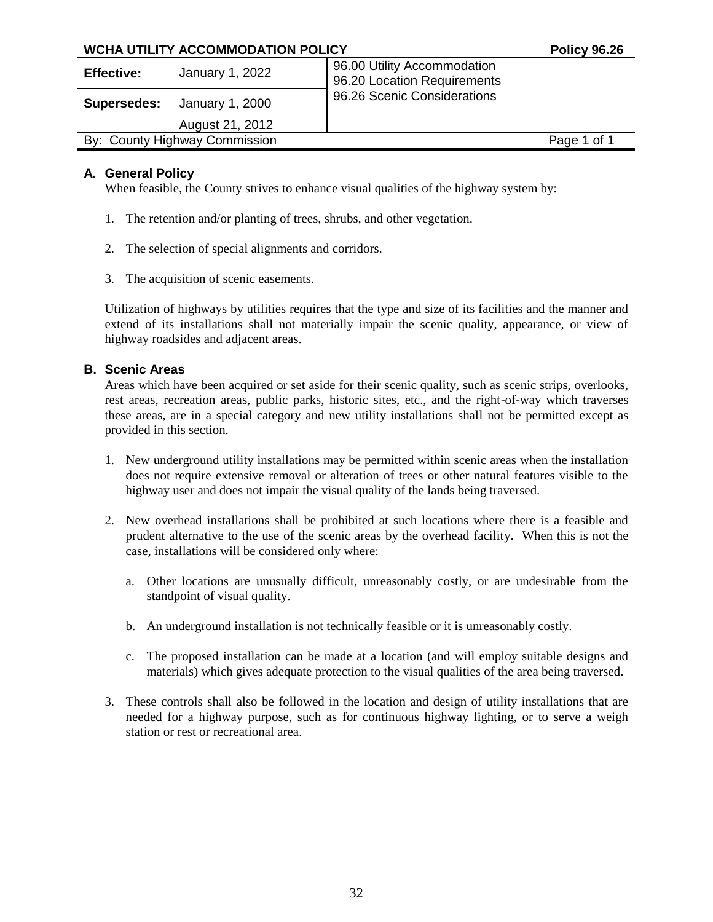| <b>WCHA UTILITY ACCOMMODATION POLICY</b> | <b>Policy 96.26</b>                                        |
|------------------------------------------|------------------------------------------------------------|
| January 1, 2022<br><b>Effective:</b>     | 96.00 Utility Accommodation<br>96.20 Location Requirements |
| January 1, 2000<br>Supersedes:           | 96.26 Scenic Considerations                                |
| August 21, 2012                          |                                                            |
| By: County Highway Commission            | Page 1 of 1                                                |

## **A. General Policy**

When feasible, the County strives to enhance visual qualities of the highway system by:

- 1. The retention and/or planting of trees, shrubs, and other vegetation.
- 2. The selection of special alignments and corridors.
- 3. The acquisition of scenic easements.

Utilization of highways by utilities requires that the type and size of its facilities and the manner and extend of its installations shall not materially impair the scenic quality, appearance, or view of highway roadsides and adjacent areas.

## **B. Scenic Areas**

Areas which have been acquired or set aside for their scenic quality, such as scenic strips, overlooks, rest areas, recreation areas, public parks, historic sites, etc., and the right-of-way which traverses these areas, are in a special category and new utility installations shall not be permitted except as provided in this section.

- 1. New underground utility installations may be permitted within scenic areas when the installation does not require extensive removal or alteration of trees or other natural features visible to the highway user and does not impair the visual quality of the lands being traversed.
- 2. New overhead installations shall be prohibited at such locations where there is a feasible and prudent alternative to the use of the scenic areas by the overhead facility. When this is not the case, installations will be considered only where:
	- a. Other locations are unusually difficult, unreasonably costly, or are undesirable from the standpoint of visual quality.
	- b. An underground installation is not technically feasible or it is unreasonably costly.
	- c. The proposed installation can be made at a location (and will employ suitable designs and materials) which gives adequate protection to the visual qualities of the area being traversed.
- 3. These controls shall also be followed in the location and design of utility installations that are needed for a highway purpose, such as for continuous highway lighting, or to serve a weigh station or rest or recreational area.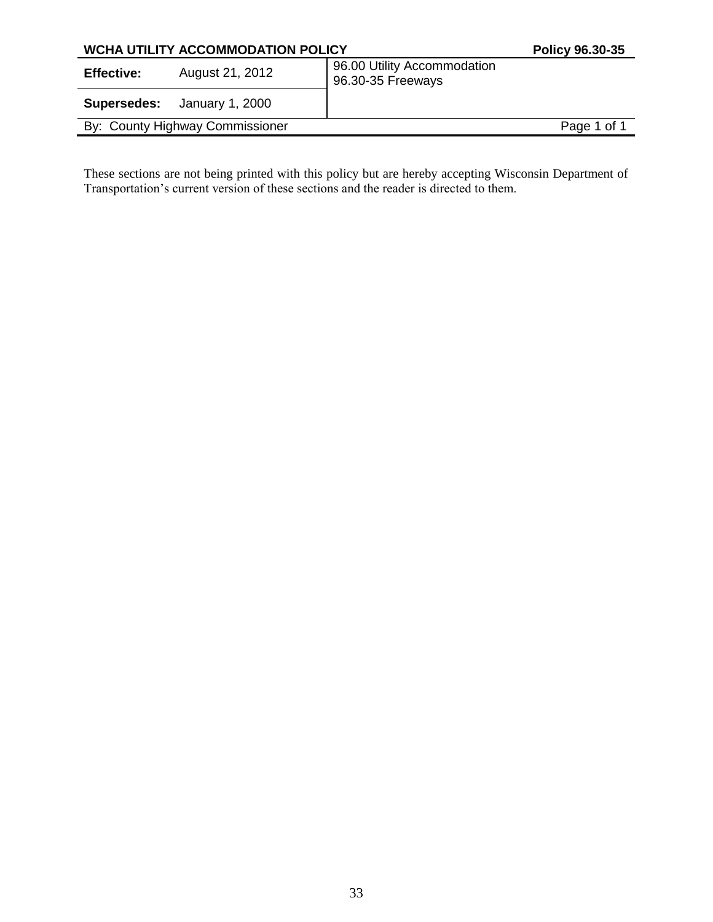| <b>WCHA UTILITY ACCOMMODATION POLICY</b> |                                    | Policy 96.30-35                                  |             |
|------------------------------------------|------------------------------------|--------------------------------------------------|-------------|
| <b>Effective:</b>                        | August 21, 2012                    | 96.00 Utility Accommodation<br>96.30-35 Freeways |             |
|                                          | <b>Supersedes:</b> January 1, 2000 |                                                  |             |
|                                          | By: County Highway Commissioner    |                                                  | Page 1 of 1 |
|                                          |                                    |                                                  |             |

These sections are not being printed with this policy but are hereby accepting Wisconsin Department of Transportation's current version of these sections and the reader is directed to them.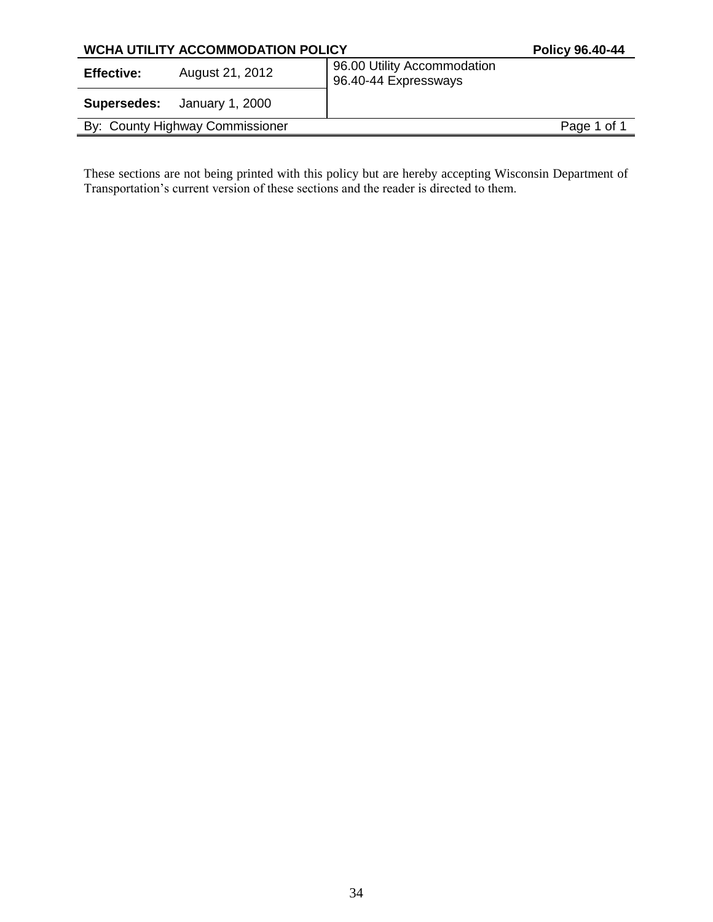| <b>WCHA UTILITY ACCOMMODATION POLICY</b> |                                    | <b>Policy 96.40-44</b>                              |             |
|------------------------------------------|------------------------------------|-----------------------------------------------------|-------------|
| <b>Effective:</b>                        | August 21, 2012                    | 96.00 Utility Accommodation<br>96.40-44 Expressways |             |
|                                          | <b>Supersedes:</b> January 1, 2000 |                                                     |             |
|                                          | By: County Highway Commissioner    |                                                     | Page 1 of 1 |
|                                          |                                    |                                                     |             |

These sections are not being printed with this policy but are hereby accepting Wisconsin Department of Transportation's current version of these sections and the reader is directed to them.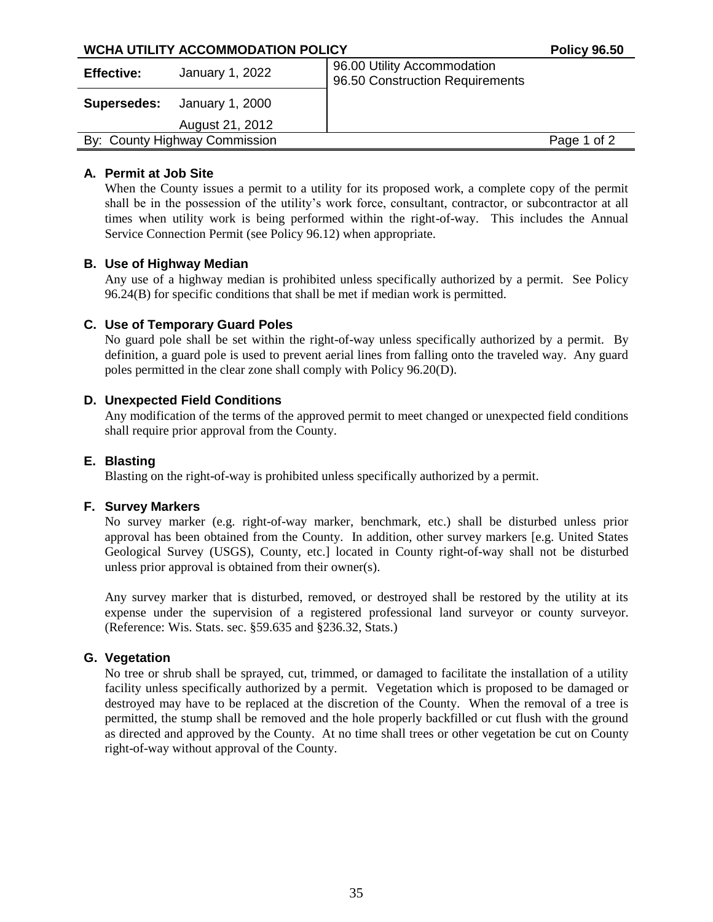| <b>WCHA UTILITY ACCOMMODATION POLICY</b> |                               |                                                                | <b>Policy 96.50</b> |
|------------------------------------------|-------------------------------|----------------------------------------------------------------|---------------------|
| <b>Effective:</b>                        | January 1, 2022               | 96.00 Utility Accommodation<br>96.50 Construction Requirements |                     |
| Supersedes:                              | January 1, 2000               |                                                                |                     |
|                                          | August 21, 2012               |                                                                |                     |
|                                          | By: County Highway Commission |                                                                | Page 1 of 2         |
|                                          |                               |                                                                |                     |

## **A. Permit at Job Site**

When the County issues a permit to a utility for its proposed work, a complete copy of the permit shall be in the possession of the utility's work force, consultant, contractor, or subcontractor at all times when utility work is being performed within the right-of-way. This includes the Annual Service Connection Permit (see Policy 96.12) when appropriate.

## **B. Use of Highway Median**

Any use of a highway median is prohibited unless specifically authorized by a permit. See Policy 96.24(B) for specific conditions that shall be met if median work is permitted.

## **C. Use of Temporary Guard Poles**

No guard pole shall be set within the right-of-way unless specifically authorized by a permit. By definition, a guard pole is used to prevent aerial lines from falling onto the traveled way. Any guard poles permitted in the clear zone shall comply with Policy 96.20(D).

## **D. Unexpected Field Conditions**

Any modification of the terms of the approved permit to meet changed or unexpected field conditions shall require prior approval from the County.

## **E. Blasting**

Blasting on the right-of-way is prohibited unless specifically authorized by a permit.

## **F. Survey Markers**

No survey marker (e.g. right-of-way marker, benchmark, etc.) shall be disturbed unless prior approval has been obtained from the County. In addition, other survey markers [e.g. United States Geological Survey (USGS), County, etc.] located in County right-of-way shall not be disturbed unless prior approval is obtained from their owner(s).

Any survey marker that is disturbed, removed, or destroyed shall be restored by the utility at its expense under the supervision of a registered professional land surveyor or county surveyor. (Reference: Wis. Stats. sec. §59.635 and §236.32, Stats.)

## **G. Vegetation**

No tree or shrub shall be sprayed, cut, trimmed, or damaged to facilitate the installation of a utility facility unless specifically authorized by a permit. Vegetation which is proposed to be damaged or destroyed may have to be replaced at the discretion of the County. When the removal of a tree is permitted, the stump shall be removed and the hole properly backfilled or cut flush with the ground as directed and approved by the County. At no time shall trees or other vegetation be cut on County right-of-way without approval of the County.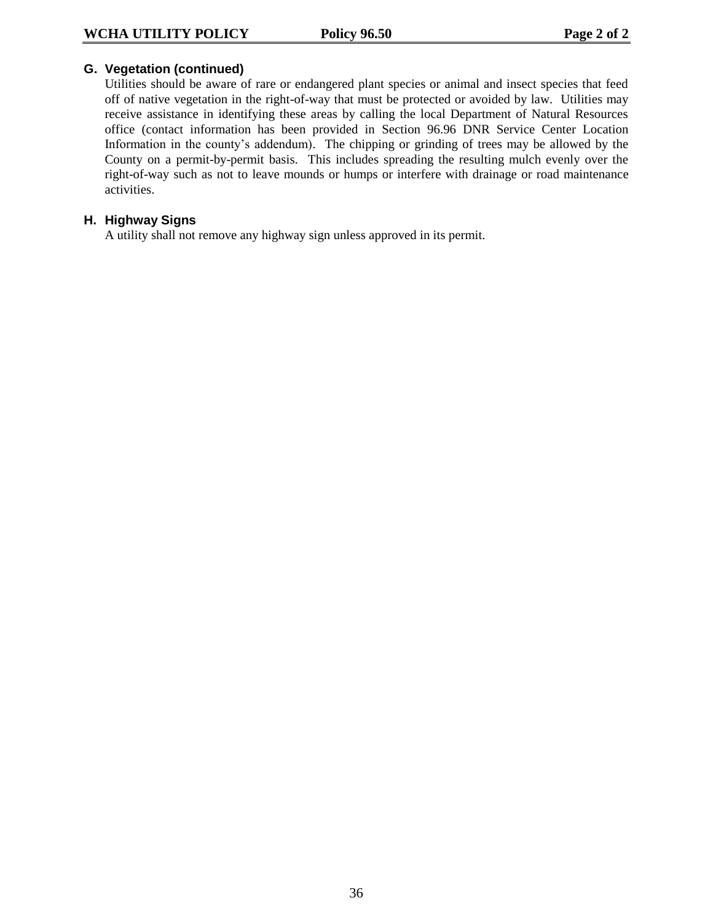## **G. Vegetation (continued)**

Utilities should be aware of rare or endangered plant species or animal and insect species that feed off of native vegetation in the right-of-way that must be protected or avoided by law. Utilities may receive assistance in identifying these areas by calling the local Department of Natural Resources office (contact information has been provided in Section 96.96 DNR Service Center Location Information in the county's addendum). The chipping or grinding of trees may be allowed by the County on a permit-by-permit basis. This includes spreading the resulting mulch evenly over the right-of-way such as not to leave mounds or humps or interfere with drainage or road maintenance activities.

## **H. Highway Signs**

A utility shall not remove any highway sign unless approved in its permit.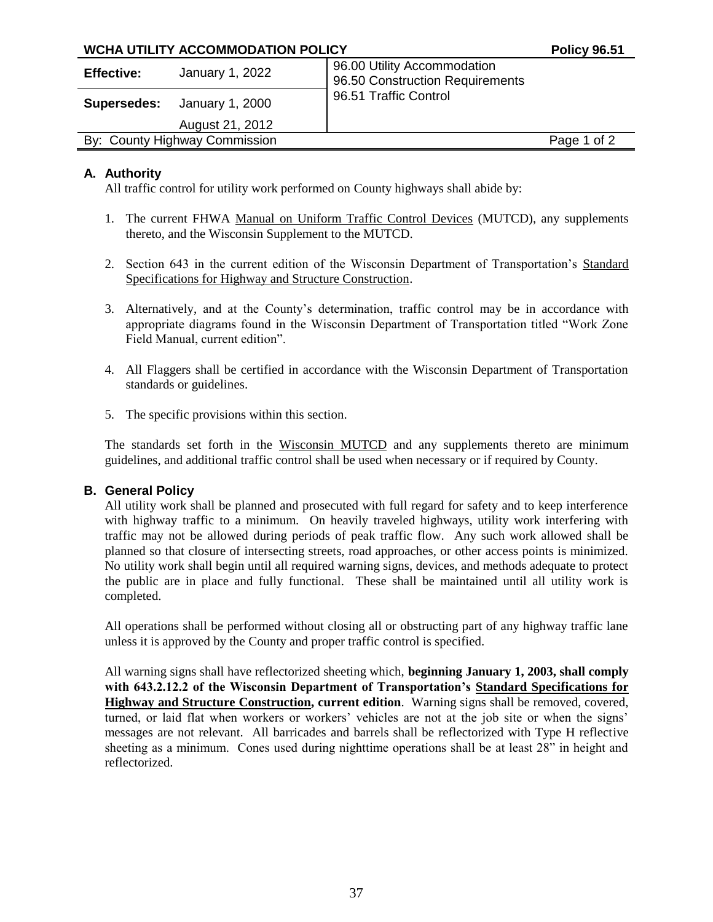| <b>WCHA UTILITY ACCOMMODATION POLICY</b> |                                    | <b>Policy 96.51</b>                                            |             |
|------------------------------------------|------------------------------------|----------------------------------------------------------------|-------------|
| <b>Effective:</b>                        | January 1, 2022                    | 96.00 Utility Accommodation<br>96.50 Construction Requirements |             |
|                                          | <b>Supersedes:</b> January 1, 2000 | 96.51 Traffic Control                                          |             |
|                                          | August 21, 2012                    |                                                                |             |
|                                          | By: County Highway Commission      |                                                                | Page 1 of 2 |
|                                          |                                    |                                                                |             |

## **A. Authority**

All traffic control for utility work performed on County highways shall abide by:

- 1. The current FHWA Manual on Uniform Traffic Control Devices (MUTCD), any supplements thereto, and the Wisconsin Supplement to the MUTCD.
- 2. Section 643 in the current edition of the Wisconsin Department of Transportation's Standard Specifications for Highway and Structure Construction.
- 3. Alternatively, and at the County's determination, traffic control may be in accordance with appropriate diagrams found in the Wisconsin Department of Transportation titled "Work Zone Field Manual, current edition".
- 4. All Flaggers shall be certified in accordance with the Wisconsin Department of Transportation standards or guidelines.
- 5. The specific provisions within this section.

The standards set forth in the Wisconsin MUTCD and any supplements thereto are minimum guidelines, and additional traffic control shall be used when necessary or if required by County.

## **B. General Policy**

All utility work shall be planned and prosecuted with full regard for safety and to keep interference with highway traffic to a minimum. On heavily traveled highways, utility work interfering with traffic may not be allowed during periods of peak traffic flow. Any such work allowed shall be planned so that closure of intersecting streets, road approaches, or other access points is minimized. No utility work shall begin until all required warning signs, devices, and methods adequate to protect the public are in place and fully functional. These shall be maintained until all utility work is completed.

All operations shall be performed without closing all or obstructing part of any highway traffic lane unless it is approved by the County and proper traffic control is specified.

All warning signs shall have reflectorized sheeting which, **beginning January 1, 2003, shall comply with 643.2.12.2 of the Wisconsin Department of Transportation's Standard Specifications for Highway and Structure Construction, current edition**. Warning signs shall be removed, covered, turned, or laid flat when workers or workers' vehicles are not at the job site or when the signs' messages are not relevant. All barricades and barrels shall be reflectorized with Type H reflective sheeting as a minimum. Cones used during nighttime operations shall be at least 28" in height and reflectorized.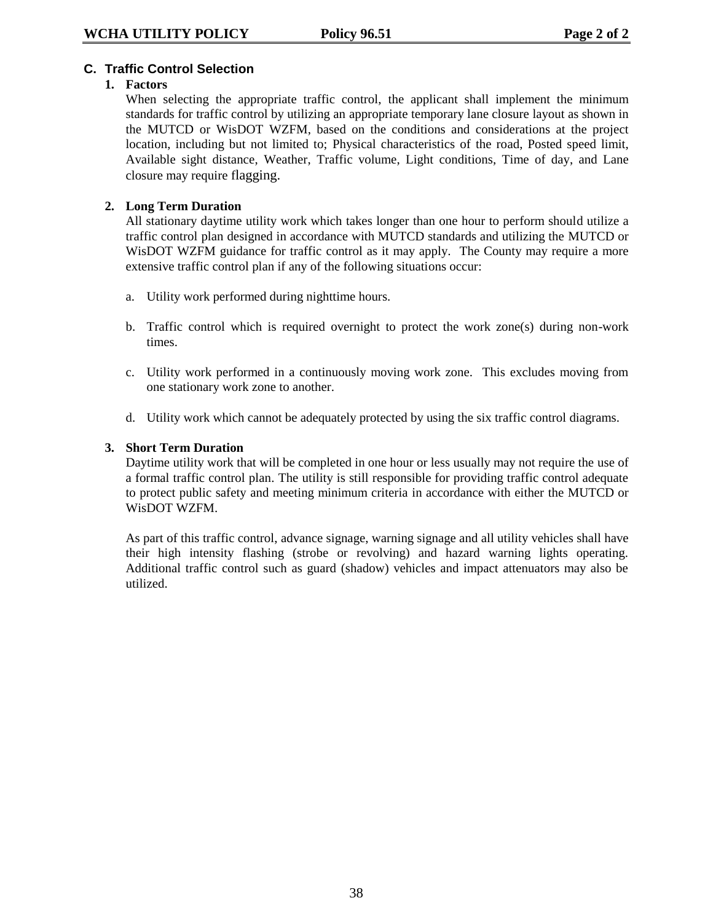## **C. Traffic Control Selection**

## **1. Factors**

When selecting the appropriate traffic control, the applicant shall implement the minimum standards for traffic control by utilizing an appropriate temporary lane closure layout as shown in the MUTCD or WisDOT WZFM, based on the conditions and considerations at the project location, including but not limited to; Physical characteristics of the road, Posted speed limit, Available sight distance, Weather, Traffic volume, Light conditions, Time of day, and Lane closure may require flagging.

## **2. Long Term Duration**

All stationary daytime utility work which takes longer than one hour to perform should utilize a traffic control plan designed in accordance with MUTCD standards and utilizing the MUTCD or WisDOT WZFM guidance for traffic control as it may apply. The County may require a more extensive traffic control plan if any of the following situations occur:

- a. Utility work performed during nighttime hours.
- b. Traffic control which is required overnight to protect the work zone(s) during non-work times.
- c. Utility work performed in a continuously moving work zone. This excludes moving from one stationary work zone to another.
- d. Utility work which cannot be adequately protected by using the six traffic control diagrams.

## **3. Short Term Duration**

Daytime utility work that will be completed in one hour or less usually may not require the use of a formal traffic control plan. The utility is still responsible for providing traffic control adequate to protect public safety and meeting minimum criteria in accordance with either the MUTCD or WisDOT WZFM.

As part of this traffic control, advance signage, warning signage and all utility vehicles shall have their high intensity flashing (strobe or revolving) and hazard warning lights operating. Additional traffic control such as guard (shadow) vehicles and impact attenuators may also be utilized.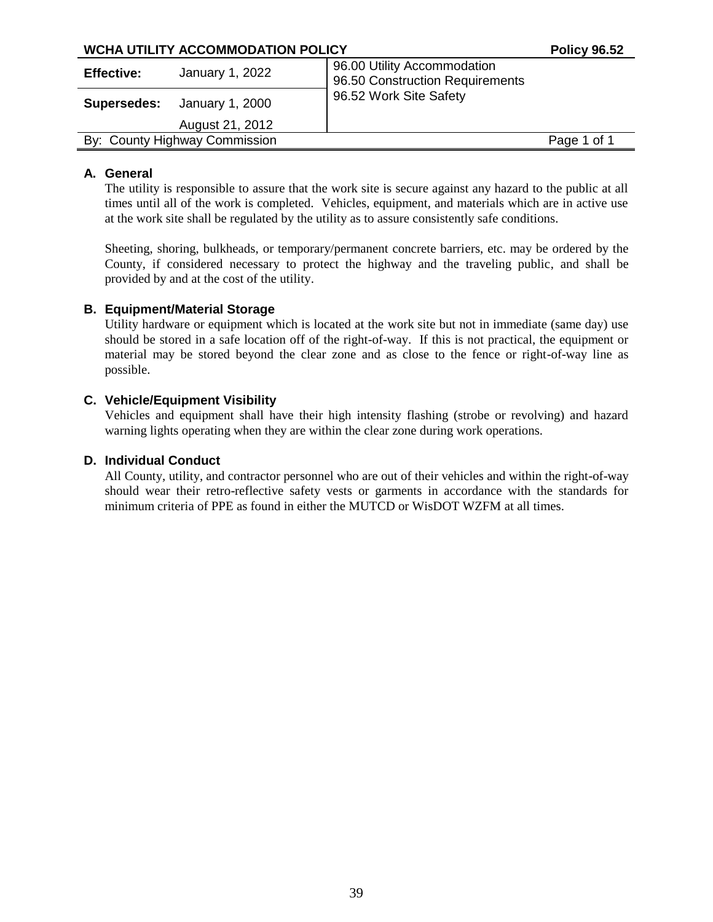| <b>WCHA UTILITY ACCOMMODATION POLICY</b> |                               | <b>Policy 96.52</b>                                            |             |
|------------------------------------------|-------------------------------|----------------------------------------------------------------|-------------|
| <b>Effective:</b>                        | January 1, 2022               | 96.00 Utility Accommodation<br>96.50 Construction Requirements |             |
| Supersedes:                              | January 1, 2000               | 96.52 Work Site Safety                                         |             |
|                                          | August 21, 2012               |                                                                |             |
|                                          | By: County Highway Commission |                                                                | Page 1 of 1 |
|                                          |                               |                                                                |             |

## **A. General**

The utility is responsible to assure that the work site is secure against any hazard to the public at all times until all of the work is completed. Vehicles, equipment, and materials which are in active use at the work site shall be regulated by the utility as to assure consistently safe conditions.

Sheeting, shoring, bulkheads, or temporary/permanent concrete barriers, etc. may be ordered by the County, if considered necessary to protect the highway and the traveling public, and shall be provided by and at the cost of the utility.

## **B. Equipment/Material Storage**

Utility hardware or equipment which is located at the work site but not in immediate (same day) use should be stored in a safe location off of the right-of-way. If this is not practical, the equipment or material may be stored beyond the clear zone and as close to the fence or right-of-way line as possible.

## **C. Vehicle/Equipment Visibility**

Vehicles and equipment shall have their high intensity flashing (strobe or revolving) and hazard warning lights operating when they are within the clear zone during work operations.

## **D. Individual Conduct**

All County, utility, and contractor personnel who are out of their vehicles and within the right-of-way should wear their retro-reflective safety vests or garments in accordance with the standards for minimum criteria of PPE as found in either the MUTCD or WisDOT WZFM at all times.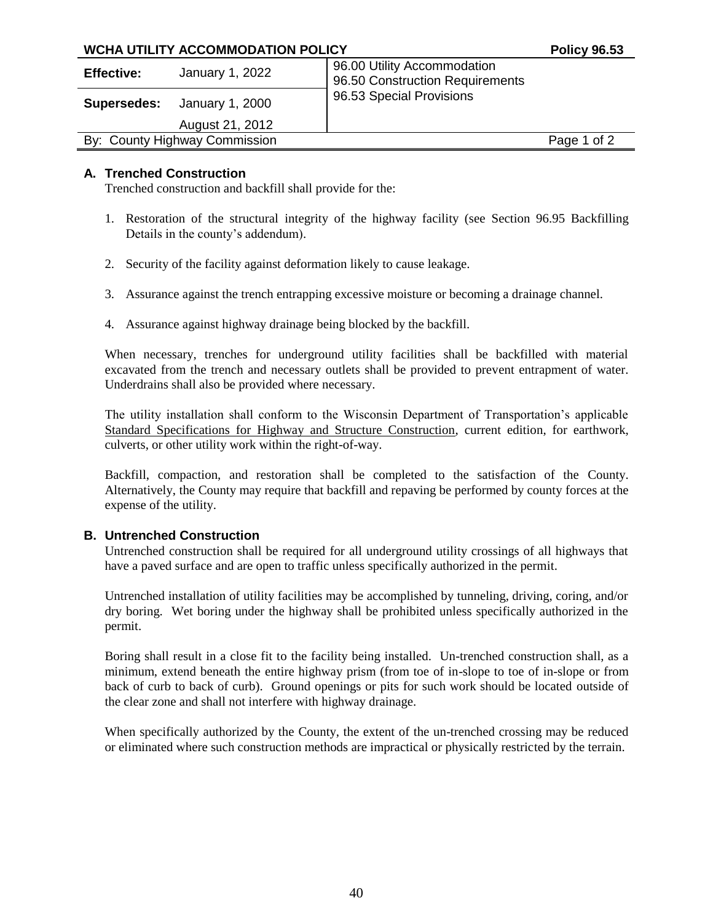| <b>WCHA UTILITY ACCOMMODATION POLICY</b> |                                    |                                                                | <b>Policy 96.53</b> |
|------------------------------------------|------------------------------------|----------------------------------------------------------------|---------------------|
| <b>Effective:</b>                        | January 1, 2022                    | 96.00 Utility Accommodation<br>96.50 Construction Requirements |                     |
|                                          | <b>Supersedes:</b> January 1, 2000 | 96.53 Special Provisions                                       |                     |
|                                          | August 21, 2012                    |                                                                |                     |
| By: County Highway Commission            |                                    |                                                                | Page 1 of 2         |

## **A. Trenched Construction**

Trenched construction and backfill shall provide for the:

- 1. Restoration of the structural integrity of the highway facility (see Section 96.95 Backfilling Details in the county's addendum).
- 2. Security of the facility against deformation likely to cause leakage.
- 3. Assurance against the trench entrapping excessive moisture or becoming a drainage channel.
- 4. Assurance against highway drainage being blocked by the backfill.

When necessary, trenches for underground utility facilities shall be backfilled with material excavated from the trench and necessary outlets shall be provided to prevent entrapment of water. Underdrains shall also be provided where necessary.

The utility installation shall conform to the Wisconsin Department of Transportation's applicable Standard Specifications for Highway and Structure Construction, current edition, for earthwork, culverts, or other utility work within the right-of-way.

Backfill, compaction, and restoration shall be completed to the satisfaction of the County. Alternatively, the County may require that backfill and repaving be performed by county forces at the expense of the utility.

#### **B. Untrenched Construction**

Untrenched construction shall be required for all underground utility crossings of all highways that have a paved surface and are open to traffic unless specifically authorized in the permit.

Untrenched installation of utility facilities may be accomplished by tunneling, driving, coring, and/or dry boring. Wet boring under the highway shall be prohibited unless specifically authorized in the permit.

Boring shall result in a close fit to the facility being installed. Un-trenched construction shall, as a minimum, extend beneath the entire highway prism (from toe of in-slope to toe of in-slope or from back of curb to back of curb). Ground openings or pits for such work should be located outside of the clear zone and shall not interfere with highway drainage.

When specifically authorized by the County, the extent of the un-trenched crossing may be reduced or eliminated where such construction methods are impractical or physically restricted by the terrain.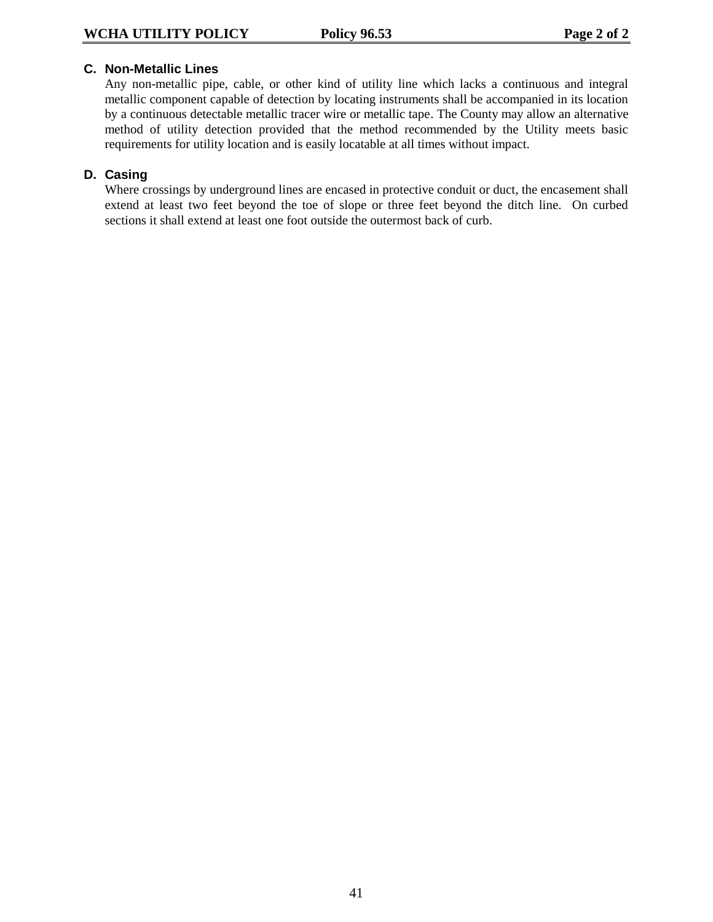## **C. Non-Metallic Lines**

Any non-metallic pipe, cable, or other kind of utility line which lacks a continuous and integral metallic component capable of detection by locating instruments shall be accompanied in its location by a continuous detectable metallic tracer wire or metallic tape. The County may allow an alternative method of utility detection provided that the method recommended by the Utility meets basic requirements for utility location and is easily locatable at all times without impact.

## **D. Casing**

Where crossings by underground lines are encased in protective conduit or duct, the encasement shall extend at least two feet beyond the toe of slope or three feet beyond the ditch line. On curbed sections it shall extend at least one foot outside the outermost back of curb.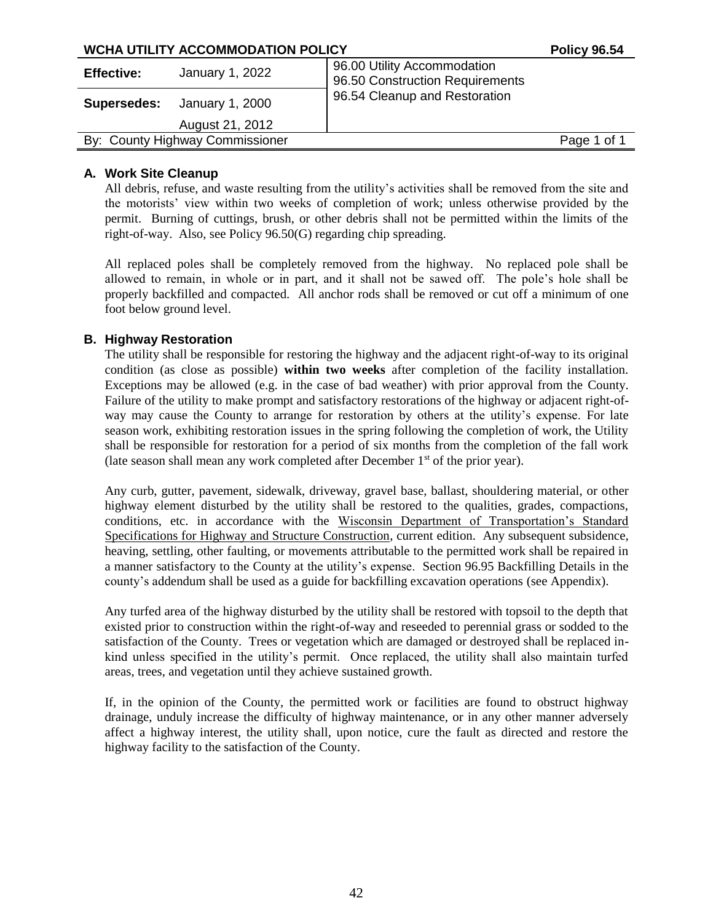| WCHA UTILITY ACCOMMODATION POLICY |                 |                                                                | <b>Policy 96.54</b> |
|-----------------------------------|-----------------|----------------------------------------------------------------|---------------------|
| <b>Effective:</b>                 | January 1, 2022 | 96.00 Utility Accommodation<br>96.50 Construction Requirements |                     |
| <b>Supersedes:</b>                | January 1, 2000 | 96.54 Cleanup and Restoration                                  |                     |
|                                   | August 21, 2012 |                                                                |                     |
| By: County Highway Commissioner   |                 |                                                                | Page 1 of 1         |
|                                   |                 |                                                                |                     |

## **A. Work Site Cleanup**

All debris, refuse, and waste resulting from the utility's activities shall be removed from the site and the motorists' view within two weeks of completion of work; unless otherwise provided by the permit. Burning of cuttings, brush, or other debris shall not be permitted within the limits of the right-of-way. Also, see Policy 96.50(G) regarding chip spreading.

All replaced poles shall be completely removed from the highway. No replaced pole shall be allowed to remain, in whole or in part, and it shall not be sawed off. The pole's hole shall be properly backfilled and compacted. All anchor rods shall be removed or cut off a minimum of one foot below ground level.

## **B. Highway Restoration**

The utility shall be responsible for restoring the highway and the adjacent right-of-way to its original condition (as close as possible) **within two weeks** after completion of the facility installation. Exceptions may be allowed (e.g. in the case of bad weather) with prior approval from the County. Failure of the utility to make prompt and satisfactory restorations of the highway or adjacent right-ofway may cause the County to arrange for restoration by others at the utility's expense. For late season work, exhibiting restoration issues in the spring following the completion of work, the Utility shall be responsible for restoration for a period of six months from the completion of the fall work (late season shall mean any work completed after December  $1<sup>st</sup>$  of the prior year).

Any curb, gutter, pavement, sidewalk, driveway, gravel base, ballast, shouldering material, or other highway element disturbed by the utility shall be restored to the qualities, grades, compactions, conditions, etc. in accordance with the Wisconsin Department of Transportation's Standard Specifications for Highway and Structure Construction, current edition. Any subsequent subsidence, heaving, settling, other faulting, or movements attributable to the permitted work shall be repaired in a manner satisfactory to the County at the utility's expense. Section 96.95 Backfilling Details in the county's addendum shall be used as a guide for backfilling excavation operations (see Appendix).

Any turfed area of the highway disturbed by the utility shall be restored with topsoil to the depth that existed prior to construction within the right-of-way and reseeded to perennial grass or sodded to the satisfaction of the County. Trees or vegetation which are damaged or destroyed shall be replaced inkind unless specified in the utility's permit. Once replaced, the utility shall also maintain turfed areas, trees, and vegetation until they achieve sustained growth.

If, in the opinion of the County, the permitted work or facilities are found to obstruct highway drainage, unduly increase the difficulty of highway maintenance, or in any other manner adversely affect a highway interest, the utility shall, upon notice, cure the fault as directed and restore the highway facility to the satisfaction of the County.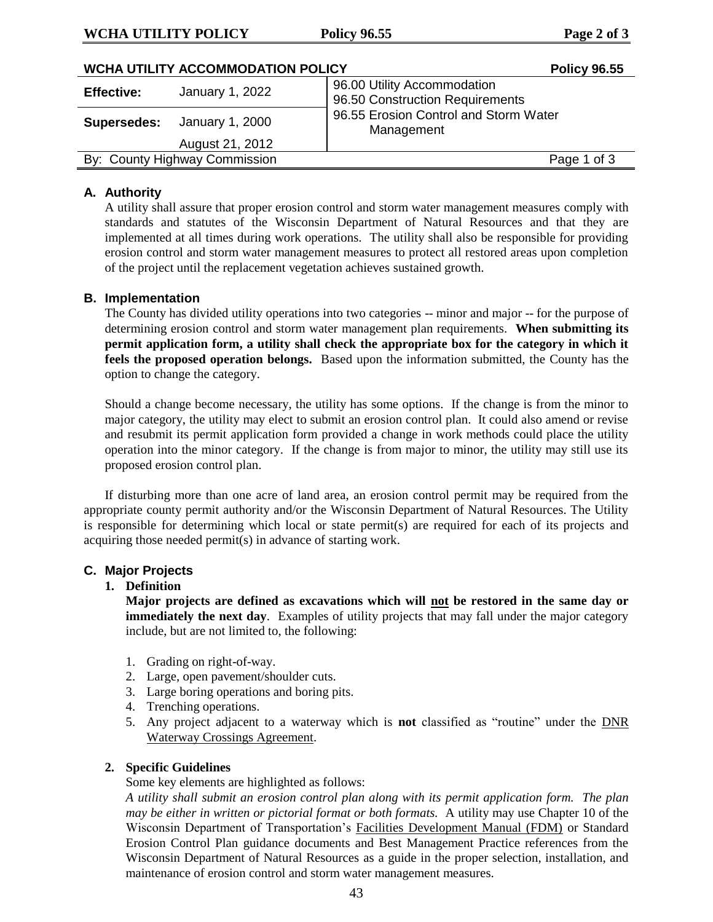### **WCHA UTILITY POLICY Policy 96.55 Page 2 of 3**

| <b>WCHA UTILITY ACCOMMODATION POLICY</b> | <b>Policy 96.55</b> |                                                                |  |
|------------------------------------------|---------------------|----------------------------------------------------------------|--|
| <b>Effective:</b>                        | January 1, 2022     | 96.00 Utility Accommodation<br>96.50 Construction Requirements |  |
| Supersedes:                              | January 1, 2000     | 96.55 Erosion Control and Storm Water<br>Management            |  |
|                                          | August 21, 2012     |                                                                |  |
| By: County Highway Commission            |                     | Page 1 of 3                                                    |  |
|                                          |                     |                                                                |  |

## **A. Authority**

A utility shall assure that proper erosion control and storm water management measures comply with standards and statutes of the Wisconsin Department of Natural Resources and that they are implemented at all times during work operations. The utility shall also be responsible for providing erosion control and storm water management measures to protect all restored areas upon completion of the project until the replacement vegetation achieves sustained growth.

#### **B. Implementation**

The County has divided utility operations into two categories -- minor and major -- for the purpose of determining erosion control and storm water management plan requirements. **When submitting its permit application form, a utility shall check the appropriate box for the category in which it feels the proposed operation belongs.** Based upon the information submitted, the County has the option to change the category.

Should a change become necessary, the utility has some options. If the change is from the minor to major category, the utility may elect to submit an erosion control plan. It could also amend or revise and resubmit its permit application form provided a change in work methods could place the utility operation into the minor category. If the change is from major to minor, the utility may still use its proposed erosion control plan.

If disturbing more than one acre of land area, an erosion control permit may be required from the appropriate county permit authority and/or the Wisconsin Department of Natural Resources. The Utility is responsible for determining which local or state permit(s) are required for each of its projects and acquiring those needed permit(s) in advance of starting work.

### **C. Major Projects**

#### **1. Definition**

**Major projects are defined as excavations which will not be restored in the same day or immediately the next day**. Examples of utility projects that may fall under the major category include, but are not limited to, the following:

- 1. Grading on right-of-way.
- 2. Large, open pavement/shoulder cuts.
- 3. Large boring operations and boring pits.
- 4. Trenching operations.
- 5. Any project adjacent to a waterway which is **not** classified as "routine" under the DNR Waterway Crossings Agreement.

## **2. Specific Guidelines**

## Some key elements are highlighted as follows:

*A utility shall submit an erosion control plan along with its permit application form. The plan may be either in written or pictorial format or both formats.* A utility may use Chapter 10 of the Wisconsin Department of Transportation's Facilities Development Manual (FDM) or Standard Erosion Control Plan guidance documents and Best Management Practice references from the Wisconsin Department of Natural Resources as a guide in the proper selection, installation, and maintenance of erosion control and storm water management measures.

43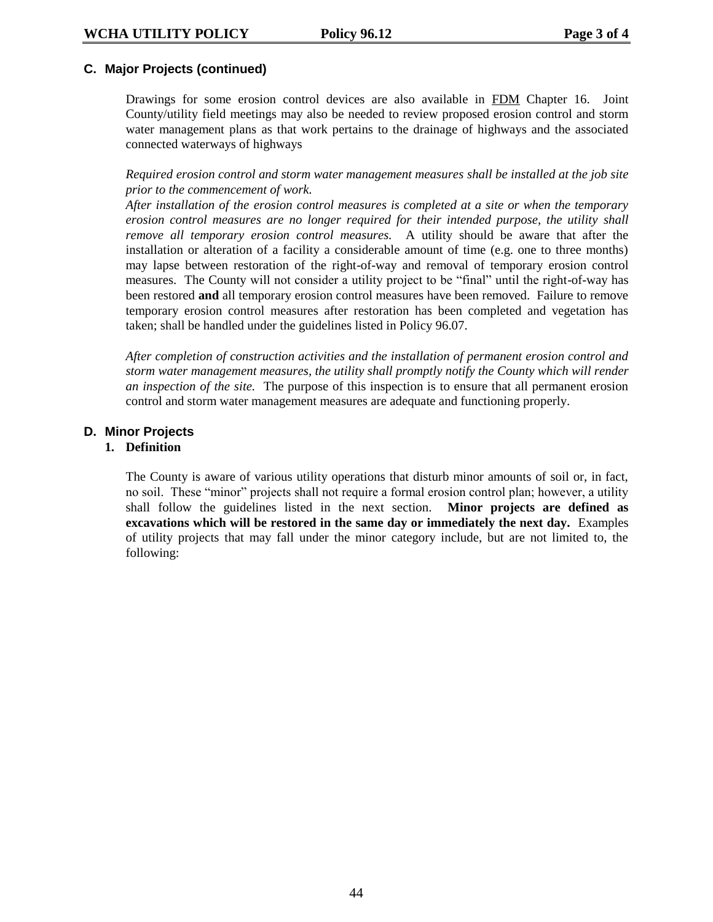## **C. Major Projects (continued)**

Drawings for some erosion control devices are also available in FDM Chapter 16. Joint County/utility field meetings may also be needed to review proposed erosion control and storm water management plans as that work pertains to the drainage of highways and the associated connected waterways of highways

*Required erosion control and storm water management measures shall be installed at the job site prior to the commencement of work.*

*After installation of the erosion control measures is completed at a site or when the temporary erosion control measures are no longer required for their intended purpose, the utility shall remove all temporary erosion control measures.* A utility should be aware that after the installation or alteration of a facility a considerable amount of time (e.g. one to three months) may lapse between restoration of the right-of-way and removal of temporary erosion control measures. The County will not consider a utility project to be "final" until the right-of-way has been restored **and** all temporary erosion control measures have been removed. Failure to remove temporary erosion control measures after restoration has been completed and vegetation has taken; shall be handled under the guidelines listed in Policy 96.07.

*After completion of construction activities and the installation of permanent erosion control and storm water management measures, the utility shall promptly notify the County which will render an inspection of the site.* The purpose of this inspection is to ensure that all permanent erosion control and storm water management measures are adequate and functioning properly.

## **D. Minor Projects**

#### **1. Definition**

The County is aware of various utility operations that disturb minor amounts of soil or, in fact, no soil. These "minor" projects shall not require a formal erosion control plan; however, a utility shall follow the guidelines listed in the next section. **Minor projects are defined as excavations which will be restored in the same day or immediately the next day.** Examples of utility projects that may fall under the minor category include, but are not limited to, the following: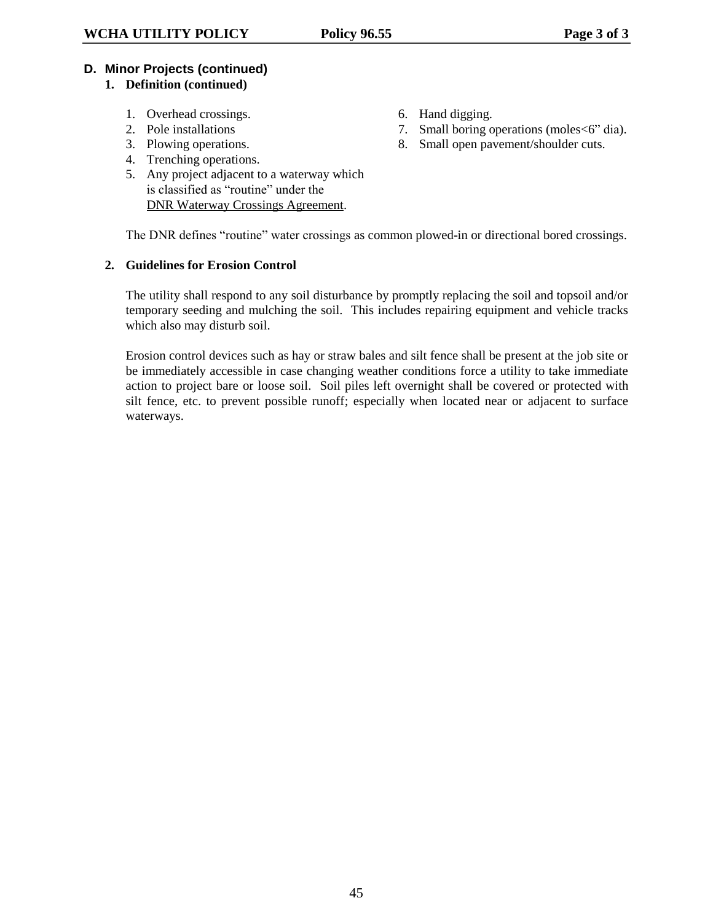## **D. Minor Projects (continued)**

## **1. Definition (continued)**

- 1. Overhead crossings. 6. Hand digging.
- 
- 
- 4. Trenching operations.
- 5. Any project adjacent to a waterway which is classified as "routine" under the DNR Waterway Crossings Agreement.

The DNR defines "routine" water crossings as common plowed-in or directional bored crossings.

## **2. Guidelines for Erosion Control**

The utility shall respond to any soil disturbance by promptly replacing the soil and topsoil and/or temporary seeding and mulching the soil. This includes repairing equipment and vehicle tracks which also may disturb soil.

Erosion control devices such as hay or straw bales and silt fence shall be present at the job site or be immediately accessible in case changing weather conditions force a utility to take immediate action to project bare or loose soil. Soil piles left overnight shall be covered or protected with silt fence, etc. to prevent possible runoff; especially when located near or adjacent to surface waterways.

- 
- 2. Pole installations 7. Small boring operations (moles  $6"$  dia).
- 3. Plowing operations. 8. Small open pavement/shoulder cuts.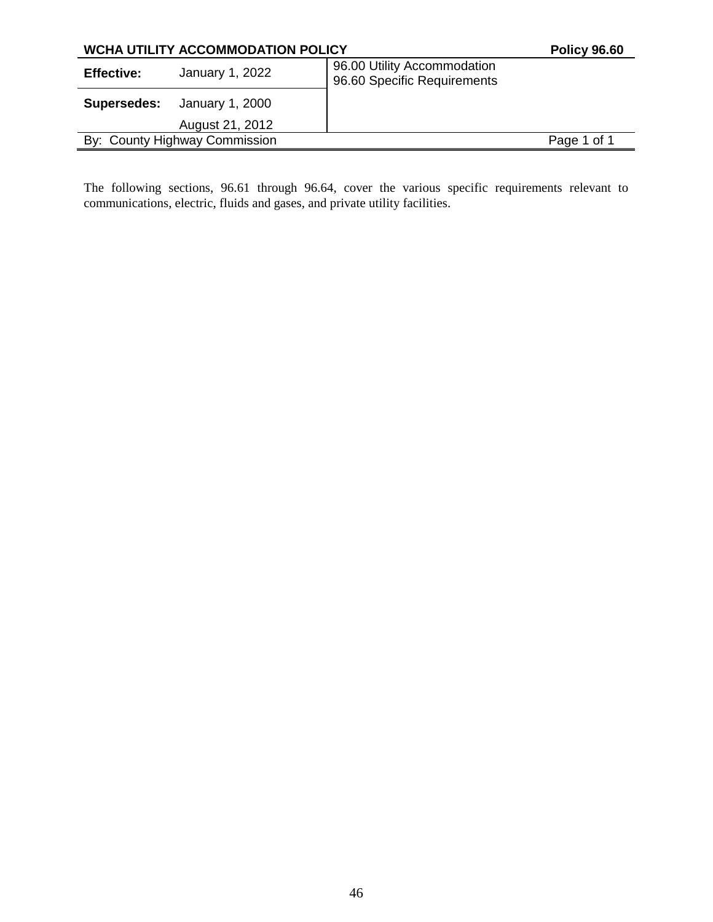| <b>WCHA UTILITY ACCOMMODATION POLICY</b> |                               |                                                            | <b>Policy 96.60</b> |
|------------------------------------------|-------------------------------|------------------------------------------------------------|---------------------|
| <b>Effective:</b>                        | January 1, 2022               | 96.00 Utility Accommodation<br>96.60 Specific Requirements |                     |
| Supersedes:                              | January 1, 2000               |                                                            |                     |
|                                          | August 21, 2012               |                                                            |                     |
|                                          | By: County Highway Commission |                                                            | Page 1 of 1         |
|                                          |                               |                                                            |                     |

The following sections, 96.61 through 96.64, cover the various specific requirements relevant to communications, electric, fluids and gases, and private utility facilities.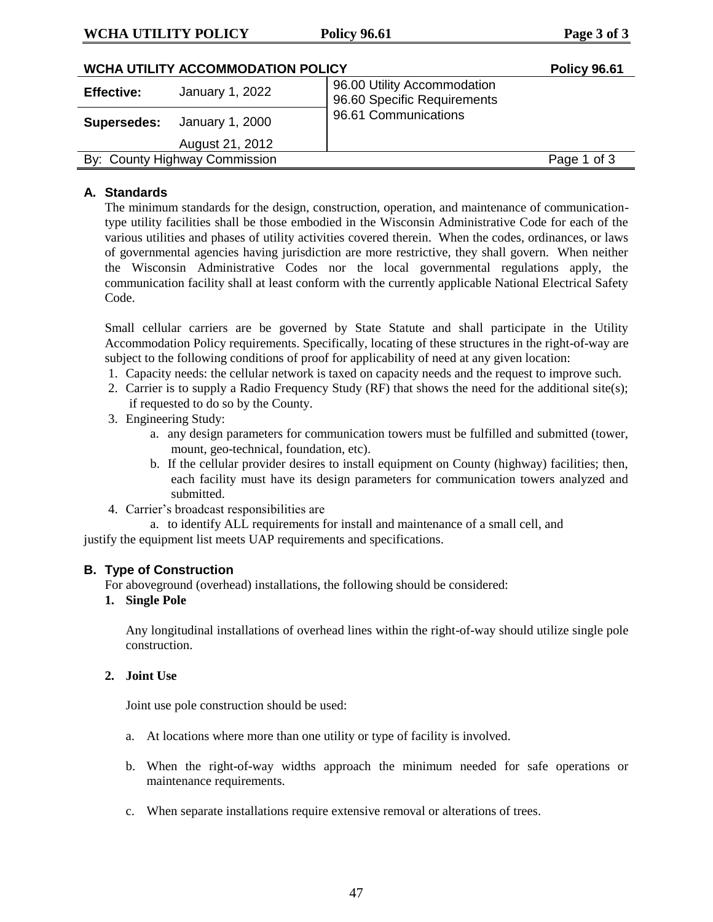## **WCHA UTILITY POLICY Policy 96.61 Page 3 of 3**

| <b>WCHA UTILITY ACCOMMODATION POLICY</b> |                 |                                                            | <b>Policy 96.61</b> |
|------------------------------------------|-----------------|------------------------------------------------------------|---------------------|
| <b>Effective:</b>                        | January 1, 2022 | 96.00 Utility Accommodation<br>96.60 Specific Requirements |                     |
| Supersedes:                              | January 1, 2000 | 96.61 Communications                                       |                     |
|                                          | August 21, 2012 |                                                            |                     |
| By: County Highway Commission            |                 |                                                            | Page 1 of 3         |

## **A. Standards**

The minimum standards for the design, construction, operation, and maintenance of communicationtype utility facilities shall be those embodied in the Wisconsin Administrative Code for each of the various utilities and phases of utility activities covered therein. When the codes, ordinances, or laws of governmental agencies having jurisdiction are more restrictive, they shall govern. When neither the Wisconsin Administrative Codes nor the local governmental regulations apply, the communication facility shall at least conform with the currently applicable National Electrical Safety Code.

Small cellular carriers are be governed by State Statute and shall participate in the Utility Accommodation Policy requirements. Specifically, locating of these structures in the right-of-way are subject to the following conditions of proof for applicability of need at any given location:

- 1. Capacity needs: the cellular network is taxed on capacity needs and the request to improve such.
- 2. Carrier is to supply a Radio Frequency Study (RF) that shows the need for the additional site(s); if requested to do so by the County.
- 3. Engineering Study:
	- a. any design parameters for communication towers must be fulfilled and submitted (tower, mount, geo-technical, foundation, etc).
	- b. If the cellular provider desires to install equipment on County (highway) facilities; then, each facility must have its design parameters for communication towers analyzed and submitted.
- 4. Carrier's broadcast responsibilities are
	- a. to identify ALL requirements for install and maintenance of a small cell, and

justify the equipment list meets UAP requirements and specifications.

## **B. Type of Construction**

For aboveground (overhead) installations, the following should be considered:

#### **1. Single Pole**

Any longitudinal installations of overhead lines within the right-of-way should utilize single pole construction.

#### **2. Joint Use**

Joint use pole construction should be used:

- a. At locations where more than one utility or type of facility is involved.
- b. When the right-of-way widths approach the minimum needed for safe operations or maintenance requirements.
- c. When separate installations require extensive removal or alterations of trees.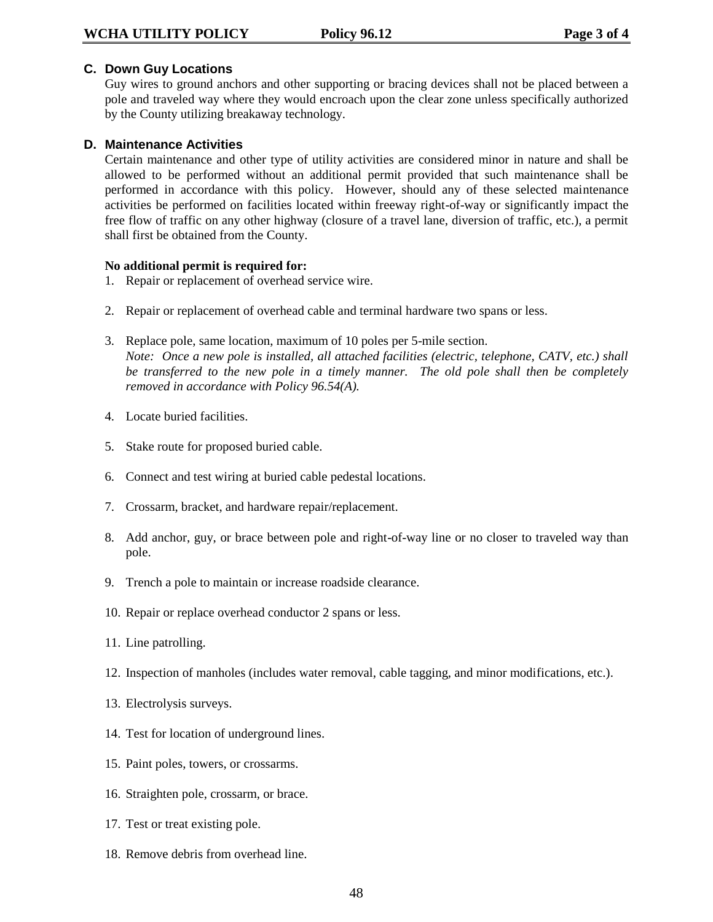#### **C. Down Guy Locations**

Guy wires to ground anchors and other supporting or bracing devices shall not be placed between a pole and traveled way where they would encroach upon the clear zone unless specifically authorized by the County utilizing breakaway technology.

#### **D. Maintenance Activities**

Certain maintenance and other type of utility activities are considered minor in nature and shall be allowed to be performed without an additional permit provided that such maintenance shall be performed in accordance with this policy. However, should any of these selected maintenance activities be performed on facilities located within freeway right-of-way or significantly impact the free flow of traffic on any other highway (closure of a travel lane, diversion of traffic, etc.), a permit shall first be obtained from the County.

#### **No additional permit is required for:**

- 1. Repair or replacement of overhead service wire.
- 2. Repair or replacement of overhead cable and terminal hardware two spans or less.
- 3. Replace pole, same location, maximum of 10 poles per 5-mile section. *Note: Once a new pole is installed, all attached facilities (electric, telephone, CATV, etc.) shall be transferred to the new pole in a timely manner. The old pole shall then be completely removed in accordance with Policy 96.54(A).*
- 4. Locate buried facilities.
- 5. Stake route for proposed buried cable.
- 6. Connect and test wiring at buried cable pedestal locations.
- 7. Crossarm, bracket, and hardware repair/replacement.
- 8. Add anchor, guy, or brace between pole and right-of-way line or no closer to traveled way than pole.
- 9. Trench a pole to maintain or increase roadside clearance.
- 10. Repair or replace overhead conductor 2 spans or less.
- 11. Line patrolling.
- 12. Inspection of manholes (includes water removal, cable tagging, and minor modifications, etc.).
- 13. Electrolysis surveys.
- 14. Test for location of underground lines.
- 15. Paint poles, towers, or crossarms.
- 16. Straighten pole, crossarm, or brace.
- 17. Test or treat existing pole.
- 18. Remove debris from overhead line.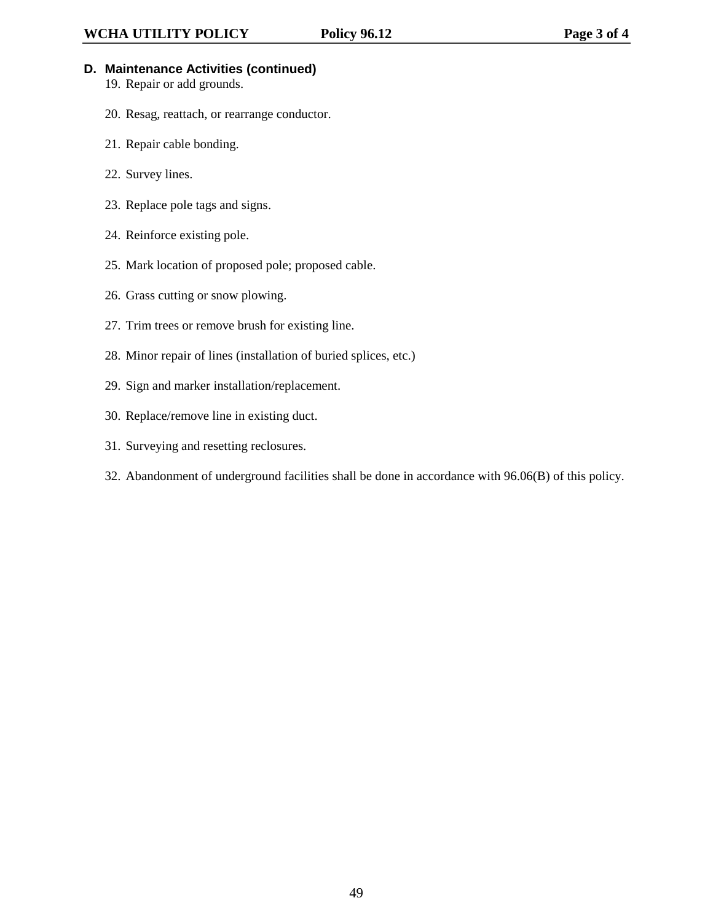- **D. Maintenance Activities (continued)**
	- 19. Repair or add grounds.
	- 20. Resag, reattach, or rearrange conductor.
	- 21. Repair cable bonding.
	- 22. Survey lines.
	- 23. Replace pole tags and signs.
	- 24. Reinforce existing pole.
	- 25. Mark location of proposed pole; proposed cable.
	- 26. Grass cutting or snow plowing.
	- 27. Trim trees or remove brush for existing line.
	- 28. Minor repair of lines (installation of buried splices, etc.)
	- 29. Sign and marker installation/replacement.
	- 30. Replace/remove line in existing duct.
	- 31. Surveying and resetting reclosures.
	- 32. Abandonment of underground facilities shall be done in accordance with 96.06(B) of this policy.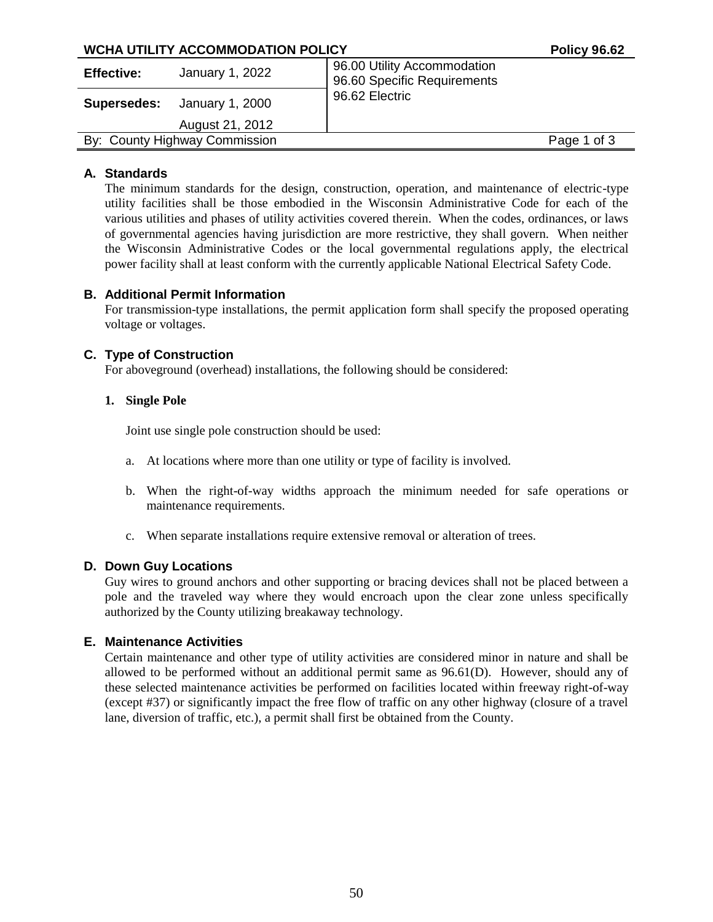| WCHA UTILITY ACCOMMODATION POLICY     | <b>Policy 96.62</b>                                        |             |
|---------------------------------------|------------------------------------------------------------|-------------|
| January 1, 2022<br><b>Effective:</b>  | 96.00 Utility Accommodation<br>96.60 Specific Requirements |             |
| January 1, 2000<br><b>Supersedes:</b> | 96.62 Electric                                             |             |
| August 21, 2012                       |                                                            |             |
| By: County Highway Commission         |                                                            | Page 1 of 3 |

## **A. Standards**

The minimum standards for the design, construction, operation, and maintenance of electric-type utility facilities shall be those embodied in the Wisconsin Administrative Code for each of the various utilities and phases of utility activities covered therein. When the codes, ordinances, or laws of governmental agencies having jurisdiction are more restrictive, they shall govern. When neither the Wisconsin Administrative Codes or the local governmental regulations apply, the electrical power facility shall at least conform with the currently applicable National Electrical Safety Code.

## **B. Additional Permit Information**

For transmission-type installations, the permit application form shall specify the proposed operating voltage or voltages.

## **C. Type of Construction**

For aboveground (overhead) installations, the following should be considered:

## **1. Single Pole**

Joint use single pole construction should be used:

- a. At locations where more than one utility or type of facility is involved.
- b. When the right-of-way widths approach the minimum needed for safe operations or maintenance requirements.
- c. When separate installations require extensive removal or alteration of trees.

#### **D. Down Guy Locations**

Guy wires to ground anchors and other supporting or bracing devices shall not be placed between a pole and the traveled way where they would encroach upon the clear zone unless specifically authorized by the County utilizing breakaway technology.

#### **E. Maintenance Activities**

Certain maintenance and other type of utility activities are considered minor in nature and shall be allowed to be performed without an additional permit same as 96.61(D). However, should any of these selected maintenance activities be performed on facilities located within freeway right-of-way (except #37) or significantly impact the free flow of traffic on any other highway (closure of a travel lane, diversion of traffic, etc.), a permit shall first be obtained from the County.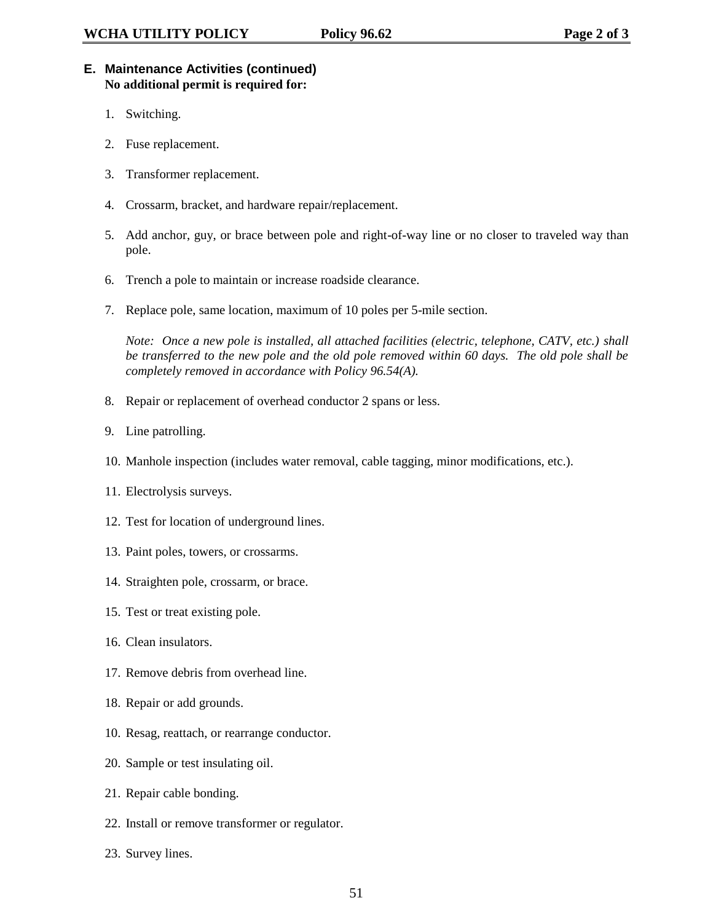## **E. Maintenance Activities (continued) No additional permit is required for:**

- 1. Switching.
- 2. Fuse replacement.
- 3. Transformer replacement.
- 4. Crossarm, bracket, and hardware repair/replacement.
- 5. Add anchor, guy, or brace between pole and right-of-way line or no closer to traveled way than pole.
- 6. Trench a pole to maintain or increase roadside clearance.
- 7. Replace pole, same location, maximum of 10 poles per 5-mile section.

*Note: Once a new pole is installed, all attached facilities (electric, telephone, CATV, etc.) shall be transferred to the new pole and the old pole removed within 60 days. The old pole shall be completely removed in accordance with Policy 96.54(A).*

- 8. Repair or replacement of overhead conductor 2 spans or less.
- 9. Line patrolling.
- 10. Manhole inspection (includes water removal, cable tagging, minor modifications, etc.).
- 11. Electrolysis surveys.
- 12. Test for location of underground lines.
- 13. Paint poles, towers, or crossarms.
- 14. Straighten pole, crossarm, or brace.
- 15. Test or treat existing pole.
- 16. Clean insulators.
- 17. Remove debris from overhead line.
- 18. Repair or add grounds.
- 10. Resag, reattach, or rearrange conductor.
- 20. Sample or test insulating oil.
- 21. Repair cable bonding.
- 22. Install or remove transformer or regulator.
- 23. Survey lines.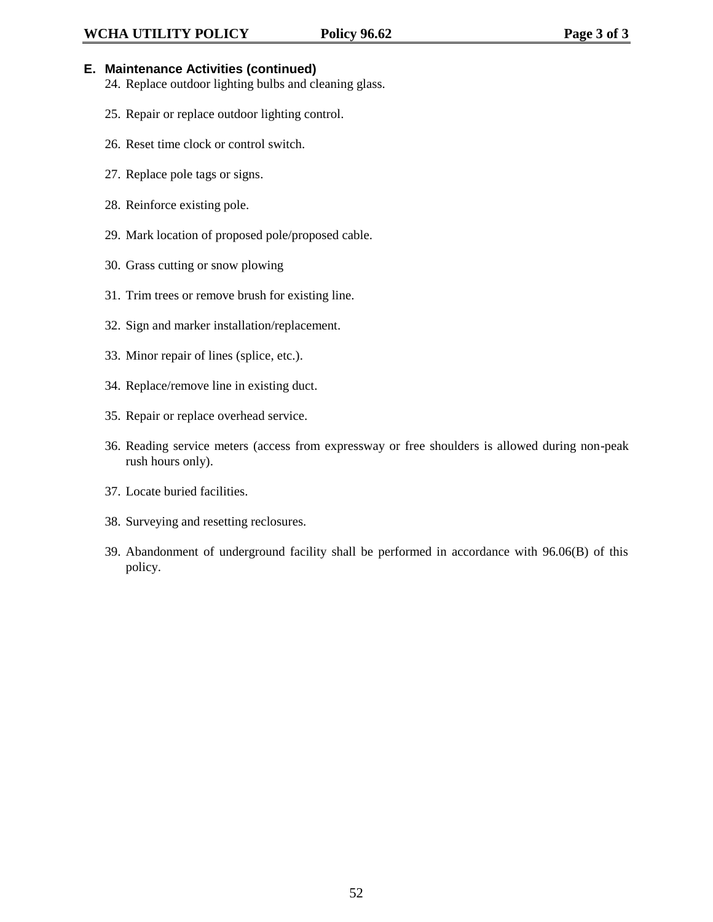## **E. Maintenance Activities (continued)**

- 24. Replace outdoor lighting bulbs and cleaning glass.
- 25. Repair or replace outdoor lighting control.
- 26. Reset time clock or control switch.
- 27. Replace pole tags or signs.
- 28. Reinforce existing pole.
- 29. Mark location of proposed pole/proposed cable.
- 30. Grass cutting or snow plowing
- 31. Trim trees or remove brush for existing line.
- 32. Sign and marker installation/replacement.
- 33. Minor repair of lines (splice, etc.).
- 34. Replace/remove line in existing duct.
- 35. Repair or replace overhead service.
- 36. Reading service meters (access from expressway or free shoulders is allowed during non-peak rush hours only).
- 37. Locate buried facilities.
- 38. Surveying and resetting reclosures.
- 39. Abandonment of underground facility shall be performed in accordance with 96.06(B) of this policy.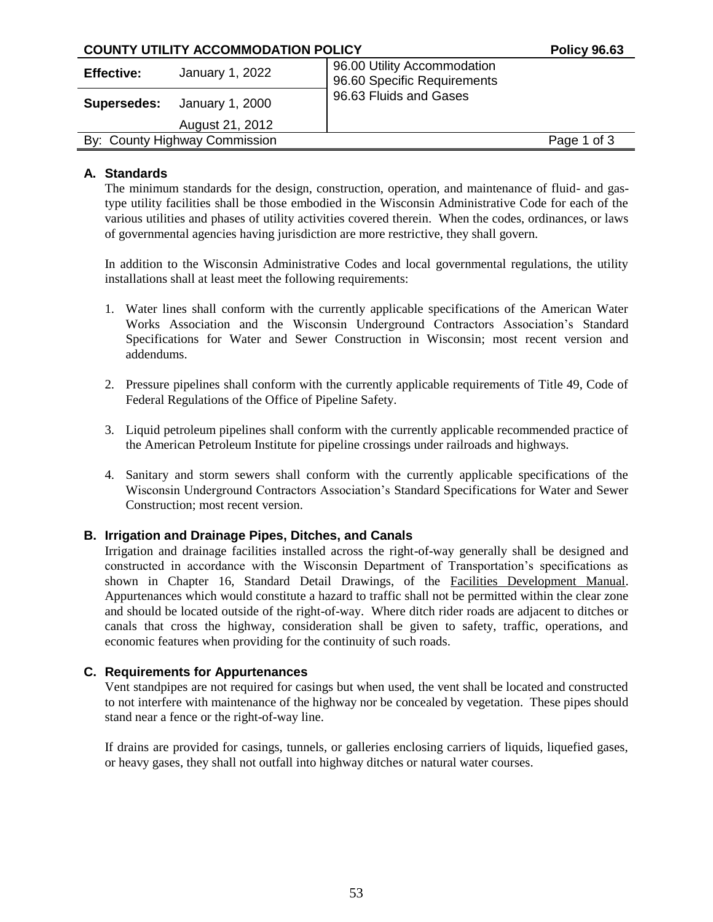| <b>COUNTY UTILITY ACCOMMODATION POLICY</b> |                                    |                                                            | <b>Policy 96.63</b> |
|--------------------------------------------|------------------------------------|------------------------------------------------------------|---------------------|
| <b>Effective:</b>                          | January 1, 2022                    | 96.00 Utility Accommodation<br>96.60 Specific Requirements |                     |
|                                            | <b>Supersedes:</b> January 1, 2000 | 96.63 Fluids and Gases                                     |                     |
|                                            | August 21, 2012                    |                                                            |                     |
| By: County Highway Commission              |                                    |                                                            | Page 1 of 3         |
|                                            |                                    |                                                            |                     |

## **A. Standards**

The minimum standards for the design, construction, operation, and maintenance of fluid- and gastype utility facilities shall be those embodied in the Wisconsin Administrative Code for each of the various utilities and phases of utility activities covered therein. When the codes, ordinances, or laws of governmental agencies having jurisdiction are more restrictive, they shall govern.

In addition to the Wisconsin Administrative Codes and local governmental regulations, the utility installations shall at least meet the following requirements:

- 1. Water lines shall conform with the currently applicable specifications of the American Water Works Association and the Wisconsin Underground Contractors Association's Standard Specifications for Water and Sewer Construction in Wisconsin; most recent version and addendums.
- 2. Pressure pipelines shall conform with the currently applicable requirements of Title 49, Code of Federal Regulations of the Office of Pipeline Safety.
- 3. Liquid petroleum pipelines shall conform with the currently applicable recommended practice of the American Petroleum Institute for pipeline crossings under railroads and highways.
- 4. Sanitary and storm sewers shall conform with the currently applicable specifications of the Wisconsin Underground Contractors Association's Standard Specifications for Water and Sewer Construction; most recent version.

## **B. Irrigation and Drainage Pipes, Ditches, and Canals**

Irrigation and drainage facilities installed across the right-of-way generally shall be designed and constructed in accordance with the Wisconsin Department of Transportation's specifications as shown in Chapter 16, Standard Detail Drawings, of the Facilities Development Manual. Appurtenances which would constitute a hazard to traffic shall not be permitted within the clear zone and should be located outside of the right-of-way. Where ditch rider roads are adjacent to ditches or canals that cross the highway, consideration shall be given to safety, traffic, operations, and economic features when providing for the continuity of such roads.

## **C. Requirements for Appurtenances**

Vent standpipes are not required for casings but when used, the vent shall be located and constructed to not interfere with maintenance of the highway nor be concealed by vegetation. These pipes should stand near a fence or the right-of-way line.

If drains are provided for casings, tunnels, or galleries enclosing carriers of liquids, liquefied gases, or heavy gases, they shall not outfall into highway ditches or natural water courses.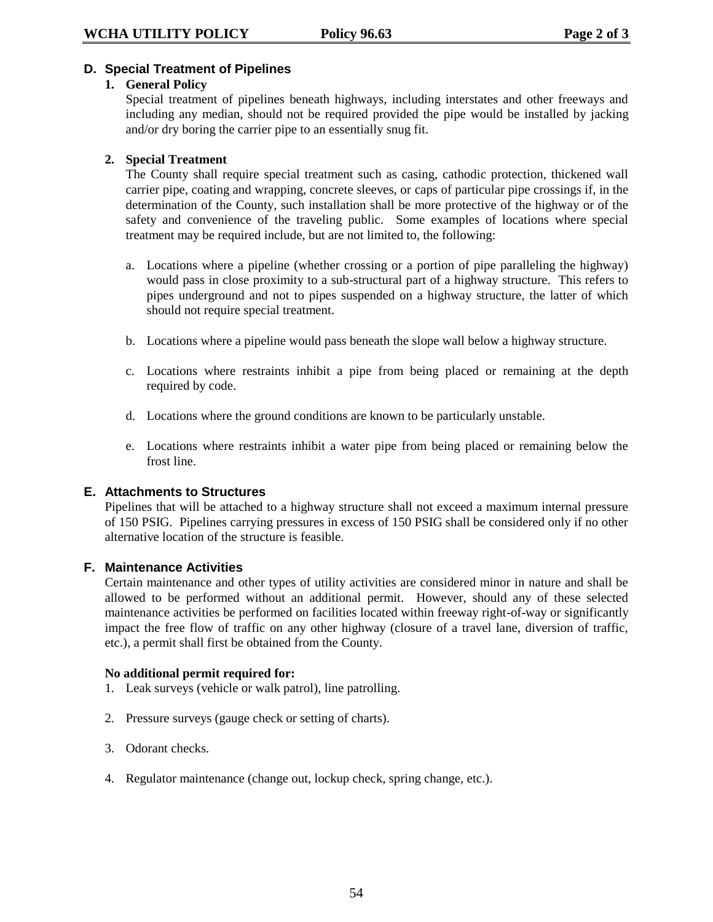## **D. Special Treatment of Pipelines**

#### **1. General Policy**

Special treatment of pipelines beneath highways, including interstates and other freeways and including any median, should not be required provided the pipe would be installed by jacking and/or dry boring the carrier pipe to an essentially snug fit.

## **2. Special Treatment**

The County shall require special treatment such as casing, cathodic protection, thickened wall carrier pipe, coating and wrapping, concrete sleeves, or caps of particular pipe crossings if, in the determination of the County, such installation shall be more protective of the highway or of the safety and convenience of the traveling public. Some examples of locations where special treatment may be required include, but are not limited to, the following:

- a. Locations where a pipeline (whether crossing or a portion of pipe paralleling the highway) would pass in close proximity to a sub-structural part of a highway structure. This refers to pipes underground and not to pipes suspended on a highway structure, the latter of which should not require special treatment.
- b. Locations where a pipeline would pass beneath the slope wall below a highway structure.
- c. Locations where restraints inhibit a pipe from being placed or remaining at the depth required by code.
- d. Locations where the ground conditions are known to be particularly unstable.
- e. Locations where restraints inhibit a water pipe from being placed or remaining below the frost line.

#### **E. Attachments to Structures**

Pipelines that will be attached to a highway structure shall not exceed a maximum internal pressure of 150 PSIG. Pipelines carrying pressures in excess of 150 PSIG shall be considered only if no other alternative location of the structure is feasible.

#### **F. Maintenance Activities**

Certain maintenance and other types of utility activities are considered minor in nature and shall be allowed to be performed without an additional permit. However, should any of these selected maintenance activities be performed on facilities located within freeway right-of-way or significantly impact the free flow of traffic on any other highway (closure of a travel lane, diversion of traffic, etc.), a permit shall first be obtained from the County.

#### **No additional permit required for:**

- 1. Leak surveys (vehicle or walk patrol), line patrolling.
- 2. Pressure surveys (gauge check or setting of charts).
- 3. Odorant checks.
- 4. Regulator maintenance (change out, lockup check, spring change, etc.).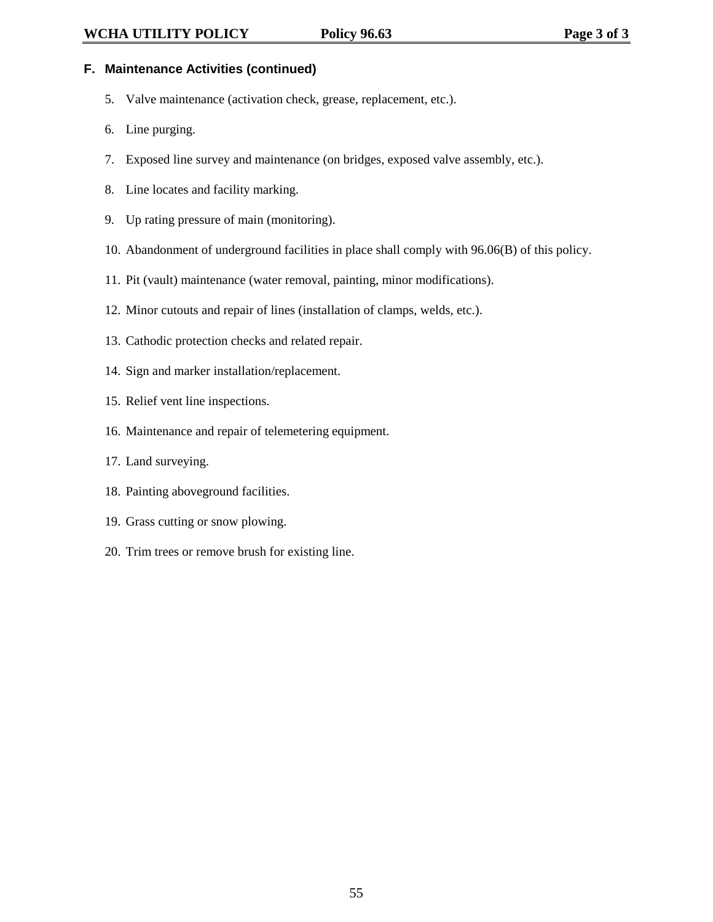## **F. Maintenance Activities (continued)**

- 5. Valve maintenance (activation check, grease, replacement, etc.).
- 6. Line purging.
- 7. Exposed line survey and maintenance (on bridges, exposed valve assembly, etc.).
- 8. Line locates and facility marking.
- 9. Up rating pressure of main (monitoring).
- 10. Abandonment of underground facilities in place shall comply with 96.06(B) of this policy.
- 11. Pit (vault) maintenance (water removal, painting, minor modifications).
- 12. Minor cutouts and repair of lines (installation of clamps, welds, etc.).
- 13. Cathodic protection checks and related repair.
- 14. Sign and marker installation/replacement.
- 15. Relief vent line inspections.
- 16. Maintenance and repair of telemetering equipment.
- 17. Land surveying.
- 18. Painting aboveground facilities.
- 19. Grass cutting or snow plowing.
- 20. Trim trees or remove brush for existing line.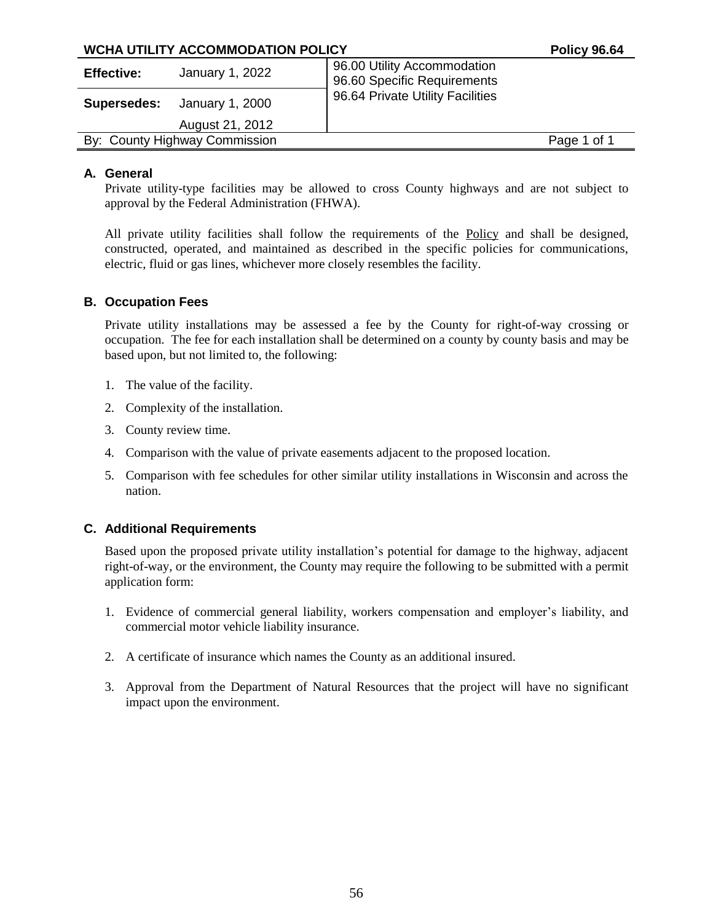| <b>WCHA UTILITY ACCOMMODATION POLICY</b> |                               |                                                            | <b>Policy 96.64</b> |
|------------------------------------------|-------------------------------|------------------------------------------------------------|---------------------|
| <b>Effective:</b>                        | January 1, 2022               | 96.00 Utility Accommodation<br>96.60 Specific Requirements |                     |
| Supersedes:                              | January 1, 2000               | 96.64 Private Utility Facilities                           |                     |
|                                          | August 21, 2012               |                                                            |                     |
|                                          | By: County Highway Commission |                                                            | Page 1 of 1         |

## **A. General**

Private utility-type facilities may be allowed to cross County highways and are not subject to approval by the Federal Administration (FHWA).

All private utility facilities shall follow the requirements of the Policy and shall be designed, constructed, operated, and maintained as described in the specific policies for communications, electric, fluid or gas lines, whichever more closely resembles the facility.

## **B. Occupation Fees**

Private utility installations may be assessed a fee by the County for right-of-way crossing or occupation. The fee for each installation shall be determined on a county by county basis and may be based upon, but not limited to, the following:

- 1. The value of the facility.
- 2. Complexity of the installation.
- 3. County review time.
- 4. Comparison with the value of private easements adjacent to the proposed location.
- 5. Comparison with fee schedules for other similar utility installations in Wisconsin and across the nation.

## **C. Additional Requirements**

Based upon the proposed private utility installation's potential for damage to the highway, adjacent right-of-way, or the environment, the County may require the following to be submitted with a permit application form:

- 1. Evidence of commercial general liability, workers compensation and employer's liability, and commercial motor vehicle liability insurance.
- 2. A certificate of insurance which names the County as an additional insured.
- 3. Approval from the Department of Natural Resources that the project will have no significant impact upon the environment.